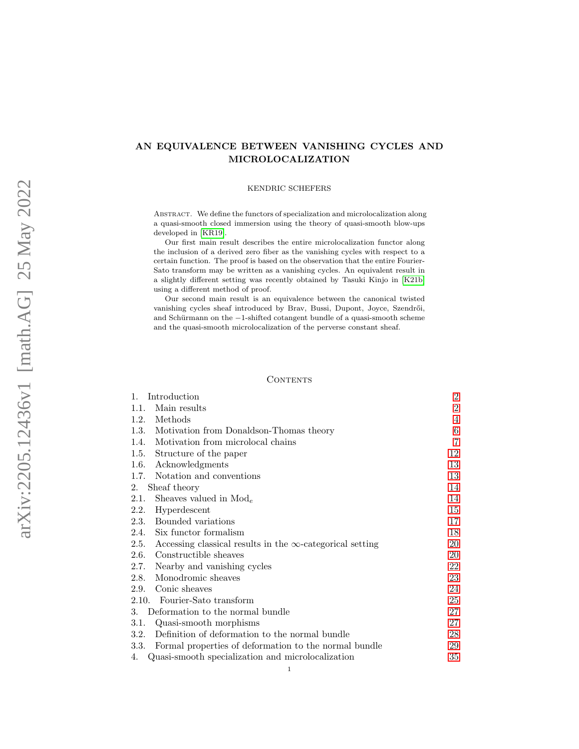# AN EQUIVALENCE BETWEEN VANISHING CYCLES AND MICROLOCALIZATION

### KENDRIC SCHEFERS

Abstract. We define the functors of specialization and microlocalization along a quasi-smooth closed immersion using the theory of quasi-smooth blow-ups developed in [\[KR19\]](#page-66-0).

Our first main result describes the entire microlocalization functor along the inclusion of a derived zero fiber as the vanishing cycles with respect to a certain function. The proof is based on the observation that the entire Fourier-Sato transform may be written as a vanishing cycles. An equivalent result in a slightly different setting was recently obtained by Tasuki Kinjo in [\[K21b\]](#page-66-1) using a different method of proof.

Our second main result is an equivalence between the canonical twisted vanishing cycles sheaf introduced by Brav, Bussi, Dupont, Joyce, Szendrői, and Schürmann on the -1-shifted cotangent bundle of a quasi-smooth scheme and the quasi-smooth microlocalization of the perverse constant sheaf.

### **CONTENTS**

| Introduction<br>1.                                                       | $\overline{2}$ |
|--------------------------------------------------------------------------|----------------|
| Main results<br>1.1.                                                     | $\overline{2}$ |
| Methods<br>1.2.                                                          | 4              |
| 1.3.<br>Motivation from Donaldson-Thomas theory                          | 6              |
| Motivation from microlocal chains<br>1.4.                                | $\overline{7}$ |
| 1.5.<br>Structure of the paper                                           | 12             |
| Acknowledgments<br>1.6.                                                  | 13             |
| Notation and conventions<br>1.7.                                         | 13             |
| Sheaf theory<br>2.                                                       | 14             |
| Sheaves valued in $\text{Mod}_e$<br>2.1.                                 | 14             |
| 2.2.<br>Hyperdescent                                                     | 15             |
| Bounded variations<br>2.3.                                               | 17             |
| Six functor formalism<br>2.4.                                            | 18             |
| 2.5.<br>Accessing classical results in the $\infty$ -categorical setting | 20             |
| 2.6.<br>Constructible sheaves                                            | 20             |
| 2.7.<br>Nearby and vanishing cycles                                      | 22             |
| Monodromic sheaves<br>2.8.                                               | 23             |
| Conic sheaves<br>2.9.                                                    | 24             |
| 2.10. Fourier-Sato transform                                             | 25             |
| Deformation to the normal bundle<br>3.                                   | 27             |
| Quasi-smooth morphisms<br>3.1.                                           | 27             |
| Definition of deformation to the normal bundle<br>3.2.                   | 28             |
| Formal properties of deformation to the normal bundle<br>3.3.            | 29             |
| Quasi-smooth specialization and microlocalization<br>4.                  | 35             |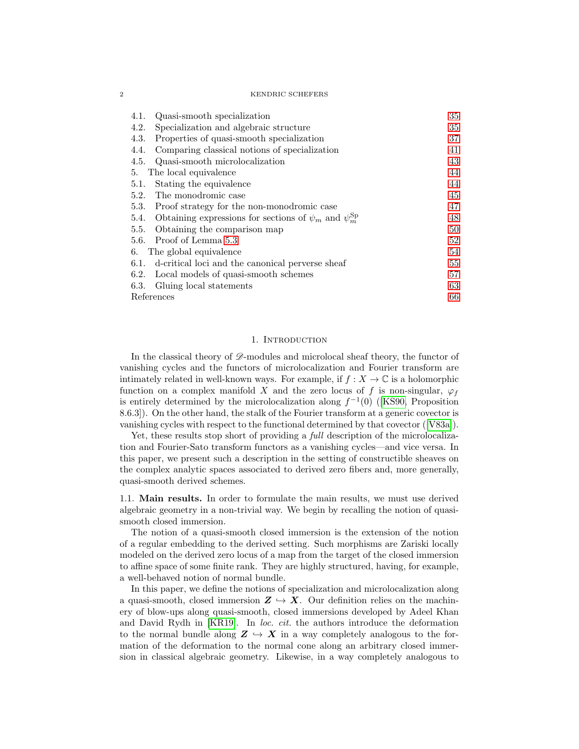#### 2 KENDRIC SCHEFERS

| Quasi-smooth specialization<br>4.1.                                       | 35 |
|---------------------------------------------------------------------------|----|
| Specialization and algebraic structure<br>4.2.                            | 35 |
| Properties of quasi-smooth specialization<br>4.3.                         | 37 |
| Comparing classical notions of specialization<br>4.4.                     | 41 |
| Quasi-smooth microlocalization<br>4.5.                                    | 43 |
| The local equivalence<br>5.                                               | 44 |
| Stating the equivalence<br>5.1.                                           | 44 |
| The monodromic case<br>5.2.                                               | 45 |
| Proof strategy for the non-monodromic case<br>5.3.                        | 47 |
| 5.4. Obtaining expressions for sections of $\psi_m$ and $\psi_m^{\rm Sp}$ | 48 |
| Obtaining the comparison map<br>5.5.                                      | 50 |
| 5.6. Proof of Lemma 5.3                                                   | 52 |
| The global equivalence<br>6.                                              | 54 |
| d-critical loci and the canonical perverse sheaf<br>6.1.                  | 55 |
| Local models of quasi-smooth schemes<br>6.2.                              | 57 |
| Gluing local statements<br>6.3.                                           | 63 |
| References                                                                |    |

### 1. INTRODUCTION

<span id="page-1-0"></span>In the classical theory of  $\mathscr{D}$ -modules and microlocal sheaf theory, the functor of vanishing cycles and the functors of microlocalization and Fourier transform are intimately related in well-known ways. For example, if  $f : X \to \mathbb{C}$  is a holomorphic function on a complex manifold X and the zero locus of f is non-singular,  $\varphi_f$ isentirely determined by the microlocalization along  $f^{-1}(0)$  ([\[KS90,](#page-66-2) Proposition 8.6.3]). On the other hand, the stalk of the Fourier transform at a generic covector is vanishing cycles with respect to the functional determined by that covector ([\[V83a\]](#page-66-3)).

Yet, these results stop short of providing a *full* description of the microlocalization and Fourier-Sato transform functors as a vanishing cycles—and vice versa. In this paper, we present such a description in the setting of constructible sheaves on the complex analytic spaces associated to derived zero fibers and, more generally, quasi-smooth derived schemes.

<span id="page-1-1"></span>1.1. Main results. In order to formulate the main results, we must use derived algebraic geometry in a non-trivial way. We begin by recalling the notion of quasismooth closed immersion.

The notion of a quasi-smooth closed immersion is the extension of the notion of a regular embedding to the derived setting. Such morphisms are Zariski locally modeled on the derived zero locus of a map from the target of the closed immersion to affine space of some finite rank. They are highly structured, having, for example, a well-behaved notion of normal bundle.

In this paper, we define the notions of specialization and microlocalization along a quasi-smooth, closed immersion  $Z \hookrightarrow X$ . Our definition relies on the machinery of blow-ups along quasi-smooth, closed immersions developed by Adeel Khan and David Rydh in  $[KR19]$ . In *loc. cit.* the authors introduce the deformation to the normal bundle along  $Z \hookrightarrow X$  in a way completely analogous to the formation of the deformation to the normal cone along an arbitrary closed immersion in classical algebraic geometry. Likewise, in a way completely analogous to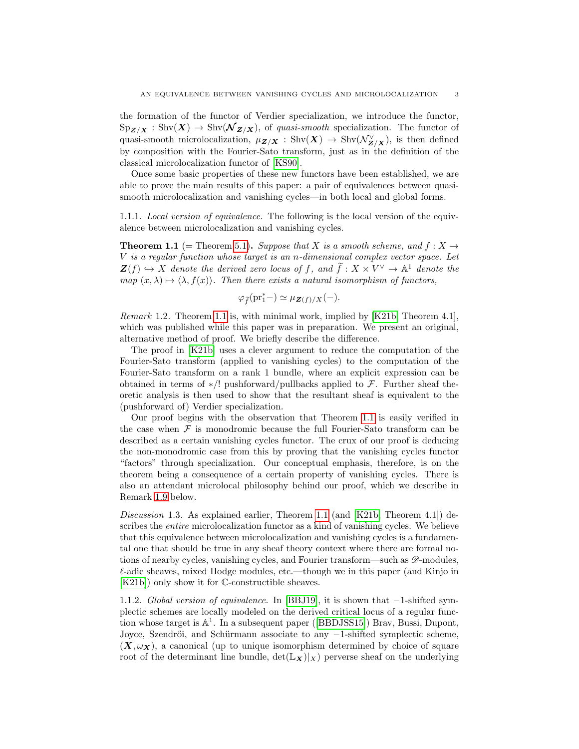the formation of the functor of Verdier specialization, we introduce the functor,  $\mathrm{Sp}_{\mathbf{Z}/\mathbf{X}} : \mathrm{Shv}(\mathbf{X}) \to \mathrm{Shv}(\mathbf{\mathcal{N}}_{\mathbf{Z}/\mathbf{X}})$ , of quasi-smooth specialization. The functor of quasi-smooth microlocalization,  $\mu_{\mathbf{Z}/\mathbf{X}} : \text{Shv}(\mathbf{X}) \to \text{Shv}(\mathcal{N}_{\mathbf{Z}/\mathbf{X}}^{\vee})$ , is then defined by composition with the Fourier-Sato transform, just as in the definition of the classical microlocalization functor of [\[KS90\]](#page-66-2).

Once some basic properties of these new functors have been established, we are able to prove the main results of this paper: a pair of equivalences between quasismooth microlocalization and vanishing cycles—in both local and global forms.

1.1.1. Local version of equivalence. The following is the local version of the equivalence between microlocalization and vanishing cycles.

<span id="page-2-0"></span>**Theorem 1.1** (= Theorem [5.1\)](#page-43-2). Suppose that X is a smooth scheme, and  $f: X \rightarrow$ V is a regular function whose target is an n-dimensional complex vector space. Let  $\mathbf{Z}(f) \hookrightarrow X$  denote the derived zero locus of f, and  $\tilde{f}: X \times V^{\vee} \to \mathbb{A}^1$  denote the map  $(x, \lambda) \mapsto \langle \lambda, f(x) \rangle$ . Then there exists a natural isomorphism of functors,

$$
\varphi_{\widetilde{f}}(\mathrm{pr}_1^* - ) \simeq \mu_{\mathbf{Z}(f)/X}(-).
$$

Remark 1.2. Theorem [1.1](#page-2-0) is, with minimal work, implied by [\[K21b,](#page-66-1) Theorem 4.1], which was published while this paper was in preparation. We present an original, alternative method of proof. We briefly describe the difference.

The proof in [\[K21b\]](#page-66-1) uses a clever argument to reduce the computation of the Fourier-Sato transform (applied to vanishing cycles) to the computation of the Fourier-Sato transform on a rank 1 bundle, where an explicit expression can be obtained in terms of \*/! pushforward/pullbacks applied to  $\mathcal{F}$ . Further sheaf theoretic analysis is then used to show that the resultant sheaf is equivalent to the (pushforward of) Verdier specialization.

Our proof begins with the observation that Theorem [1.1](#page-2-0) is easily verified in the case when  $\mathcal F$  is monodromic because the full Fourier-Sato transform can be described as a certain vanishing cycles functor. The crux of our proof is deducing the non-monodromic case from this by proving that the vanishing cycles functor "factors" through specialization. Our conceptual emphasis, therefore, is on the theorem being a consequence of a certain property of vanishing cycles. There is also an attendant microlocal philosophy behind our proof, which we describe in Remark [1.9](#page-4-0) below.

<span id="page-2-1"></span>Discussion 1.3. As explained earlier, Theorem [1.1](#page-2-0) (and [\[K21b,](#page-66-1) Theorem 4.1]) describes the *entire* microlocalization functor as a kind of vanishing cycles. We believe that this equivalence between microlocalization and vanishing cycles is a fundamental one that should be true in any sheaf theory context where there are formal notions of nearby cycles, vanishing cycles, and Fourier transform—such as  $\mathscr{D}$ -modules,  $\ell$ -adic sheaves, mixed Hodge modules, etc.—though we in this paper (and Kinjo in [\[K21b\]](#page-66-1)) only show it for C-constructible sheaves.

1.1.2. Global version of equivalence. In [\[BBJ19\]](#page-65-1), it is shown that −1-shifted symplectic schemes are locally modeled on the derived critical locus of a regular functionwhose target is  $\mathbb{A}^1$ . In a subsequent paper ([\[BBDJSS15\]](#page-65-2)) Brav, Bussi, Dupont, Joyce, Szendrői, and Schürmann associate to any −1-shifted symplectic scheme,  $(X, \omega_X)$ , a canonical (up to unique isomorphism determined by choice of square root of the determinant line bundle,  $\det(\mathbb{L}_{\mathbf{X}})|_X$  perverse sheaf on the underlying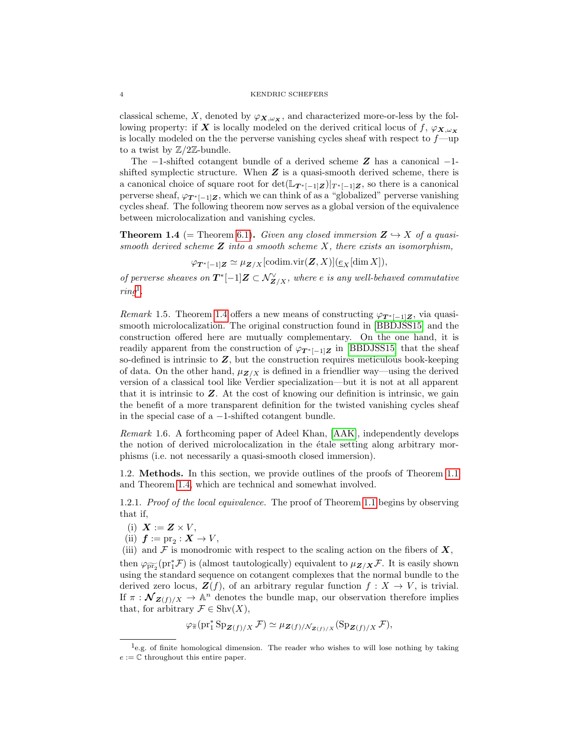classical scheme, X, denoted by  $\varphi_{\mathbf{X},\omega_{\mathbf{X}}}$ , and characterized more-or-less by the following property: if X is locally modeled on the derived critical locus of  $f, \varphi_{\mathbf{X}, \omega_{\mathbf{X}}}$ is locally modeled on the the perverse vanishing cycles sheaf with respect to  $f$ —up to a twist by  $\mathbb{Z}/2\mathbb{Z}$ -bundle.

The  $-1$ -shifted cotangent bundle of a derived scheme  $Z$  has a canonical  $-1$ shifted symplectic structure. When  $Z$  is a quasi-smooth derived scheme, there is a canonical choice of square root for  $\det(\mathbb{L}_{T^*[-1]Z})|_{T^*[-1]Z}$ , so there is a canonical perverse sheaf,  $\varphi_{T^*[-1]\mathbf{Z}}$ , which we can think of as a "globalized" perverse vanishing cycles sheaf. The following theorem now serves as a global version of the equivalence between microlocalization and vanishing cycles.

<span id="page-3-2"></span>**Theorem 1.4** (= Theorem [6.1\)](#page-53-1). Given any closed immersion  $Z \rightarrow X$  of a quasismooth derived scheme  $Z$  into a smooth scheme  $X$ , there exists an isomorphism,

$$
\varphi_{\boldsymbol{T}^*[-1]\boldsymbol{Z}} \simeq \mu_{\boldsymbol{Z}/X}[\text{codim.vir}(\boldsymbol{Z},X)](\underline{e}_X[\dim X]),
$$

of perverse sheaves on  $T^*[-1]Z \subset \mathcal{N}_{Z/X}^{\vee}$ , where e is any well-behaved commutative  $ring<sup>1</sup>$  $ring<sup>1</sup>$  $ring<sup>1</sup>$ .

Remark 1.5. Theorem [1.4](#page-3-2) offers a new means of constructing  $\varphi_{T^*[-1]Z}$ , via quasismooth microlocalization. The original construction found in [\[BBDJSS15\]](#page-65-2) and the construction offered here are mutually complementary. On the one hand, it is readily apparent from the construction of  $\varphi_{T^*[-1]Z}$  in [\[BBDJSS15\]](#page-65-2) that the sheaf so-defined is intrinsic to  $Z$ , but the construction requires meticulous book-keeping of data. On the other hand,  $\mu_{Z/X}$  is defined in a friendlier way—using the derived version of a classical tool like Verdier specialization—but it is not at all apparent that it is intrinsic to  $Z$ . At the cost of knowing our definition is intrinsic, we gain the benefit of a more transparent definition for the twisted vanishing cycles sheaf in the special case of a −1-shifted cotangent bundle.

<span id="page-3-3"></span>Remark 1.6. A forthcoming paper of Adeel Khan, [\[AAK\]](#page-65-3), independently develops the notion of derived microlocalization in the etale setting along arbitrary morphisms (i.e. not necessarily a quasi-smooth closed immersion).

<span id="page-3-0"></span>1.2. Methods. In this section, we provide outlines of the proofs of Theorem [1.1](#page-2-0) and Theorem [1.4,](#page-3-2) which are technical and somewhat involved.

1.2.1. Proof of the local equivalence. The proof of Theorem [1.1](#page-2-0) begins by observing that if,

- (i)  $\mathbf{X} := \mathbf{Z} \times V$ ,
- (ii)  $f := pr_2 : X \to V$ ,

(iii) and  $\mathcal F$  is monodromic with respect to the scaling action on the fibers of  $\boldsymbol X,$ then  $\varphi_{\widetilde{\text{pr}_2}}(\text{pr}_1^* \mathcal{F})$  is (almost tautologically) equivalent to  $\mu_{\mathbf{Z}/\mathbf{X}} \mathcal{F}$ . It is easily shown using the standard sequence on cotangent complexes that the normal bundle to the derived zero locus,  $\mathbf{Z}(f)$ , of an arbitrary regular function  $f: X \to V$ , is trivial. If  $\pi : \mathcal{N}_{\mathbf{Z}(f)/X} \to \mathbb{A}^n$  denotes the bundle map, our observation therefore implies that, for arbitrary  $\mathcal{F} \in \text{Shv}(X)$ ,

$$
\varphi_{\widetilde{\pi}}(\mathrm{pr}_1^* \mathrm{Sp}_{\mathbf{Z}(f)/X} \mathcal{F}) \simeq \mu_{\mathbf{Z}(f)/\mathcal{N}_{\mathbf{Z}(f)/X}}(\mathrm{Sp}_{\mathbf{Z}(f)/X} \mathcal{F}),
$$

<span id="page-3-1"></span><sup>&</sup>lt;sup>1</sup>e.g. of finite homological dimension. The reader who wishes to will lose nothing by taking  $e := \mathbb{C}$  throughout this entire paper.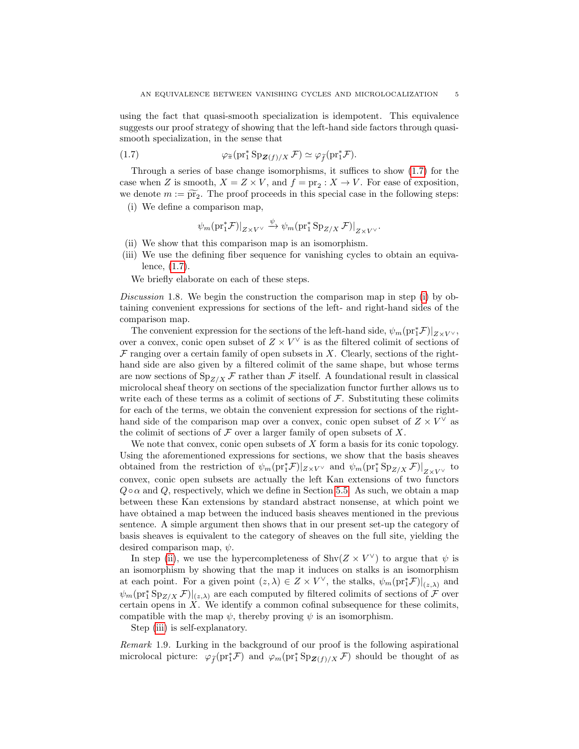using the fact that quasi-smooth specialization is idempotent. This equivalence suggests our proof strategy of showing that the left-hand side factors through quasismooth specialization, in the sense that

(1.7) 
$$
\varphi_{\widetilde{\pi}}(\mathrm{pr}_1^* \mathrm{Sp}_{\mathbf{Z}(f)/X} \mathcal{F}) \simeq \varphi_{\widetilde{f}}(\mathrm{pr}_1^* \mathcal{F}).
$$

Through a series of base change isomorphisms, it suffices to show [\(1.7\)](#page-4-1) for the case when Z is smooth,  $X = Z \times V$ , and  $f = \text{pr}_2 : X \to V$ . For ease of exposition, we denote  $m := \widetilde{\text{pr}_2}$ . The proof proceeds in this special case in the following steps:

<span id="page-4-2"></span>(i) We define a comparison map,

<span id="page-4-1"></span>
$$
\psi_m(\text{pr}_1^*\mathcal{F})|_{Z\times V^\vee}\xrightarrow{\psi}\psi_m(\text{pr}_1^*\text{Sp}_{Z/X}\,\mathcal{F})|_{Z\times V^\vee}.
$$

- <span id="page-4-3"></span>(ii) We show that this comparison map is an isomorphism.
- <span id="page-4-4"></span>(iii) We use the defining fiber sequence for vanishing cycles to obtain an equivalence, [\(1.7\)](#page-4-1).

We briefly elaborate on each of these steps.

Discussion 1.8. We begin the construction the comparison map in step [\(i\)](#page-4-2) by obtaining convenient expressions for sections of the left- and right-hand sides of the comparison map.

The convenient expression for the sections of the left-hand side,  $\psi_m(\text{pr}_1^*\mathcal{F})|_{Z\times V^\vee}$ , over a convex, conic open subset of  $Z \times V^{\vee}$  is as the filtered colimit of sections of  $\mathcal F$  ranging over a certain family of open subsets in X. Clearly, sections of the righthand side are also given by a filtered colimit of the same shape, but whose terms are now sections of  $\text{Sp}_{Z/X}$  F rather than F itself. A foundational result in classical microlocal sheaf theory on sections of the specialization functor further allows us to write each of these terms as a colimit of sections of  $\mathcal F$ . Substituting these colimits for each of the terms, we obtain the convenient expression for sections of the righthand side of the comparison map over a convex, conic open subset of  $Z \times V^{\vee}$  as the colimit of sections of  $\mathcal F$  over a larger family of open subsets of X.

We note that convex, conic open subsets of  $X$  form a basis for its conic topology. Using the aforementioned expressions for sections, we show that the basis sheaves obtained from the restriction of  $\psi_m(\text{pr}_1^* \mathcal{F})|_{Z\times V^\vee}$  and  $\psi_m(\text{pr}_1^* \text{Sp}_{Z/X} \mathcal{F})|_{Z\times V^\vee}$  to convex, conic open subsets are actually the left Kan extensions of two functors  $Q \circ \alpha$  and Q, respectively, which we define in Section [5.5.](#page-49-0) As such, we obtain a map between these Kan extensions by standard abstract nonsense, at which point we have obtained a map between the induced basis sheaves mentioned in the previous sentence. A simple argument then shows that in our present set-up the category of basis sheaves is equivalent to the category of sheaves on the full site, yielding the desired comparison map,  $\psi$ .

In step [\(ii\)](#page-4-3), we use the hypercompleteness of  $\text{Shv}(Z \times V^{\vee})$  to argue that  $\psi$  is an isomorphism by showing that the map it induces on stalks is an isomorphism at each point. For a given point  $(z, \lambda) \in Z \times V^{\vee}$ , the stalks,  $\psi_m(\text{pr}_1^* \mathcal{F})|_{(z, \lambda)}$  and  $\psi_m(\text{pr}_1^*\text{Sp}_{Z/X}\mathcal{F})|_{(z,\lambda)}$  are each computed by filtered colimits of sections of  $\mathcal F$  over certain opens in X. We identify a common cofinal subsequence for these colimits, compatible with the map  $\psi$ , thereby proving  $\psi$  is an isomorphism.

Step [\(iii\)](#page-4-4) is self-explanatory.

<span id="page-4-0"></span>Remark 1.9. Lurking in the background of our proof is the following aspirational microlocal picture:  $\varphi_{\tilde{f}}(pr_1^*\mathcal{F})$  and  $\varphi_m(pr_1^*Sp_{\mathbf{Z}(f)/X}\mathcal{F})$  should be thought of as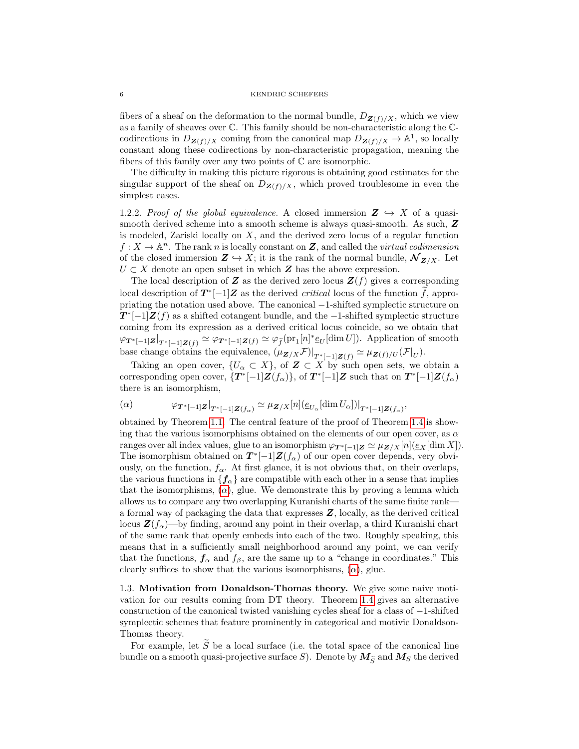#### 6 KENDRIC SCHEFERS

fibers of a sheaf on the deformation to the normal bundle,  $D_{\mathbf{Z}(f)/X}$ , which we view as a family of sheaves over C. This family should be non-characteristic along the Ccodirections in  $D_{\mathbf{Z}(f)/X}$  coming from the canonical map  $D_{\mathbf{Z}(f)/X} \to \mathbb{A}^1$ , so locally constant along these codirections by non-characteristic propagation, meaning the fibers of this family over any two points of  $\mathbb C$  are isomorphic.

The difficulty in making this picture rigorous is obtaining good estimates for the singular support of the sheaf on  $D_{\mathbf{Z}(f)/X}$ , which proved troublesome in even the simplest cases.

1.2.2. Proof of the global equivalence. A closed immersion  $\mathbf{Z} \hookrightarrow X$  of a quasismooth derived scheme into a smooth scheme is always quasi-smooth. As such,  $Z$ is modeled, Zariski locally on  $X$ , and the derived zero locus of a regular function  $f: X \to \mathbb{A}^n$ . The rank n is locally constant on Z, and called the *virtual codimension* of the closed immersion  $\mathbf{Z} \hookrightarrow X$ ; it is the rank of the normal bundle,  $\mathcal{N}_{\mathbf{Z}/X}$ . Let  $U \subset X$  denote an open subset in which  $\mathbf{Z}$  has the above expression.

The local description of Z as the derived zero locus  $\mathbf{Z}(f)$  gives a corresponding local description of  $T^*[-1]Z$  as the derived *critical* locus of the function f, appropriating the notation used above. The canonical −1-shifted symplectic structure on  $T^*[-1]\mathbf{Z}(f)$  as a shifted cotangent bundle, and the -1-shifted symplectic structure coming from its expression as a derived critical locus coincide, so we obtain that  $\varphi_{\bm{T}^*[-1]\bm{Z}|_{\bm{T}^*[-1]\bm{Z}(f)}} \simeq \varphi_{\bm{T}^*[-1]\bm{Z}(f)} \simeq \varphi_{\widetilde{f}}(\mathrm{pr}_1[n]^* \underline{e}_U[\dim U])$ . Application of smooth base change obtains the equivalence,  $(\mu_{\mathbf{Z}/X}\mathcal{F})|_{T^*[-1]\mathbf{Z}(f)} \simeq \mu_{\mathbf{Z}(f)/U}(\mathcal{F}|_U)$ .

Taking an open cover,  $\{U_{\alpha} \subset X\}$ , of  $\mathbf{Z} \subset X$  by such open sets, we obtain a corresponding open cover,  $\{T^*[-1]Z(f_\alpha)\}\text{, of } T^*[-1]Z \text{ such that on } T^*[-1]Z(f_\alpha)$ there is an isomorphism,

<span id="page-5-1"></span>
$$
(\alpha) \qquad \varphi_{\boldsymbol{T}^*[-1]\boldsymbol{Z}}|_{T^*[-1]\boldsymbol{Z}(f_\alpha)} \simeq \mu_{\boldsymbol{Z}/X}[n](\underline{e}_{U_\alpha}[\dim U_\alpha])|_{T^*[-1]\boldsymbol{Z}(f_\alpha)},
$$

obtained by Theorem [1.1.](#page-2-0) The central feature of the proof of Theorem [1.4](#page-3-2) is showing that the various isomorphisms obtained on the elements of our open cover, as  $\alpha$ ranges over all index values, glue to an isomorphism  $\varphi_{T^*[-1]Z} \simeq \mu_{Z/X}[n](\underline{e}_X[\dim X])$ . The isomorphism obtained on  $T^*[-1]Z(f_\alpha)$  of our open cover depends, very obviously, on the function,  $f_{\alpha}$ . At first glance, it is not obvious that, on their overlaps, the various functions in  $\{f_{\alpha}\}\$ are compatible with each other in a sense that implies that the isomorphisms,  $(\alpha)$ , glue. We demonstrate this by proving a lemma which allows us to compare any two overlapping Kuranishi charts of the same finite rank a formal way of packaging the data that expresses Z, locally, as the derived critical locus  $\mathbf{Z}(f_\alpha)$ —by finding, around any point in their overlap, a third Kuranishi chart of the same rank that openly embeds into each of the two. Roughly speaking, this means that in a sufficiently small neighborhood around any point, we can verify that the functions,  $f_{\alpha}$  and  $f_{\beta}$ , are the same up to a "change in coordinates." This clearly suffices to show that the various isomorphisms,  $(\alpha)$ , glue.

<span id="page-5-0"></span>1.3. Motivation from Donaldson-Thomas theory. We give some naive motivation for our results coming from DT theory. Theorem [1.4](#page-3-2) gives an alternative construction of the canonical twisted vanishing cycles sheaf for a class of −1-shifted symplectic schemes that feature prominently in categorical and motivic Donaldson-Thomas theory.

For example, let  $S$  be a local surface (i.e. the total space of the canonical line bundle on a smooth quasi-projective surface S). Denote by  $M_{\widetilde{S}}$  and  $M_S$  the derived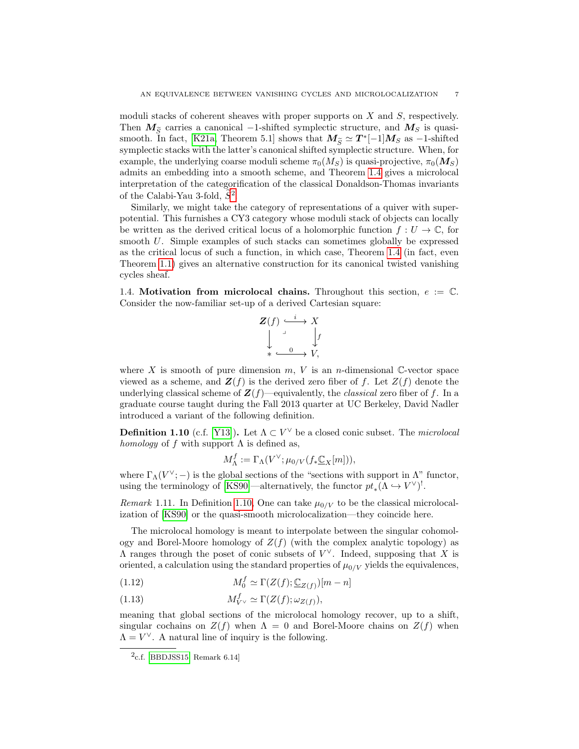moduli stacks of coherent sheaves with proper supports on X and S, respectively. Then  $M_{\widetilde{S}}$  carries a canonical -1-shifted symplectic structure, and  $M_S$  is quasi-smooth. In fact, [\[K21a,](#page-66-4) Theorem 5.1] shows that  $M_{\tilde{S}} \simeq T^*[-1]M_S$  as  $-1$ -shifted<br>remarkable to the with the latter's convenied shifted remarkation trustum. When for symplectic stacks with the latter's canonical shifted symplectic structure. When, for example, the underlying coarse moduli scheme  $\pi_0(M_S)$  is quasi-projective,  $\pi_0(M_S)$ admits an embedding into a smooth scheme, and Theorem [1.4](#page-3-2) gives a microlocal interpretation of the categorification of the classical Donaldson-Thomas invariants of the Calabi-Yau 3-fold,  $\widetilde{S}^2$  $\widetilde{S}^2$ .

Similarly, we might take the category of representations of a quiver with superpotential. This furnishes a CY3 category whose moduli stack of objects can locally be written as the derived critical locus of a holomorphic function  $f: U \to \mathbb{C}$ , for smooth U. Simple examples of such stacks can sometimes globally be expressed as the critical locus of such a function, in which case, Theorem [1.4](#page-3-2) (in fact, even Theorem [1.1\)](#page-2-0) gives an alternative construction for its canonical twisted vanishing cycles sheaf.

<span id="page-6-0"></span>1.4. Motivation from microlocal chains. Throughout this section,  $e := \mathbb{C}$ . Consider the now-familiar set-up of a derived Cartesian square:

$$
\begin{array}{c}\nZ(f) \stackrel{i}{\longrightarrow} X \\
\downarrow \qquad \qquad \downarrow f \\
\downarrow \qquad \qquad \downarrow \qquad \downarrow f \\
\downarrow \qquad \qquad \downarrow \qquad \downarrow f \\
\downarrow \qquad \qquad \downarrow \qquad \downarrow f \\
\end{array}
$$

where X is smooth of pure dimension  $m, V$  is an n-dimensional C-vector space viewed as a scheme, and  $\mathbf{Z}(f)$  is the derived zero fiber of f. Let  $Z(f)$  denote the underlying classical scheme of  $\mathbf{Z}(f)$ —equivalently, the *classical* zero fiber of f. In a graduate course taught during the Fall 2013 quarter at UC Berkeley, David Nadler introduced a variant of the following definition.

<span id="page-6-2"></span>**Definition 1.10** (c.f. [\[Y13\]](#page-67-0)). Let  $\Lambda \subset V^{\vee}$  be a closed conic subset. The *microlocal* homology of f with support  $\Lambda$  is defined as,

$$
M^f_{\Lambda} := \Gamma_{\Lambda}(V^{\vee}; \mu_{0/V}(f_* \underline{\mathbb{C}}_X[m])),
$$

where  $\Gamma_{\Lambda}(V^{\vee};-)$  is the global sections of the "sections with support in  $\Lambda$ " functor, using the terminology of [\[KS90\]](#page-66-2)—alternatively, the functor  $pt_*(\Lambda \hookrightarrow V^{\vee})^!$ .

Remark 1.11. In Definition [1.10,](#page-6-2) One can take  $\mu_{0/V}$  to be the classical microlocalization of [\[KS90\]](#page-66-2) or the quasi-smooth microlocalization—they coincide here.

The microlocal homology is meant to interpolate between the singular cohomology and Borel-Moore homology of  $Z(f)$  (with the complex analytic topology) as  $\Lambda$  ranges through the poset of conic subsets of  $V^{\vee}$ . Indeed, supposing that X is oriented, a calculation using the standard properties of  $\mu_{0/V}$  yields the equivalences,

(1.12) 
$$
M_0^f \simeq \Gamma(Z(f); \underline{\mathbb{C}}_{Z(f)})[m-n]
$$

(1.13) 
$$
M_{V}^f \simeq \Gamma(Z(f); \omega_{Z(f)}),
$$

meaning that global sections of the microlocal homology recover, up to a shift, singular cochains on  $Z(f)$  when  $\Lambda = 0$  and Borel-Moore chains on  $Z(f)$  when  $\Lambda = V^{\vee}$ . A natural line of inquiry is the following.

<span id="page-6-3"></span><span id="page-6-1"></span> $2c.f.$  [\[BBDJSS15,](#page-65-2) Remark 6.14]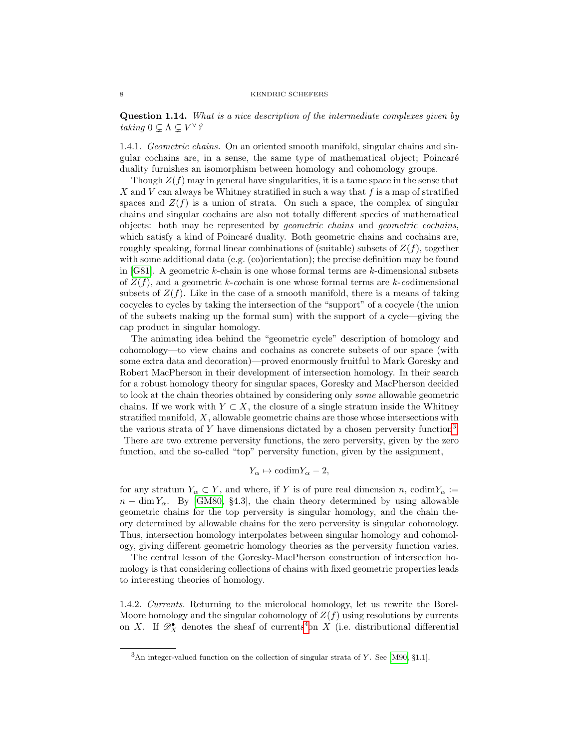Question 1.14. What is a nice description of the intermediate complexes given by taking  $0 \subsetneq \Lambda \subsetneq V^{\vee}$ ?

1.4.1. Geometric chains. On an oriented smooth manifold, singular chains and singular cochains are, in a sense, the same type of mathematical object; Poincar´e duality furnishes an isomorphism between homology and cohomology groups.

Though  $Z(f)$  may in general have singularities, it is a tame space in the sense that X and V can always be Whitney stratified in such a way that  $f$  is a map of stratified spaces and  $Z(f)$  is a union of strata. On such a space, the complex of singular chains and singular cochains are also not totally different species of mathematical objects: both may be represented by geometric chains and geometric cochains, which satisfy a kind of Poincaré duality. Both geometric chains and cochains are, roughly speaking, formal linear combinations of (suitable) subsets of  $Z(f)$ , together with some additional data (e.g. (co)orientation); the precise definition may be found in  $[G81]$ . A geometric k-chain is one whose formal terms are k-dimensional subsets of  $Z(f)$ , and a geometric k-cochain is one whose formal terms are k-codimensional subsets of  $Z(f)$ . Like in the case of a smooth manifold, there is a means of taking cocycles to cycles by taking the intersection of the "support" of a cocycle (the union of the subsets making up the formal sum) with the support of a cycle—giving the cap product in singular homology.

The animating idea behind the "geometric cycle" description of homology and cohomology—to view chains and cochains as concrete subsets of our space (with some extra data and decoration)—proved enormously fruitful to Mark Goresky and Robert MacPherson in their development of intersection homology. In their search for a robust homology theory for singular spaces, Goresky and MacPherson decided to look at the chain theories obtained by considering only some allowable geometric chains. If we work with  $Y \subset X$ , the closure of a single stratum inside the Whitney stratified manifold,  $X$ , allowable geometric chains are those whose intersections with the various strata of Y have dimensions dictated by a chosen perversity function<sup>[3](#page-7-0)</sup>.

There are two extreme perversity functions, the zero perversity, given by the zero function, and the so-called "top" perversity function, given by the assignment,

$$
Y_{\alpha} \mapsto \mathrm{codim} Y_{\alpha} - 2,
$$

for any stratum  $Y_{\alpha} \subset Y$ , and where, if Y is of pure real dimension n, codim $Y_{\alpha} :=$  $n - \dim Y_{\alpha}$ . By [\[GM80,](#page-65-5) §4.3], the chain theory determined by using allowable geometric chains for the top perversity is singular homology, and the chain theory determined by allowable chains for the zero perversity is singular cohomology. Thus, intersection homology interpolates between singular homology and cohomology, giving different geometric homology theories as the perversity function varies.

The central lesson of the Goresky-MacPherson construction of intersection homology is that considering collections of chains with fixed geometric properties leads to interesting theories of homology.

1.4.2. Currents. Returning to the microlocal homology, let us rewrite the Borel-Moore homology and the singular cohomology of  $Z(f)$  using resolutions by currents on X. If  $\mathscr{D}_X^{\bullet}$  denotes the sheaf of currents<sup>[4](#page-8-0)</sup>on X (i.e. distributional differential

<span id="page-7-0"></span> $3\text{An integer-valued function on the collection of singular strata of } Y$ . See [\[M90,](#page-66-5) §1.1].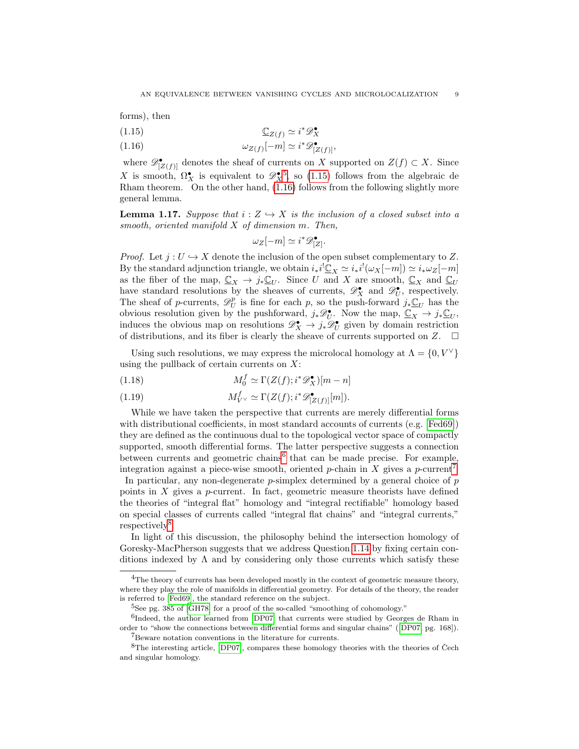forms), then

- <span id="page-8-2"></span>(1.15)  $\mathbb{C}_{Z(f)} \simeq i^* \mathscr{D}_X^{\bullet}$
- <span id="page-8-3"></span>(1.16)  $\omega_{Z(f)}[-m] \simeq i^* \mathscr{D}^{\bullet}_{[Z(f)]},$

where  $\mathscr{D}_{[Z(f)]}^{\bullet}$  denotes the sheaf of currents on X supported on  $Z(f) \subset X$ . Since X is smooth,  $\Omega_X^{\bullet}$  is equivalent to  $\mathscr{D}_X^{\bullet}$ , so (1.1[5](#page-8-1)) follows from the algebraic de Rham theorem. On the other hand, [\(1.16\)](#page-8-3) follows from the following slightly more general lemma.

<span id="page-8-7"></span>**Lemma 1.17.** Suppose that  $i : Z \rightarrow X$  is the inclusion of a closed subset into a smooth, oriented manifold X of dimension m. Then,

$$
\omega_Z[-m] \simeq i^* \mathscr{D}_{[Z]}^{\bullet}.
$$

*Proof.* Let  $j: U \hookrightarrow X$  denote the inclusion of the open subset complementary to Z. By the standard adjunction triangle, we obtain  $i_*i^! \underline{\mathbb{C}}_X \simeq i_*i^! (\omega_X[-m]) \simeq i_* \omega_Z[-m]$ as the fiber of the map,  $\underline{\mathbb{C}}_X \to j_*\underline{\mathbb{C}}_U$ . Since U and X are smooth,  $\underline{\mathbb{C}}_X$  and  $\underline{\mathbb{C}}_U$ have standard resolutions by the sheaves of currents,  $\mathscr{D}^{\bullet}_X$  and  $\mathscr{D}^{\bullet}_U$ , respectively. The sheaf of p-currents,  $\mathscr{D}_U^p$  is fine for each p, so the push-forward  $j_*\underline{\mathbb{C}}_U$  has the obvious resolution given by the pushforward,  $j_*\mathscr{D}_U^{\bullet}$ . Now the map,  $\underline{\mathbb{C}}_X \to j_*\underline{\mathbb{C}}_U$ , induces the obvious map on resolutions  $\mathscr{D}^{\bullet}_X \to j_* \mathscr{D}^{\bullet}_U$  given by domain restriction of distributions, and its fiber is clearly the sheave of currents supported on Z.  $\Box$ 

Using such resolutions, we may express the microlocal homology at  $\Lambda = \{0, V^\vee\}$ using the pullback of certain currents on  $X$ :

(1.18)  $M_0^f \simeq \Gamma(Z(f); i^* \mathscr{D}_X^{\bullet})[m-n]$ 

(1.19) 
$$
M_{V^{\vee}}^{f} \simeq \Gamma(Z(f); i^{*}\mathscr{D}_{[Z(f)]}^{\bullet}[m]).
$$

While we have taken the perspective that currents are merely differential forms with distributional coefficients, in most standard accounts of currents (e.g. [\[Fed69\]](#page-65-6)) they are defined as the continuous dual to the topological vector space of compactly supported, smooth differential forms. The latter perspective suggests a connection between currents and geometric chains<sup>[6](#page-8-4)</sup> that can be made precise. For example, integration against a piece-wise smooth, oriented  $p$ -chain in X gives a  $p$ -current<sup>[7](#page-8-5)</sup>.

In particular, any non-degenerate  $p$ -simplex determined by a general choice of  $p$ points in  $X$  gives a p-current. In fact, geometric measure theorists have defined the theories of "integral flat" homology and "integral rectifiable" homology based on special classes of currents called "integral flat chains" and "integral currents," respectively<sup>[8](#page-8-6)</sup>.

In light of this discussion, the philosophy behind the intersection homology of Goresky-MacPherson suggests that we address Question [1.14](#page-6-3) by fixing certain conditions indexed by  $\Lambda$  and by considering only those currents which satisfy these

<span id="page-8-0"></span> $4$ The theory of currents has been developed mostly in the context of geometric measure theory, where they play the role of manifolds in differential geometry. For details of the theory, the reader is referred to [\[Fed69\]](#page-65-6), the standard reference on the subject.

<span id="page-8-4"></span><span id="page-8-1"></span><sup>&</sup>lt;sup>5</sup>See pg. 385 of [\[GH78\]](#page-65-7) for a proof of the so-called "smoothing of cohomology."

<sup>&</sup>lt;sup>6</sup>Indeed, the author learned from [\[DP07\]](#page-65-8) that currents were studied by Georges de Rham in order to "show the connections between differential forms and singular chains" ([\[DP07,](#page-65-8) pg. 168]).

<span id="page-8-6"></span><span id="page-8-5"></span><sup>7</sup>Beware notation conventions in the literature for currents.

 ${}^{8}{\rm The}$  interesting article, [\[DP07\]](#page-65-8), compares these homology theories with the theories of Čech and singular homology.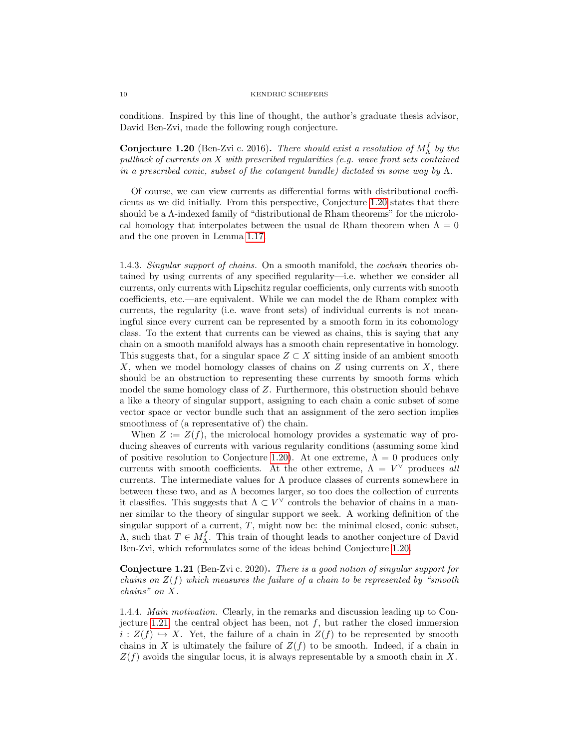#### 10 KENDRIC SCHEFERS

conditions. Inspired by this line of thought, the author's graduate thesis advisor, David Ben-Zvi, made the following rough conjecture.

<span id="page-9-0"></span>**Conjecture 1.20** (Ben-Zvi c. 2016). There should exist a resolution of  $M_{\Lambda}^{f}$  by the pullback of currents on  $X$  with prescribed regularities (e.g. wave front sets contained in a prescribed conic, subset of the cotangent bundle) dictated in some way by  $\Lambda$ .

Of course, we can view currents as differential forms with distributional coefficients as we did initially. From this perspective, Conjecture [1.20](#page-9-0) states that there should be a Λ-indexed family of "distributional de Rham theorems" for the microlocal homology that interpolates between the usual de Rham theorem when  $\Lambda = 0$ and the one proven in Lemma [1.17.](#page-8-7)

1.4.3. Singular support of chains. On a smooth manifold, the cochain theories obtained by using currents of any specified regularity—i.e. whether we consider all currents, only currents with Lipschitz regular coefficients, only currents with smooth coefficients, etc.—are equivalent. While we can model the de Rham complex with currents, the regularity (i.e. wave front sets) of individual currents is not meaningful since every current can be represented by a smooth form in its cohomology class. To the extent that currents can be viewed as chains, this is saying that any chain on a smooth manifold always has a smooth chain representative in homology. This suggests that, for a singular space  $Z \subset X$  sitting inside of an ambient smooth X, when we model homology classes of chains on  $Z$  using currents on  $X$ , there should be an obstruction to representing these currents by smooth forms which model the same homology class of Z. Furthermore, this obstruction should behave a like a theory of singular support, assigning to each chain a conic subset of some vector space or vector bundle such that an assignment of the zero section implies smoothness of (a representative of) the chain.

When  $Z := Z(f)$ , the microlocal homology provides a systematic way of producing sheaves of currents with various regularity conditions (assuming some kind of positive resolution to Conjecture [1.20\)](#page-9-0). At one extreme,  $\Lambda = 0$  produces only currents with smooth coefficients. At the other extreme,  $\Lambda = V^{\vee}$  produces all currents. The intermediate values for  $\Lambda$  produce classes of currents somewhere in between these two, and as  $\Lambda$  becomes larger, so too does the collection of currents it classifies. This suggests that  $\Lambda \subset V^{\vee}$  controls the behavior of chains in a manner similar to the theory of singular support we seek. A working definition of the singular support of a current,  $T$ , might now be: the minimal closed, conic subset,  $Λ$ , such that  $T \in M_\Lambda^f$ . This train of thought leads to another conjecture of David Ben-Zvi, which reformulates some of the ideas behind Conjecture [1.20.](#page-9-0)

<span id="page-9-1"></span>Conjecture 1.21 (Ben-Zvi c. 2020). There is a good notion of singular support for chains on  $Z(f)$  which measures the failure of a chain to be represented by "smooth" chains" on X.

1.4.4. Main motivation. Clearly, in the remarks and discussion leading up to Con-jecture [1.21,](#page-9-1) the central object has been, not  $f$ , but rather the closed immersion  $i : Z(f) \hookrightarrow X$ . Yet, the failure of a chain in  $Z(f)$  to be represented by smooth chains in X is ultimately the failure of  $Z(f)$  to be smooth. Indeed, if a chain in  $Z(f)$  avoids the singular locus, it is always representable by a smooth chain in X.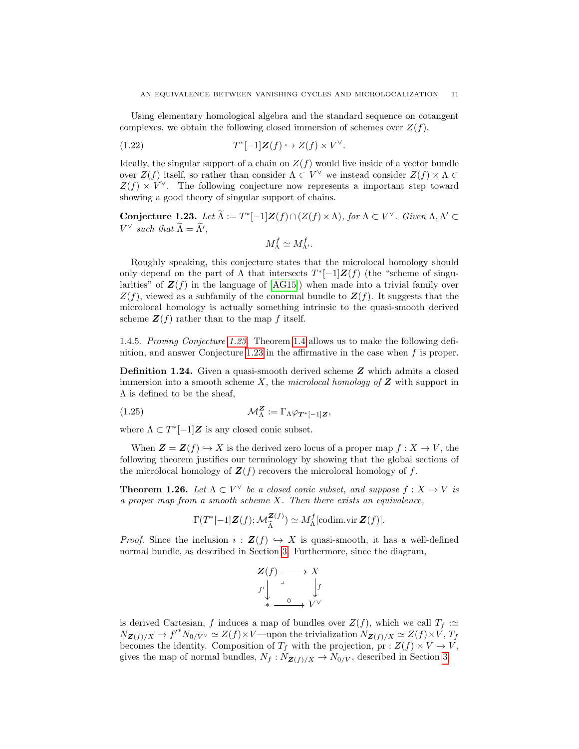Using elementary homological algebra and the standard sequence on cotangent complexes, we obtain the following closed immersion of schemes over  $Z(f)$ ,

$$
(1.22) \t\t T^*[-1]\mathbf{Z}(f) \hookrightarrow Z(f) \times V^{\vee}.
$$

Ideally, the singular support of a chain on  $Z(f)$  would live inside of a vector bundle over  $Z(f)$  itself, so rather than consider  $\Lambda \subset V^{\vee}$  we instead consider  $Z(f) \times \Lambda \subset$  $Z(f) \times V^{\vee}$ . The following conjecture now represents a important step toward showing a good theory of singular support of chains.

<span id="page-10-0"></span>Conjecture 1.23. Let  $\widetilde{\Lambda} := T^*[-1]Z(f) \cap (Z(f) \times \Lambda)$ , for  $\Lambda \subset V^{\vee}$ . Given  $\Lambda, \Lambda' \subset T^*$  $V^{\vee}$  such that  $\widetilde{\Lambda} = \widetilde{\Lambda}'$ ,

$$
M^f_{\Lambda} \simeq M^f_{\Lambda'}.
$$

Roughly speaking, this conjecture states that the microlocal homology should only depend on the part of  $\Lambda$  that intersects  $T^*[-1]\mathbf{Z}(f)$  (the "scheme of singularities" of  $\mathbf{Z}(f)$  in the language of [\[AG15\]](#page-65-9)) when made into a trivial family over  $Z(f)$ , viewed as a subfamily of the conormal bundle to  $Z(f)$ . It suggests that the microlocal homology is actually something intrinsic to the quasi-smooth derived scheme  $\mathbf{Z}(f)$  rather than to the map f itself.

1.4.5. Proving Conjecture [1.23.](#page-10-0) Theorem [1.4](#page-3-2) allows us to make the following definition, and answer Conjecture [1.23](#page-10-0) in the affirmative in the case when f is proper.

Definition 1.24. Given a quasi-smooth derived scheme Z which admits a closed immersion into a smooth scheme X, the microlocal homology of  $Z$  with support in  $\Lambda$  is defined to be the sheaf,

(1.25) 
$$
\mathcal{M}_{\Lambda}^{\mathbf{Z}} := \Gamma_{\Lambda} \varphi_{\mathbf{T}^*[-1]\mathbf{Z}},
$$

where  $\Lambda \subset T^*[-1]\mathbf{Z}$  is any closed conic subset.

When  $\mathbf{Z} = \mathbf{Z}(f) \hookrightarrow X$  is the derived zero locus of a proper map  $f : X \to V$ , the following theorem justifies our terminology by showing that the global sections of the microlocal homology of  $\mathbf{Z}(f)$  recovers the microlocal homology of f.

**Theorem 1.26.** Let  $\Lambda \subset V^{\vee}$  be a closed conic subset, and suppose  $f: X \to V$  is a proper map from a smooth scheme  $X$ . Then there exists an equivalence,

$$
\Gamma(T^*[-1]\mathbf{Z}(f); \mathcal{M}_{\tilde{\Lambda}}^{\mathbf{Z}(f)}) \simeq M_{\Lambda}^f[\text{codim.vir }\mathbf{Z}(f)].
$$

*Proof.* Since the inclusion  $i : \mathbf{Z}(f) \hookrightarrow X$  is quasi-smooth, it has a well-defined normal bundle, as described in Section [3.](#page-26-0) Furthermore, since the diagram,

$$
\begin{array}{ccc}\nZ(f) & \longrightarrow & X \\
f' & \downarrow & \downarrow \\
\ast & \xrightarrow{0} & V^{\vee}\n\end{array}
$$

is derived Cartesian, f induces a map of bundles over  $Z(f)$ , which we call  $T_f :=$  $N_{\mathbf{Z}(f)/X} \to f'^* N_{0/V} \simeq Z(f) \times V$ —upon the trivialization  $N_{\mathbf{Z}(f)/X} \simeq Z(f) \times V$ ,  $T_f$ becomes the identity. Composition of  $T_f$  with the projection,  $pr : Z(f) \times V \to V$ , gives the map of normal bundles,  $N_f : N_{\mathbf{Z}(f)/X} \to N_{0/V}$ , described in Section [3.](#page-26-0)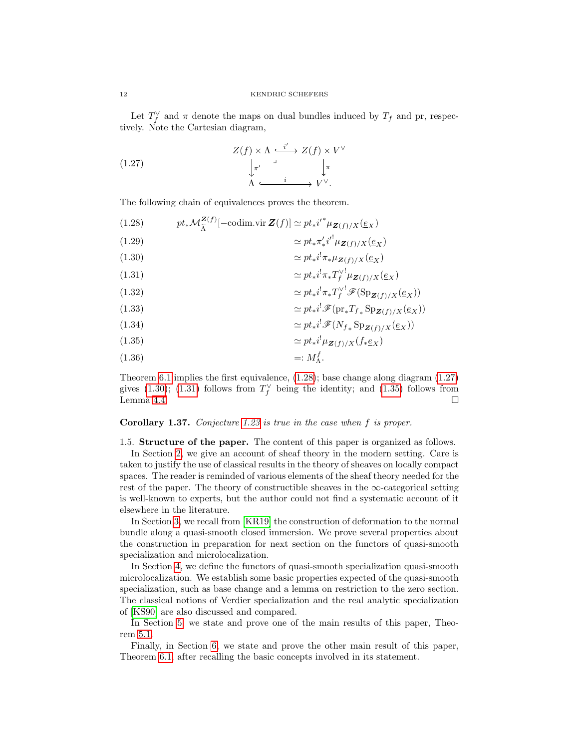Let  $T_f^{\vee}$  and  $\pi$  denote the maps on dual bundles induced by  $T_f$  and pr, respectively. Note the Cartesian diagram,

<span id="page-11-2"></span>(1.27) 
$$
Z(f) \times \Lambda \xrightarrow{i'} Z(f) \times V^{\vee}
$$

$$
\downarrow_{\pi'} \qquad \qquad \downarrow_{\pi} \qquad \qquad \downarrow_{\pi}
$$

$$
\Lambda \xrightarrow{i} V^{\vee}.
$$

The following chain of equivalences proves the theorem.

<span id="page-11-1"></span>(1.28) 
$$
pt_*\mathcal{M}_{\tilde{\Lambda}}^{\mathbf{Z}(f)}[-\text{codim.vir }\mathbf{Z}(f)] \simeq pt_*i'^* \mu_{\mathbf{Z}(f)/X}(\underline{e}_X)
$$

$$
\simeq pt_*\pi'_*i'^! \mu_{\mathbf{Z}(f)/X}(\underline{e}_X)
$$

$$
\simeq pt_*i^! \pi_* \mu_{\mathbf{Z}(f)/X}(\underline{e}_X)
$$

<span id="page-11-4"></span><span id="page-11-3"></span>
$$
(1.31)\t\t\t\t\t\simeq pt_*i^!\pi_*T_f^{\vee^!}\mu_{\mathbf{Z}(f)/X}(\underline{e}_X)
$$

(1.32) 
$$
\simeq pt_* i^! \pi_* T_f^{\vee} \mathscr{F}(\mathrm{Sp}_{\mathbf{Z}(f)/X}(\underline{e}_X))
$$

(1.33) 
$$
\simeq pt_* i^! \mathscr{F}(\mathrm{pr}_* T_{f*} \mathrm{Sp}_{\mathbf{Z}(f)/X}(\underline{e}_X))
$$

(1.34) 
$$
\simeq pt_* i^! \mathscr{F}(N_{f*} \operatorname{Sp}_{\mathbf{Z}(f)/X}(\underline{e}_X))
$$

<span id="page-11-5"></span>
$$
(1.35)\t\t\t\t\t\simeq pt_*i^!\mu_{\mathbf{Z}(f)/X}(f_*\underline{e}_X)
$$

$$
(1.36)\qquad \qquad =: M_{\Lambda}^f.
$$

Theorem [6.1](#page-53-1) implies the first equivalence, [\(1.28\)](#page-11-1); base change along diagram [\(1.27\)](#page-11-2) gives [\(1.30\)](#page-11-3); [\(1.31\)](#page-11-4) follows from  $T_f^{\vee}$  being the identity; and [\(1.35\)](#page-11-5) follows from Lemma [4.4.](#page-36-1)  $\Box$ 

# Corollary 1.37. Conjecture [1.23](#page-10-0) is true in the case when f is proper.

## <span id="page-11-0"></span>1.5. Structure of the paper. The content of this paper is organized as follows.

In Section [2,](#page-13-0) we give an account of sheaf theory in the modern setting. Care is taken to justify the use of classical results in the theory of sheaves on locally compact spaces. The reader is reminded of various elements of the sheaf theory needed for the rest of the paper. The theory of constructible sheaves in the  $\infty$ -categorical setting is well-known to experts, but the author could not find a systematic account of it elsewhere in the literature.

In Section [3,](#page-26-0) we recall from [\[KR19\]](#page-66-0) the construction of deformation to the normal bundle along a quasi-smooth closed immersion. We prove several properties about the construction in preparation for next section on the functors of quasi-smooth specialization and microlocalization.

In Section [4,](#page-34-0) we define the functors of quasi-smooth specialization quasi-smooth microlocalization. We establish some basic properties expected of the quasi-smooth specialization, such as base change and a lemma on restriction to the zero section. The classical notions of Verdier specialization and the real analytic specialization of [\[KS90\]](#page-66-2) are also discussed and compared.

In Section [5,](#page-43-0) we state and prove one of the main results of this paper, Theorem [5.1.](#page-43-2)

Finally, in Section [6,](#page-53-0) we state and prove the other main result of this paper, Theorem [6.1,](#page-53-1) after recalling the basic concepts involved in its statement.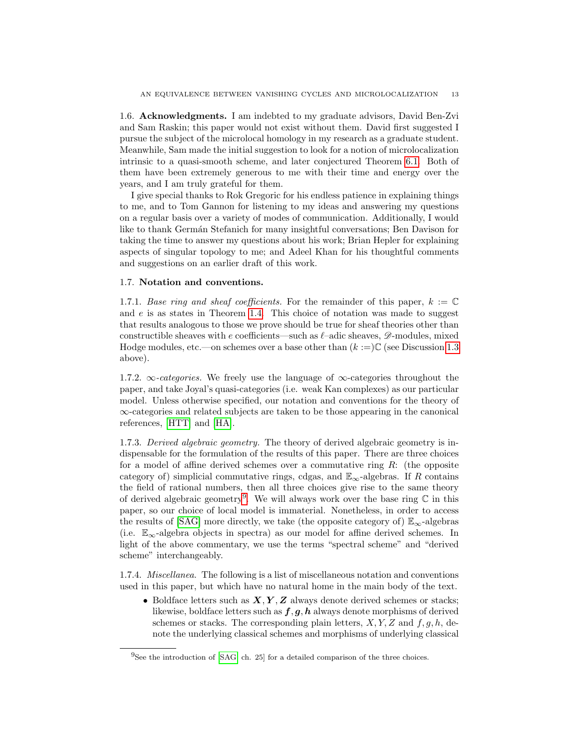<span id="page-12-0"></span>1.6. Acknowledgments. I am indebted to my graduate advisors, David Ben-Zvi and Sam Raskin; this paper would not exist without them. David first suggested I pursue the subject of the microlocal homology in my research as a graduate student. Meanwhile, Sam made the initial suggestion to look for a notion of microlocalization intrinsic to a quasi-smooth scheme, and later conjectured Theorem [6.1.](#page-53-1) Both of them have been extremely generous to me with their time and energy over the years, and I am truly grateful for them.

I give special thanks to Rok Gregoric for his endless patience in explaining things to me, and to Tom Gannon for listening to my ideas and answering my questions on a regular basis over a variety of modes of communication. Additionally, I would like to thank Germán Stefanich for many insightful conversations; Ben Davison for taking the time to answer my questions about his work; Brian Hepler for explaining aspects of singular topology to me; and Adeel Khan for his thoughtful comments and suggestions on an earlier draft of this work.

## <span id="page-12-1"></span>1.7. Notation and conventions.

1.7.1. Base ring and sheaf coefficients. For the remainder of this paper,  $k := \mathbb{C}$ and  $e$  is as states in Theorem [1.4.](#page-3-2) This choice of notation was made to suggest that results analogous to those we prove should be true for sheaf theories other than constructible sheaves with e coefficients—such as  $\ell$ –adic sheaves,  $\mathscr{D}$ -modules, mixed Hodge modules, etc.—on schemes over a base other than  $(k :=)C$  (see Discussion [1.3](#page-2-1)) above).

1.7.2.  $\infty$ -categories. We freely use the language of  $\infty$ -categories throughout the paper, and take Joyal's quasi-categories (i.e. weak Kan complexes) as our particular model. Unless otherwise specified, our notation and conventions for the theory of ∞-categories and related subjects are taken to be those appearing in the canonical references, [\[HTT\]](#page-66-6) and [\[HA\]](#page-66-7).

1.7.3. Derived algebraic geometry. The theory of derived algebraic geometry is indispensable for the formulation of the results of this paper. There are three choices for a model of affine derived schemes over a commutative ring  $R$ : (the opposite category of) simplicial commutative rings, cdgas, and  $\mathbb{E}_{\infty}$ -algebras. If R contains the field of rational numbers, then all three choices give rise to the same theory of derived algebraic geometry<sup>[9](#page-12-2)</sup>. We will always work over the base ring  $\mathbb C$  in this paper, so our choice of local model is immaterial. Nonetheless, in order to access the results of [\[SAG\]](#page-66-8) more directly, we take (the opposite category of)  $\mathbb{E}_{\infty}$ -algebras (i.e.  $\mathbb{E}_{\infty}$ -algebra objects in spectra) as our model for affine derived schemes. In light of the above commentary, we use the terms "spectral scheme" and "derived scheme" interchangeably.

1.7.4. Miscellanea. The following is a list of miscellaneous notation and conventions used in this paper, but which have no natural home in the main body of the text.

• Boldface letters such as  $X, Y, Z$  always denote derived schemes or stacks; likewise, boldface letters such as  $f, g, h$  always denote morphisms of derived schemes or stacks. The corresponding plain letters,  $X, Y, Z$  and  $f, g, h$ , denote the underlying classical schemes and morphisms of underlying classical

<span id="page-12-2"></span> $^{9}$ See the introduction of [\[SAG,](#page-66-8) ch. 25] for a detailed comparison of the three choices.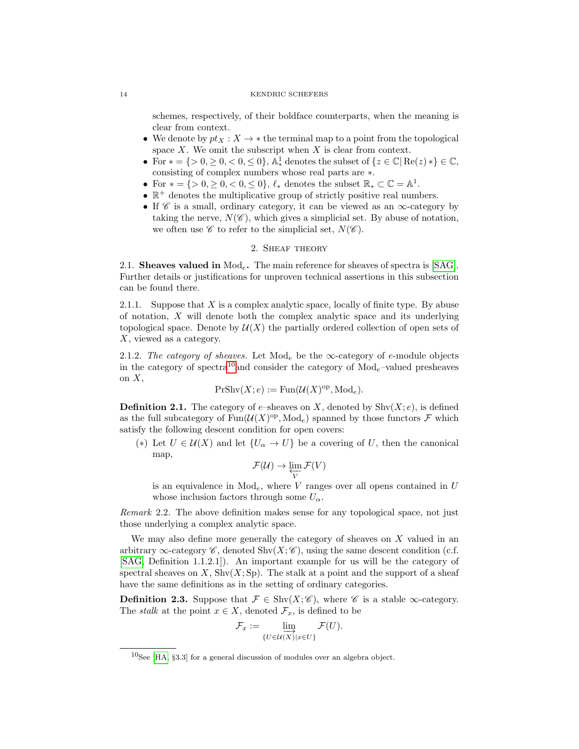#### 14 KENDRIC SCHEFERS

schemes, respectively, of their boldface counterparts, when the meaning is clear from context.

- We denote by  $pt_X : X \to *$  the terminal map to a point from the topological space  $X$ . We omit the subscript when  $X$  is clear from context.
- For  $* = \{ > 0, \geq 0, < 0, \leq 0 \},\n\mathbb{A}_{*}^1$  denotes the subset of  $\{ z \in \mathbb{C} \mid \text{Re}(z) * \} \in \mathbb{C},$ consisting of complex numbers whose real parts are ∗.
- For  $* = \{ > 0, \geq 0, < 0, \leq 0 \}, \ell_*$  denotes the subset  $\mathbb{R}_* \subset \mathbb{C} = \mathbb{A}^1$ .
- $\bullet \mathbb{R}^+$  denotes the multiplicative group of strictly positive real numbers.
- If  $\mathscr C$  is a small, ordinary category, it can be viewed as an  $\infty$ -category by taking the nerve,  $N(\mathscr{C})$ , which gives a simplicial set. By abuse of notation, we often use  $\mathscr C$  to refer to the simplicial set,  $N(\mathscr C)$ .

# 2. Sheaf theory

<span id="page-13-1"></span><span id="page-13-0"></span>2.1. Sheaves valued in  $Mod_e$ . The main reference for sheaves of spectra is [\[SAG\]](#page-66-8). Further details or justifications for unproven technical assertions in this subsection can be found there.

2.1.1. Suppose that X is a complex analytic space, locally of finite type. By abuse of notation,  $X$  will denote both the complex analytic space and its underlying topological space. Denote by  $\mathcal{U}(X)$  the partially ordered collection of open sets of X, viewed as a category.

2.1.2. The category of sheaves. Let  $\text{Mod}_e$  be the  $\infty$ -category of e-module objects in the category of spectra<sup>[10](#page-13-2)</sup> and consider the category of  $\text{Mod}_e$ -valued presheaves on  $X$ ,

$$
PrShv(X;e) := Fun(\mathcal{U}(X)^{op}, \text{Mod}_e).
$$

**Definition 2.1.** The category of e–sheaves on X, denoted by  $\text{Shv}(X; e)$ , is defined as the full subcategory of  $\text{Fun}(\mathcal{U}(X)^{\text{op}}, \text{Mod}_e)$  spanned by those functors  $\mathcal F$  which satisfy the following descent condition for open covers:

(\*) Let  $U \in \mathcal{U}(X)$  and let  $\{U_{\alpha} \to U\}$  be a covering of U, then the canonical map,

$$
\mathcal{F}(\mathcal{U}) \to \varprojlim_{V} \mathcal{F}(V)
$$

is an equivalence in  $Mod_e$ , where V ranges over all opens contained in U whose inclusion factors through some  $U_{\alpha}$ .

Remark 2.2. The above definition makes sense for any topological space, not just those underlying a complex analytic space.

We may also define more generally the category of sheaves on X valued in an arbitrary  $\infty$ -category  $\mathscr{C}$ , denoted Shv $(X;\mathscr{C})$ , using the same descent condition (c.f. [\[SAG,](#page-66-8) Definition 1.1.2.1]). An important example for us will be the category of spectral sheaves on X,  $\text{Shv}(X; \text{Sp})$ . The stalk at a point and the support of a sheaf have the same definitions as in the setting of ordinary categories.

**Definition 2.3.** Suppose that  $\mathcal{F} \in \text{Shv}(X; \mathscr{C})$ , where  $\mathscr{C}$  is a stable  $\infty$ -category. The *stalk* at the point  $x \in X$ , denoted  $\mathcal{F}_x$ , is defined to be

$$
\mathcal{F}_x := \lim_{\{U \in \mathcal{U}(X) \mid x \in U\}} \mathcal{F}(U).
$$

<span id="page-13-2"></span> $10$ See [\[HA,](#page-66-7) §3.3] for a general discussion of modules over an algebra object.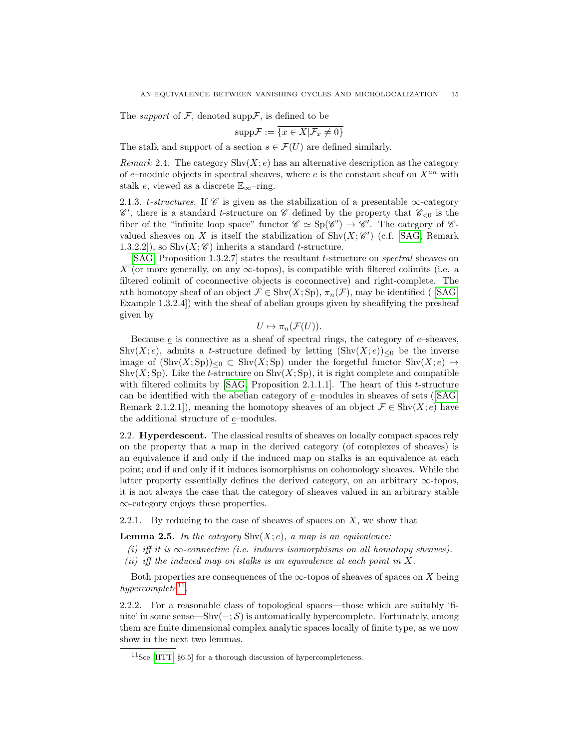The *support* of  $\mathcal{F}$ , denoted supp $\mathcal{F}$ , is defined to be

$$
\mathrm{supp}\mathcal{F} := \overline{\{x \in X | \mathcal{F}_x \neq 0\}}
$$

The stalk and support of a section  $s \in \mathcal{F}(U)$  are defined similarly.

Remark 2.4. The category  $\text{Shv}(X; e)$  has an alternative description as the category of e–module objects in spectral sheaves, where  $e$  is the constant sheaf on  $X^{an}$  with stalk e, viewed as a discrete  $\mathbb{E}_{\infty}$ -ring.

2.1.3. t-structures. If  $\mathscr C$  is given as the stabilization of a presentable  $\infty$ -category  $\mathscr{C}'$ , there is a standard *t*-structure on  $\mathscr{C}$  defined by the property that  $\mathscr{C}_{< 0}$  is the fiber of the "infinite loop space" functor  $\mathscr{C} \simeq Sp(\mathscr{C}') \to \mathscr{C}'$ . The category of  $\mathscr{C}$ valued sheaves on X is itself the stabilization of  $\text{Shv}(X;\mathscr{C}')$  (c.f. [\[SAG,](#page-66-8) Remark 1.3.2.2]), so  $\text{Shv}(X;\mathscr{C})$  inherits a standard t-structure.

[\[SAG,](#page-66-8) Proposition 1.3.2.7] states the resultant t-structure on *spectral* sheaves on X (or more generally, on any  $\infty$ -topos), is compatible with filtered colimits (i.e. a filtered colimit of coconnective objects is coconnective) and right-complete. The nth homotopy sheaf of an object  $\mathcal{F} \in \text{Shv}(X; \text{Sp})$ ,  $\pi_n(\mathcal{F})$ , may be identified ( [\[SAG,](#page-66-8) Example 1.3.2.4]) with the sheaf of abelian groups given by sheafifying the presheaf given by

$$
U \mapsto \pi_n(\mathcal{F}(U)).
$$

Because  $\epsilon$  is connective as a sheaf of spectral rings, the category of  $\epsilon$ -sheaves, Shv(X; e), admits a t-structure defined by letting  $(\text{Shv}(X; e))_{\leq 0}$  be the inverse image of  $(\text{Shv}(X; \text{Sp}))_{\leq 0} \subset \text{Shv}(X; \text{Sp})$  under the forgetful functor  $\text{Shv}(X; e) \to$ Shv $(X; Sp)$ . Like the t-structure on Shv $(X; Sp)$ , it is right complete and compatible with filtered colimits by  $[SAG, Proposition 2.1.1.1]$ . The heart of this t-structure canbe identified with the abelian category of  $e$ –modules in sheaves of sets ([\[SAG,](#page-66-8) Remark 2.1.2.1]), meaning the homotopy sheaves of an object  $\mathcal{F} \in \text{Shv}(X; e)$  have the additional structure of  $\underline{e}\mathrm{-modules}.$ 

<span id="page-14-0"></span>2.2. Hyperdescent. The classical results of sheaves on locally compact spaces rely on the property that a map in the derived category (of complexes of sheaves) is an equivalence if and only if the induced map on stalks is an equivalence at each point; and if and only if it induces isomorphisms on cohomology sheaves. While the latter property essentially defines the derived category, on an arbitrary  $\infty$ -topos, it is not always the case that the category of sheaves valued in an arbitrary stable ∞-category enjoys these properties.

2.2.1. By reducing to the case of sheaves of spaces on  $X$ , we show that

<span id="page-14-2"></span>**Lemma 2.5.** In the category  $\text{Shv}(X; e)$ , a map is an equivalence:

- (i) iff it is  $\infty$ -connective (i.e. induces isomorphisms on all homotopy sheaves).
- (ii) iff the induced map on stalks is an equivalence at each point in  $X$ .

Both properties are consequences of the  $\infty$ -topos of sheaves of spaces on X being  $hypercomplete^{11}$  $hypercomplete^{11}$  $hypercomplete^{11}$ .

2.2.2. For a reasonable class of topological spaces—those which are suitably 'finite' in some sense—Shv $(-; S)$  is automatically hypercomplete. Fortunately, among them are finite dimensional complex analytic spaces locally of finite type, as we now show in the next two lemmas.

<span id="page-14-3"></span><span id="page-14-1"></span> ${}^{11}$ See [\[HTT,](#page-66-6) §6.5] for a thorough discussion of hypercompleteness.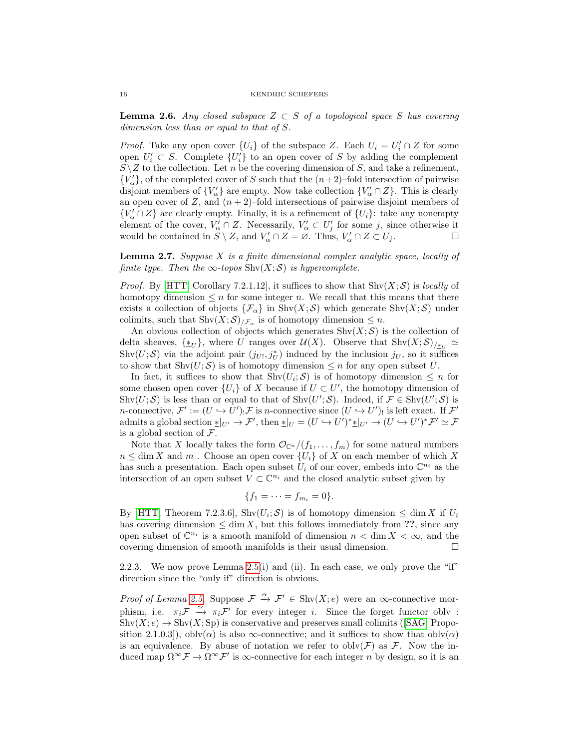**Lemma 2.6.** Any closed subspace  $Z \subset S$  of a topological space S has covering dimension less than or equal to that of S.

*Proof.* Take any open cover  $\{U_i\}$  of the subspace Z. Each  $U_i = U'_i \cap Z$  for some open  $U_i' \subset S$ . Complete  $\{U_i'\}$  to an open cover of S by adding the complement  $S\setminus Z$  to the collection. Let n be the covering dimension of S, and take a refinement,  ${V'_\alpha}$ , of the completed cover of S such that the  $(n+2)$ –fold intersection of pairwise disjoint members of  $\{V'_{\alpha}\}\$ are empty. Now take collection  $\{V'_{\alpha}\cap Z\}$ . This is clearly an open cover of Z, and  $(n + 2)$ –fold intersections of pairwise disjoint members of  ${V'_\alpha \cap Z}$  are clearly empty. Finally, it is a refinement of  ${U_i}$ : take any nonempty element of the cover,  $V'_{\alpha} \cap Z$ . Necessarily,  $V'_{\alpha} \subset U'_{j}$  for some j, since otherwise it would be contained in  $S \setminus Z$ , and  $V'_{\alpha} \cap Z = \emptyset$ . Thus,  $V'_{\alpha} \cap Z \subset U_j$ .

<span id="page-15-0"></span>**Lemma 2.7.** Suppose  $X$  is a finite dimensional complex analytic space, locally of finite type. Then the  $\infty$ -topos Shv $(X; S)$  is hypercomplete.

*Proof.* By [\[HTT,](#page-66-6) Corollary 7.2.1.12], it suffices to show that  $\text{Shv}(X;\mathcal{S})$  is *locally* of homotopy dimension  $\leq n$  for some integer n. We recall that this means that there exists a collection of objects  $\{\mathcal{F}_{\alpha}\}\$ in Shv $(X;\mathcal{S})$  which generate Shv $(X;\mathcal{S})$  under colimits, such that  $\text{Shv}(X;\mathcal{S})_{/\mathcal{F}_{\alpha}}$  is of homotopy dimension  $\leq n$ .

An obvious collection of objects which generates  $\text{Shv}(X; \mathcal{S})$  is the collection of delta sheaves,  $\{\ddot{\ast}_U\}$ , where U ranges over  $\mathcal{U}(X)$ . Observe that  $\text{Shv}(X;\mathcal{S})_{/\breve{\ast}_U} \simeq$ Shv $(U; S)$  via the adjoint pair  $(j_{U}, j_{U}^{*})$  induced by the inclusion  $j_{U}$ , so it suffices to show that  $\text{Shv}(U; \mathcal{S})$  is of homotopy dimension  $\leq n$  for any open subset U.

In fact, it suffices to show that  $\text{Shv}(U_i; S)$  is of homotopy dimension  $\leq n$  for some chosen open cover  $\{U_i\}$  of X because if  $U \subset U'$ , the homotopy dimension of Shv $(U; S)$  is less than or equal to that of Shv $(U'; S)$ . Indeed, if  $\mathcal{F} \in \text{Shv}(U'; S)$  is *n*-connective,  $\mathcal{F}' := (U \hookrightarrow U')_! \mathcal{F}$  is *n*-connective since  $(U \hookrightarrow U')_!$  is left exact. If  $\mathcal{F}'$ admits a global section  $\mathbf{L}_{|U'} \to \mathcal{F}'$ , then  $\mathbf{L}_{|U} = (U \hookrightarrow U')^* \mathbf{L}_{|U'} \to (U \hookrightarrow U')^* \mathcal{F}' \simeq \mathcal{F}$ is a global section of  $\mathcal{F}.$ 

Note that X locally takes the form  $\mathcal{O}_{\mathbb{C}^n}/(f_1,\ldots,f_m)$  for some natural numbers  $n \leq \dim X$  and m. Choose an open cover  $\{U_i\}$  of X on each member of which X has such a presentation. Each open subset  $\hat{U}_i$  of our cover, embeds into  $\mathbb{C}^{n_i}$  as the intersection of an open subset  $V \subset \mathbb{C}^{n_i}$  and the closed analytic subset given by

$$
\{f_1=\cdots=f_{m_i}=0\}.
$$

By [\[HTT,](#page-66-6) Theorem 7.2.3.6], Shv $(U_i; S)$  is of homotopy dimension  $\leq \dim X$  if  $U_i$ has covering dimension  $\leq$  dim X, but this follows immediately from ??, since any open subset of  $\mathbb{C}^{n_i}$  is a smooth manifold of dimension  $n < \dim X < \infty$ , and the covering dimension of smooth manifolds is their usual dimension.

2.2.3. We now prove Lemma [2.5\(](#page-14-2)i) and (ii). In each case, we only prove the "if" direction since the "only if" direction is obvious.

*Proof of Lemma [2.5.](#page-14-2)* Suppose  $\mathcal{F} \stackrel{\alpha}{\to} \mathcal{F}' \in \text{Shv}(X; e)$  were an  $\infty$ -connective morphism, i.e.  $\pi_i \mathcal{F} \stackrel{\simeq}{\to} \pi_i \mathcal{F}'$  for every integer *i*. Since the forget functor obly :  $\text{Shv}(X; e) \to \text{Shv}(X; \text{Sp})$  is conservative and preserves small colimits ([\[SAG,](#page-66-8) Proposition 2.1.0.3]), obly( $\alpha$ ) is also  $\infty$ -connective; and it suffices to show that obly( $\alpha$ ) is an equivalence. By abuse of notation we refer to  $oblv(\mathcal{F})$  as  $\mathcal{F}$ . Now the induced map  $\Omega^{\infty} \mathcal{F} \to \Omega^{\infty} \mathcal{F}'$  is  $\infty$ -connective for each integer n by design, so it is an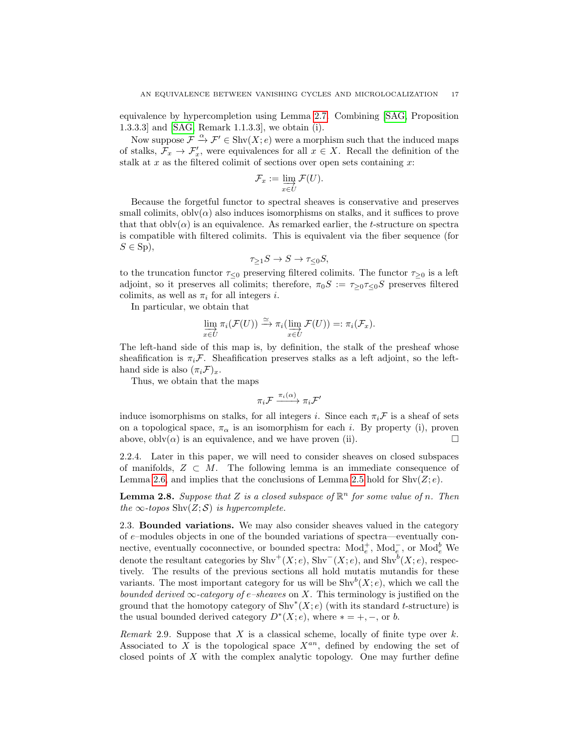equivalence by hypercompletion using Lemma [2.7.](#page-15-0) Combining [\[SAG,](#page-66-8) Proposition 1.3.3.3] and [\[SAG,](#page-66-8) Remark 1.1.3.3], we obtain (i).

Now suppose  $\mathcal{F} \stackrel{\alpha}{\rightarrow} \mathcal{F}' \in \text{Shv}(X; e)$  were a morphism such that the induced maps of stalks,  $\mathcal{F}_x \to \mathcal{F}'_x$ , were equivalences for all  $x \in X$ . Recall the definition of the stalk at x as the filtered colimit of sections over open sets containing  $x$ :

$$
\mathcal{F}_x := \varinjlim_{x \in U} \mathcal{F}(U).
$$

Because the forgetful functor to spectral sheaves is conservative and preserves small colimits,  $oblv(\alpha)$  also induces isomorphisms on stalks, and it suffices to prove that that  $oblv(\alpha)$  is an equivalence. As remarked earlier, the t-structure on spectra is compatible with filtered colimits. This is equivalent via the fiber sequence (for  $S \in Sp$ ),

$$
\tau_{\geq 1} S \to S \to \tau_{\leq 0} S,
$$

to the truncation functor  $\tau_{\leq 0}$  preserving filtered colimits. The functor  $\tau_{\geq 0}$  is a left adjoint, so it preserves all colimits; therefore,  $\pi_0S := \tau_{\geq 0}\tau_{\leq 0}S$  preserves filtered colimits, as well as  $\pi_i$  for all integers *i*.

In particular, we obtain that

$$
\varinjlim_{x \in U} \pi_i(\mathcal{F}(U)) \xrightarrow{\simeq} \pi_i(\varinjlim_{x \in U} \mathcal{F}(U)) =: \pi_i(\mathcal{F}_x).
$$

The left-hand side of this map is, by definition, the stalk of the presheaf whose sheafification is  $\pi_i \mathcal{F}$ . Sheafification preserves stalks as a left adjoint, so the lefthand side is also  $(\pi_i \mathcal{F})_x$ .

Thus, we obtain that the maps

$$
\pi_i \mathcal{F} \xrightarrow{\pi_i(\alpha)} \pi_i \mathcal{F}'
$$

induce isomorphisms on stalks, for all integers i. Since each  $\pi_i \mathcal{F}$  is a sheaf of sets on a topological space,  $\pi_{\alpha}$  is an isomorphism for each i. By property (i), proven above, obly $(\alpha)$  is an equivalence, and we have proven (ii).

2.2.4. Later in this paper, we will need to consider sheaves on closed subspaces of manifolds,  $Z \subset M$ . The following lemma is an immediate consequence of Lemma [2.6,](#page-14-3) and implies that the conclusions of Lemma [2.5](#page-14-2) hold for  $\text{Shv}(Z; e)$ .

**Lemma 2.8.** Suppose that Z is a closed subspace of  $\mathbb{R}^n$  for some value of n. Then the  $\infty$ -topos Shv $(Z; S)$  is hypercomplete.

<span id="page-16-0"></span>2.3. Bounded variations. We may also consider sheaves valued in the category of  $e$ –modules objects in one of the bounded variations of spectra—eventually connective, eventually coconnective, or bounded spectra:  $Mod_e^+$ ,  $Mod_e^-$ , or  $Mod_e^b$  We denote the resultant categories by  $\text{Shv}^+(X; e)$ ,  $\text{Shv}^-(X; e)$ , and  $\text{Shv}^b(X; e)$ , respectively. The results of the previous sections all hold mutatis mutandis for these variants. The most important category for us will be  $\text{Shv}^b(X; e)$ , which we call the bounded derived  $\infty$ -category of e–sheaves on X. This terminology is justified on the ground that the homotopy category of  $\text{Shv}^*(X;e)$  (with its standard t-structure) is the usual bounded derived category  $D^*(X; e)$ , where  $* = +, -$ , or b.

Remark 2.9. Suppose that  $X$  is a classical scheme, locally of finite type over  $k$ . Associated to X is the topological space  $X^{an}$ , defined by endowing the set of closed points of X with the complex analytic topology. One may further define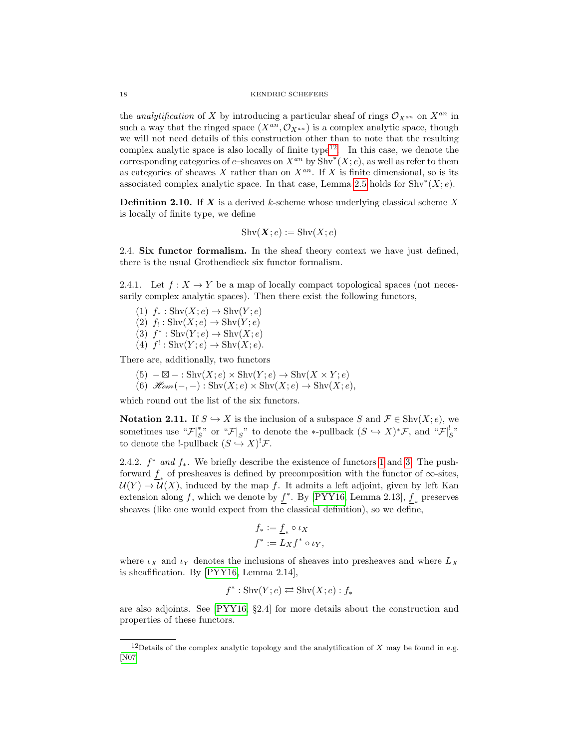the *analytification* of X by introducing a particular sheaf of rings  $\mathcal{O}_{X^{an}}$  on  $X^{an}$  in such a way that the ringed space  $(X^{an}, \mathcal{O}_{X^{an}})$  is a complex analytic space, though we will not need details of this construction other than to note that the resulting complex analytic space is also locally of finite type<sup>[12](#page-17-1)</sup>. In this case, we denote the corresponding categories of e–sheaves on  $X^{an}$  by  $\text{Shv}^*(X; e)$ , as well as refer to them as categories of sheaves X rather than on  $X^{an}$ . If X is finite dimensional, so is its associated complex analytic space. In that case, Lemma [2.5](#page-14-2) holds for  $\text{Shv}^*(X; e)$ .

**Definition 2.10.** If  $X$  is a derived k-scheme whose underlying classical scheme X is locally of finite type, we define

$$
Shv(\mathbf{X};e) := Shv(X;e)
$$

<span id="page-17-0"></span>2.4. Six functor formalism. In the sheaf theory context we have just defined, there is the usual Grothendieck six functor formalism.

2.4.1. Let  $f: X \to Y$  be a map of locally compact topological spaces (not necessarily complex analytic spaces). Then there exist the following functors,

<span id="page-17-4"></span><span id="page-17-2"></span>(1)  $f_* : \text{Shv}(X; e) \to \text{Shv}(Y; e)$ (2)  $f_! : \text{Shv}(X; e) \to \text{Shv}(Y; e)$ (3)  $f^*: \text{Shv}(Y; e) \to \text{Shv}(X; e)$ 

<span id="page-17-5"></span><span id="page-17-3"></span>(4)  $f' : \text{Shv}(Y; e) \to \text{Shv}(X; e)$ .

There are, additionally, two functors

- $(5) \boxtimes : \text{Shv}(X; e) \times \text{Shv}(Y; e) \rightarrow \text{Shv}(X \times Y; e)$
- (6)  $\mathscr{H}_{\mathscr{O}}(-,-): \operatorname{Shv}(X;e) \times \operatorname{Shv}(X;e) \rightarrow \operatorname{Shv}(X;e)$ .

which round out the list of the six functors.

Notation 2.11. If  $S \hookrightarrow X$  is the inclusion of a subspace S and  $\mathcal{F} \in \text{Shv}(X; e)$ , we sometimes use " $\mathcal{F}|_S^*$ " or " $\mathcal{F}|_S$ " to denote the \*-pullback  $(S \hookrightarrow X)^* \mathcal{F}$ , and " $\mathcal{F}|_S^!$ " to denote the !-pullback  $(S \hookrightarrow X)^! \mathcal{F}$ .

2.4.2.  $f^*$  and  $f_*$ . We briefly describe the existence of functors [1](#page-17-2) and [3.](#page-17-3) The pushforward  $\underline{f}_*$  of presheaves is defined by precomposition with the functor of  $\infty$ -sites,  $U(Y) \to U(X)$ , induced by the map f. It admits a left adjoint, given by left Kan extension along  $f$ , which we denote by  $\underline{f}^*$ . By [\[PYY16,](#page-66-9) Lemma 2.13],  $\underline{f}_*$  preserves sheaves (like one would expect from the classical definition), so we define,

$$
f_* := \underline{f}_* \circ \iota_X
$$
  

$$
f^* := L_X \underline{f}^* \circ \iota_Y,
$$

where  $\iota_X$  and  $\iota_Y$  denotes the inclusions of sheaves into presheaves and where  $L_X$ is sheafification. By [\[PYY16,](#page-66-9) Lemma 2.14],

$$
f^* : \operatorname{Shv}(Y; e) \rightleftarrows \operatorname{Shv}(X; e) : f_*
$$

are also adjoints. See [\[PYY16,](#page-66-9) §2.4] for more details about the construction and properties of these functors.

<span id="page-17-1"></span><sup>&</sup>lt;sup>12</sup>Details of the complex analytic topology and the analytification of X may be found in e.g. [\[N07\]](#page-66-10)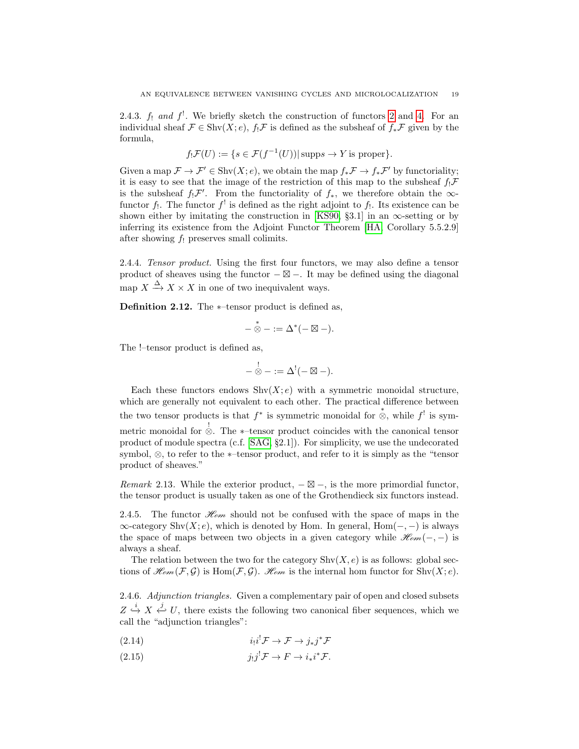2.4.3.  $f_1$  and  $f'$ . We briefly sketch the construction of functors [2](#page-17-4) and [4.](#page-17-5) For an individual sheaf  $\mathcal{F} \in \text{Shv}(X; e)$ ,  $f_! \mathcal{F}$  is defined as the subsheaf of  $f_* \mathcal{F}$  given by the formula,

$$
f_! \mathcal{F}(U) := \{ s \in \mathcal{F}(f^{-1}(U)) | \text{supp} s \to Y \text{ is proper} \}.
$$

Given a map  $\mathcal{F} \to \mathcal{F}' \in \text{Shv}(X; e)$ , we obtain the map  $f_*\mathcal{F} \to f_*\mathcal{F}'$  by functoriality; it is easy to see that the image of the restriction of this map to the subsheaf  $f_! \mathcal{F}$ is the subsheaf  $f_! \mathcal{F}'$ . From the functoriality of  $f_*$ , we therefore obtain the  $\infty$ functor  $f_!$ . The functor  $f_{}^!$  is defined as the right adjoint to  $f_!$ . Its existence can be shown either by imitating the construction in [\[KS90,](#page-66-2) §3.1] in an  $\infty$ -setting or by inferring its existence from the Adjoint Functor Theorem [\[HA,](#page-66-7) Corollary 5.5.2.9] after showing  $f_!$  preserves small colimits.

2.4.4. Tensor product. Using the first four functors, we may also define a tensor product of sheaves using the functor  $-\boxtimes -$ . It may be defined using the diagonal map  $X \xrightarrow{\Delta} X \times X$  in one of two inequivalent ways.

Definition 2.12. The ∗–tensor product is defined as,

$$
-\overset{*}{\otimes}-:=\Delta^*(-\boxtimes-).
$$

The !–tensor product is defined as,

$$
-\overset{!}{\otimes}-:=\Delta^!(-\boxtimes-).
$$

Each these functors endows  $\text{Shv}(X; e)$  with a symmetric monoidal structure, which are generally not equivalent to each other. The practical difference between the two tensor products is that  $f^*$  is symmetric monoidal for  $\stackrel{*}{\otimes}$ , while  $f^!$  is symmetric monoidal for ! ⊗. The ∗–tensor product coincides with the canonical tensor product of module spectra (c.f. [\[SAG,](#page-66-8) §2.1]). For simplicity, we use the undecorated symbol, ⊗, to refer to the ∗–tensor product, and refer to it is simply as the "tensor product of sheaves."

Remark 2.13. While the exterior product,  $-\boxtimes -$ , is the more primordial functor, the tensor product is usually taken as one of the Grothendieck six functors instead.

2.4.5. The functor  $\mathcal{H}_{om}$  should not be confused with the space of maps in the  $\infty$ -category Shv $(X; e)$ , which is denoted by Hom. In general, Hom $(-, -)$  is always the space of maps between two objects in a given category while  $\mathcal{H}_{om}(-,-)$  is always a sheaf.

The relation between the two for the category  $\text{Shv}(X, e)$  is as follows: global sections of  $\mathcal{H}_{em}(\mathcal{F}, \mathcal{G})$  is  $\text{Hom}(\mathcal{F}, \mathcal{G})$ .  $\mathcal{H}_{em}$  is the internal hom functor for  $\text{Shv}(X; e)$ .

2.4.6. Adjunction triangles. Given a complementary pair of open and closed subsets  $Z \stackrel{i}{\hookrightarrow} X \stackrel{j}{\hookleftarrow} U$ , there exists the following two canonical fiber sequences, which we call the "adjunction triangles":

$$
(2.14) \t\t i1i! \mathcal{F} \to \mathcal{F} \to j* j* \mathcal{F}
$$

(2.15) 
$$
j_!j^! \mathcal{F} \to F \to i_*i^* \mathcal{F}.
$$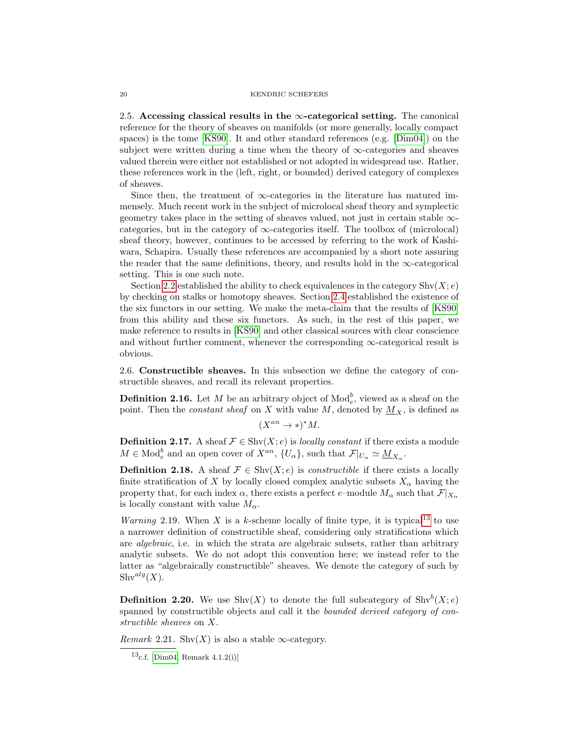<span id="page-19-0"></span>2.5. Accessing classical results in the  $\infty$ -categorical setting. The canonical reference for the theory of sheaves on manifolds (or more generally, locally compact spaces) is the tome [\[KS90\]](#page-66-2). It and other standard references (e.g. [\[Dim04\]](#page-65-10)) on the subject were written during a time when the theory of  $\infty$ -categories and sheaves valued therein were either not established or not adopted in widespread use. Rather, these references work in the (left, right, or bounded) derived category of complexes of sheaves.

Since then, the treatment of  $\infty$ -categories in the literature has matured immensely. Much recent work in the subject of microlocal sheaf theory and symplectic geometry takes place in the setting of sheaves valued, not just in certain stable  $\infty$ categories, but in the category of  $\infty$ -categories itself. The toolbox of (microlocal) sheaf theory, however, continues to be accessed by referring to the work of Kashiwara, Schapira. Usually these references are accompanied by a short note assuring the reader that the same definitions, theory, and results hold in the  $\infty$ -categorical setting. This is one such note.

Section [2.2](#page-14-0) established the ability to check equivalences in the category  $\text{Shv}(X; e)$ by checking on stalks or homotopy sheaves. Section [2.4](#page-17-0) established the existence of the six functors in our setting. We make the meta-claim that the results of [\[KS90\]](#page-66-2) from this ability and these six functors. As such, in the rest of this paper, we make reference to results in [\[KS90\]](#page-66-2) and other classical sources with clear conscience and without further comment, whenever the corresponding  $\infty$ -categorical result is obvious.

<span id="page-19-1"></span>2.6. Constructible sheaves. In this subsection we define the category of constructible sheaves, and recall its relevant properties.

**Definition 2.16.** Let M be an arbitrary object of  $\text{Mod}_{e}^{b}$ , viewed as a sheaf on the point. Then the *constant sheaf* on X with value M, denoted by  $M_X$ , is defined as

$$
(X^{an} \to \ast)^* M.
$$

**Definition 2.17.** A sheaf  $\mathcal{F} \in \text{Shv}(X; e)$  is *locally constant* if there exists a module  $M \in \text{Mod}_e^b$  and an open cover of  $X^{an}$ ,  $\{U_\alpha\}$ , such that  $\mathcal{F}|_{U_\alpha} \simeq \underline{M}_{X_\alpha}$ .

**Definition 2.18.** A sheaf  $\mathcal{F} \in \text{Shv}(X; e)$  is *constructible* if there exists a locally finite stratification of X by locally closed complex analytic subsets  $X_\alpha$  having the property that, for each index  $\alpha$ , there exists a perfect e–module  $M_{\alpha}$  such that  $\mathcal{F}|_{X_{\alpha}}$ is locally constant with value  $M_{\alpha}$ .

*Warning* 2.19. When X is a k-scheme locally of finite type, it is typical<sup>[13](#page-19-2)</sup> to use a narrower definition of constructible sheaf, considering only stratifications which are algebraic, i.e. in which the strata are algebraic subsets, rather than arbitrary analytic subsets. We do not adopt this convention here; we instead refer to the latter as "algebraically constructible" sheaves. We denote the category of such by  $\text{Shv}^{alg}(X).$ 

**Definition 2.20.** We use  $\text{Shv}(X)$  to denote the full subcategory of  $\text{Shv}^b(X; e)$ spanned by constructible objects and call it the *bounded derived category of con*structible sheaves on X.

*Remark* 2.21. Shv $(X)$  is also a stable  $\infty$ -category.

<span id="page-19-2"></span> $13c.f.$  [\[Dim04,](#page-65-10) Remark 4.1.2(i)]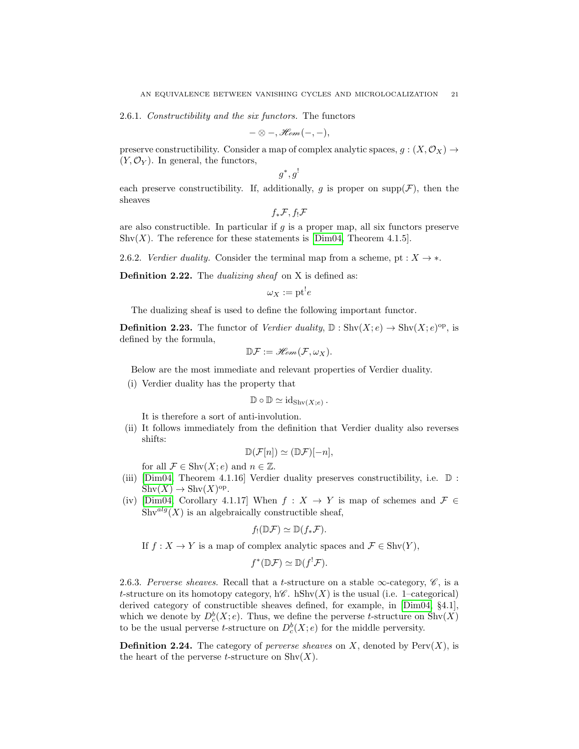2.6.1. Constructibility and the six functors. The functors

$$
-\otimes -, \mathscr{H}\!om(-,-),
$$

preserve constructibility. Consider a map of complex analytic spaces,  $g : (X, \mathcal{O}_X) \to$  $(Y, \mathcal{O}_Y)$ . In general, the functors,

$$
g^*, g^!
$$

each preserve constructibility. If, additionally, g is proper on supp $(\mathcal{F})$ , then the sheaves

$$
f_*\mathcal{F}, f_!\mathcal{F}
$$

are also constructible. In particular if q is a proper map, all six functors preserve Shv $(X)$ . The reference for these statements is [\[Dim04,](#page-65-10) Theorem 4.1.5].

2.6.2. Verdier duality. Consider the terminal map from a scheme, pt :  $X \rightarrow *$ .

Definition 2.22. The *dualizing sheaf* on X is defined as:

$$
\omega_X := \mathrm{pt}^! e
$$

The dualizing sheaf is used to define the following important functor.

**Definition 2.23.** The functor of *Verdier duality*,  $\mathbb{D}: \text{Shv}(X; e) \to \text{Shv}(X; e)^{op}$ , is defined by the formula,

$$
\mathbb{D}\mathcal{F}:=\mathscr{H}\!\mathscr{O}\!\mathscr{m}(\mathcal{F},\omega_X).
$$

Below are the most immediate and relevant properties of Verdier duality.

(i) Verdier duality has the property that

$$
\mathbb{D} \circ \mathbb{D} \simeq \mathrm{id}_{\mathrm{Shv}(X;e)}.
$$

It is therefore a sort of anti-involution.

(ii) It follows immediately from the definition that Verdier duality also reverses shifts:

$$
\mathbb{D}(\mathcal{F}[n]) \simeq (\mathbb{D}\mathcal{F})[-n],
$$

for all  $\mathcal{F} \in \text{Shv}(X; e)$  and  $n \in \mathbb{Z}$ .

- (iii) [\[Dim04,](#page-65-10) Theorem 4.1.16] Verdier duality preserves constructibility, i.e. D :  $\text{Shv}(X) \to \text{Shv}(X)^{\text{op}}.$
- (iv) [\[Dim04,](#page-65-10) Corollary 4.1.17] When  $f: X \to Y$  is map of schemes and  $\mathcal{F} \in$  $\text{Shv}^{alg}(X)$  is an algebraically constructible sheaf,

$$
f_!(\mathbb{D}\mathcal{F})\simeq \mathbb{D}(f_*\mathcal{F}).
$$

If  $f: X \to Y$  is a map of complex analytic spaces and  $\mathcal{F} \in \text{Shv}(Y)$ ,

$$
f^*(\mathbb{D}\mathcal{F}) \simeq \mathbb{D}(f^!\mathcal{F}).
$$

2.6.3. Perverse sheaves. Recall that a t-structure on a stable  $\infty$ -category,  $\mathscr{C}$ , is a t-structure on its homotopy category,  $h\mathscr{C}$ . hShv $(X)$  is the usual (i.e. 1–categorical) derived category of constructible sheaves defined, for example, in [\[Dim04,](#page-65-10) §4.1], which we denote by  $D_c^b(X; e)$ . Thus, we define the perverse t-structure on  $\text{Shv}(X)$ to be the usual perverse *t*-structure on  $D_c^b(X; e)$  for the middle perversity.

**Definition 2.24.** The category of *perverse sheaves* on X, denoted by  $Perv(X)$ , is the heart of the perverse *t*-structure on  $\text{Shv}(X)$ .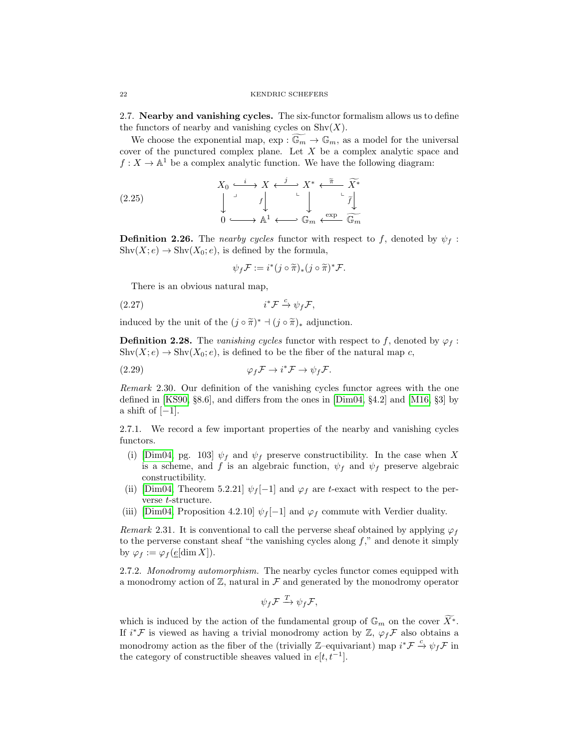<span id="page-21-0"></span>2.7. Nearby and vanishing cycles. The six-functor formalism allows us to define the functors of nearby and vanishing cycles on  $\text{Shv}(X)$ .

We choose the exponential map,  $\exp : \widetilde{\mathbb{G}_m} \to \mathbb{G}_m$ , as a model for the universal cover of the punctured complex plane. Let X be a complex analytic space and  $f: X \to \mathbb{A}^1$  be a complex analytic function. We have the following diagram:

(2.25) 
$$
X_0 \xrightarrow{i} X \xleftarrow{j} X^* \xleftarrow{\tilde{\pi}} \widetilde{X^*}
$$

$$
\downarrow \qquad \qquad \downarrow \qquad \downarrow \qquad \downarrow \qquad \downarrow \qquad \downarrow \qquad \downarrow
$$

$$
0 \xleftarrow{\text{exp}} \mathbb{A}^1 \xleftarrow{\text{exp}} \mathbb{G}_m \xleftarrow{\text{exp}} \widetilde{\mathbb{G}_m}
$$

**Definition 2.26.** The nearby cycles functor with respect to f, denoted by  $\psi_f$ :  $\text{Shv}(X; e) \to \text{Shv}(X_0; e)$ , is defined by the formula,

<span id="page-21-3"></span><span id="page-21-2"></span>
$$
\psi_f \mathcal{F} := i^*(j \circ \widetilde{\pi})_*(j \circ \widetilde{\pi})^* \mathcal{F}.
$$

There is an obvious natural map,

$$
(2.27) \t\t i^* \mathcal{F} \xrightarrow{c} \psi_f \mathcal{F},
$$

induced by the unit of the  $(j \circ \tilde{\pi})^* \dashv (j \circ \tilde{\pi})_*$  adjunction.

**Definition 2.28.** The vanishing cycles functor with respect to f, denoted by  $\varphi_f$ :  $\text{Shv}(X; e) \to \text{Shv}(X_0; e)$ , is defined to be the fiber of the natural map c,

(2.29) 
$$
\varphi_f \mathcal{F} \to i^* \mathcal{F} \to \psi_f \mathcal{F}.
$$

Remark 2.30. Our definition of the vanishing cycles functor agrees with the one defined in [\[KS90,](#page-66-2) §8.6], and differs from the ones in [\[Dim04,](#page-65-10) §4.2] and [\[M16,](#page-66-11) §3] by a shift of  $[-1]$ .

2.7.1. We record a few important properties of the nearby and vanishing cycles functors.

- (i) [\[Dim04,](#page-65-10) pg. 103]  $\psi_f$  and  $\psi_f$  preserve constructibility. In the case when X is a scheme, and f is an algebraic function,  $\psi_f$  and  $\psi_f$  preserve algebraic constructibility.
- (ii) [\[Dim04,](#page-65-10) Theorem 5.2.21]  $\psi_f[-1]$  and  $\varphi_f$  are t-exact with respect to the perverse t-structure.
- (iii) [\[Dim04,](#page-65-10) Proposition 4.2.10]  $\psi_f[-1]$  and  $\varphi_f$  commute with Verdier duality.

<span id="page-21-4"></span>Remark 2.31. It is conventional to call the perverse sheaf obtained by applying  $\varphi_f$ to the perverse constant sheaf "the vanishing cycles along  $f$ ," and denote it simply by  $\varphi_f := \varphi_f(\underline{e}[\dim X]).$ 

<span id="page-21-1"></span>2.7.2. Monodromy automorphism. The nearby cycles functor comes equipped with a monodromy action of  $\mathbb{Z}$ , natural in  $\mathcal F$  and generated by the monodromy operator

$$
\psi_f \mathcal{F} \xrightarrow{T} \psi_f \mathcal{F},
$$

which is induced by the action of the fundamental group of  $\mathbb{G}_m$  on the cover  $\widetilde{X}^*$ . If  $i^*\mathcal{F}$  is viewed as having a trivial monodromy action by  $\mathbb{Z}$ ,  $\varphi_f\mathcal{F}$  also obtains a monodromy action as the fiber of the (trivially Z–equivariant) map  $i^* \mathcal{F} \stackrel{c}{\rightarrow} \psi_f \mathcal{F}$  in the category of constructible sheaves valued in  $e[t, t^{-1}]$ .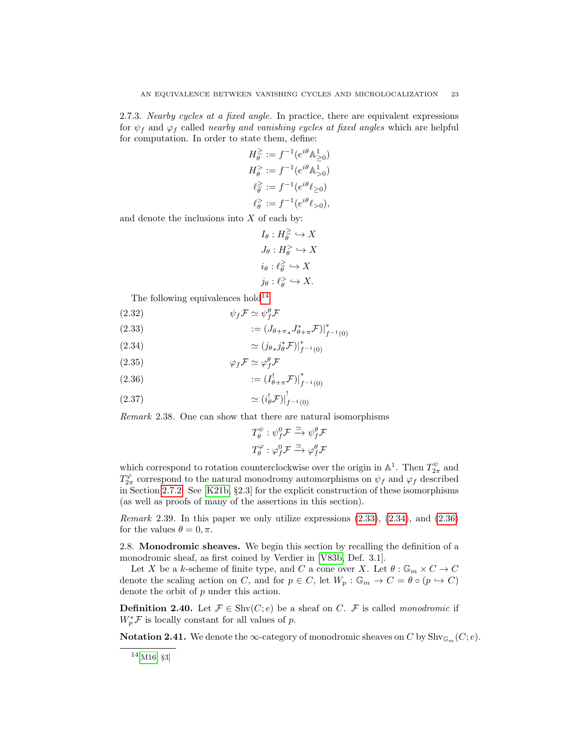2.7.3. Nearby cycles at a fixed angle. In practice, there are equivalent expressions for  $\psi_f$  and  $\varphi_f$  called *nearby and vanishing cycles at fixed angles* which are helpful for computation. In order to state them, define:

$$
H_{\theta}^{\geq} := f^{-1}(e^{i\theta} \mathbb{A}_{\geq 0}^1)
$$
  
\n
$$
H_{\theta}^{\geq} := f^{-1}(e^{i\theta} \mathbb{A}_{\geq 0}^1)
$$
  
\n
$$
\ell_{\theta}^{\geq} := f^{-1}(e^{i\theta} \ell_{\geq 0})
$$
  
\n
$$
\ell_{\theta}^{\geq} := f^{-1}(e^{i\theta} \ell_{\geq 0}),
$$

and denote the inclusions into  $X$  of each by:

$$
I_{\theta}: H_{\theta}^{\geq} \hookrightarrow X
$$
  
\n
$$
J_{\theta}: H_{\theta}^{\geq} \hookrightarrow X
$$
  
\n
$$
i_{\theta}: \ell_{\theta}^{\geq} \hookrightarrow X
$$
  
\n
$$
j_{\theta}: \ell_{\theta}^{\geq} \hookrightarrow X.
$$

The following equivalences hold<sup>[14](#page-22-1)</sup>:

$$
(2.32)\t\t\t \psi_f \mathcal{F} \simeq \psi_f^{\theta} \mathcal{F}
$$

<span id="page-22-2"></span>(2.33) 
$$
:= (J_{\theta+\pi*}J_{\theta+\pi}^* \mathcal{F})|_{f^{-1}(0)}^*
$$

<span id="page-22-3"></span>
$$
(2.34) \qquad \qquad \simeq (j_{\theta*}j_{\theta}^* \mathcal{F})|_{f^{-1}(0)}^*
$$

$$
(2.35) \t\t \t\t \varphi_f \mathcal{F} \simeq \varphi_f^{\theta} \mathcal{F}
$$

<span id="page-22-4"></span>(2.36) 
$$
:= (I_{\theta+\pi}^! \mathcal{F})|_{f^{-1}(0)}^*
$$

$$
(2.37)\t\t\t\t\approx (i^!_{\theta}\mathcal{F})\big|_{f^{-1}(0)}^1
$$

Remark 2.38. One can show that there are natural isomorphisms

$$
T^{\psi}_{\theta} : \psi^0_f \mathcal{F} \xrightarrow{\simeq} \psi^{\theta}_f \mathcal{F}
$$
  

$$
T^{\varphi}_{\theta} : \varphi^0_f \mathcal{F} \xrightarrow{\simeq} \varphi^{\theta}_f \mathcal{F}
$$

which correspond to rotation counterclockwise over the origin in  $\mathbb{A}^1$ . Then  $T_{2\pi}^{\psi}$  and  $T_{2\pi}^{\varphi}$  correspond to the natural monodromy automorphisms on  $\psi_f$  and  $\varphi_f$  described in Section [2.7.2.](#page-21-1) See [\[K21b,](#page-66-1) §2.3] for the explicit construction of these isomorphisms (as well as proofs of many of the assertions in this section).

Remark 2.39. In this paper we only utilize expressions [\(2.33\)](#page-22-2), [\(2.34\)](#page-22-3), and [\(2.36\)](#page-22-4) for the values  $\theta = 0, \pi$ .

<span id="page-22-0"></span>2.8. Monodromic sheaves. We begin this section by recalling the definition of a monodromic sheaf, as first coined by Verdier in [\[V83b,](#page-66-12) Def. 3.1].

Let  $X$  be a  $k\text{-scheme}$  of finite type, and  $C$  a cone over  $X.$  Let  $\theta: \mathbb{G}_m \times C \to C$ denote the scaling action on C, and for  $p \in C$ , let  $W_p : \mathbb{G}_m \to C = \theta \circ (p \hookrightarrow C)$ denote the orbit of p under this action.

**Definition 2.40.** Let  $\mathcal{F} \in \text{Shv}(C; e)$  be a sheaf on C.  $\mathcal{F}$  is called monodromic if  $W_p^* \mathcal{F}$  is locally constant for all values of p.

**Notation 2.41.** We denote the  $\infty$ -category of monodromic sheaves on C by Shv<sub>Gm</sub> (C; e).

<span id="page-22-1"></span> $14$ [\[M16,](#page-66-11) §3]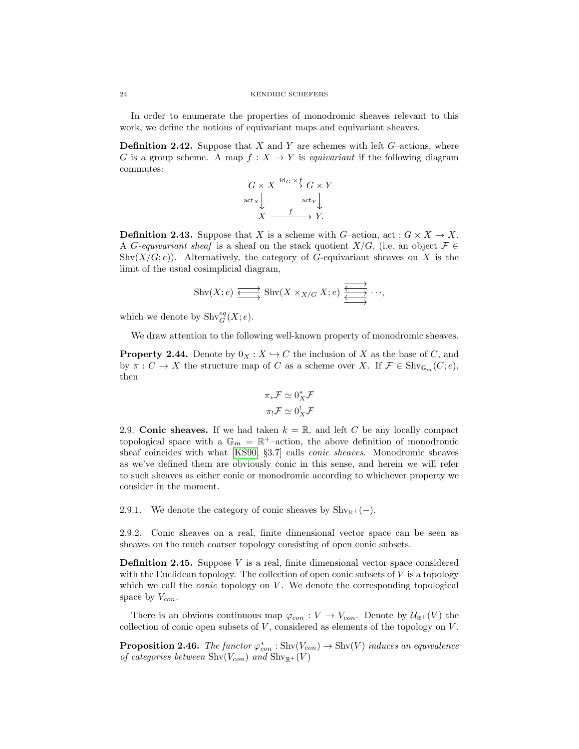In order to enumerate the properties of monodromic sheaves relevant to this work, we define the notions of equivariant maps and equivariant sheaves.

**Definition 2.42.** Suppose that X and Y are schemes with left  $G$ -actions, where G is a group scheme. A map  $f: X \to Y$  is equivariant if the following diagram commutes:

$$
G \times X \xrightarrow{\mathrm{id}_G \times f} G \times Y
$$
  

$$
\operatorname{act}_X \downarrow \qquad \operatorname{act}_Y \downarrow
$$
  

$$
X \xrightarrow{f} Y.
$$

**Definition 2.43.** Suppose that X is a scheme with G–action, act :  $G \times X \to X$ . A G-equivariant sheaf is a sheaf on the stack quotient  $X/G$ , (i.e. an object  $\mathcal{F} \in$  $\text{Shv}(X/G; e)$ ). Alternatively, the category of G-equivariant sheaves on X is the limit of the usual cosimplicial diagram,

$$
\text{Shv}(X; e) \xrightarrow{\longleftrightarrow} \text{Shv}(X \times_{X/G} X; e) \xrightarrow{\overleftrightarrow{\longleftarrow}} \cdots,
$$

which we denote by  $\text{Shv}_G^{eq}(X; e)$ .

We draw attention to the following well-known property of monodromic sheaves.

**Property 2.44.** Denote by  $0_X : X \to C$  the inclusion of X as the base of C, and by  $\pi: C \to X$  the structure map of C as a scheme over X. If  $\mathcal{F} \in \mathrm{Shv}_{\mathbb{G}_m}(C; e)$ , then

$$
\pi_* \mathcal{F} \simeq 0_X^* \mathcal{F}
$$

$$
\pi_! \mathcal{F} \simeq 0_X^! \mathcal{F}
$$

<span id="page-23-0"></span>2.9. Conic sheaves. If we had taken  $k = \mathbb{R}$ , and left C be any locally compact topological space with a  $\mathbb{G}_m = \mathbb{R}^+$ -action, the above definition of monodromic sheaf coincides with what [\[KS90,](#page-66-2) §3.7] calls conic sheaves. Monodromic sheaves as we've defined them are obviously conic in this sense, and herein we will refer to such sheaves as either conic or monodromic according to whichever property we consider in the moment.

2.9.1. We denote the category of conic sheaves by  $\text{Shv}_{\mathbb{R}^+}(-)$ .

2.9.2. Conic sheaves on a real, finite dimensional vector space can be seen as sheaves on the much coarser topology consisting of open conic subsets.

**Definition 2.45.** Suppose  $V$  is a real, finite dimensional vector space considered with the Euclidean topology. The collection of open conic subsets of  $V$  is a topology which we call the *conic* topology on  $V$ . We denote the corresponding topological space by  $V_{con}$ .

There is an obvious continuous map  $\varphi_{con} : V \to V_{con}$ . Denote by  $\mathcal{U}_{\mathbb{R}^+}(V)$  the collection of conic open subsets of  $V$ , considered as elements of the topology on  $V$ .

<span id="page-23-1"></span>**Proposition 2.46.** The functor  $\varphi_{con}^* : \text{Shv}(V_{con}) \to \text{Shv}(V)$  induces an equivalence of categories between  $\text{Shv}(V_{con})$  and  $\text{Shv}_{\mathbb{R}^+}(V)$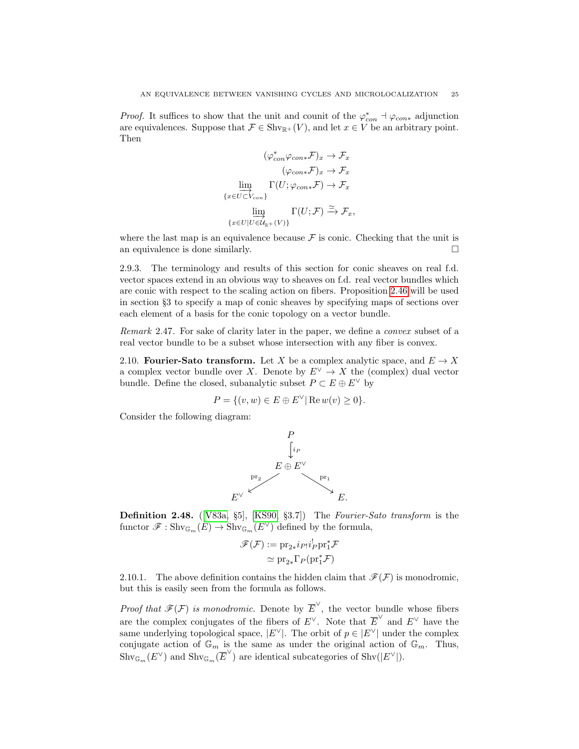*Proof.* It suffices to show that the unit and counit of the  $\varphi_{con}^* \dashv \varphi_{con*}$  adjunction are equivalences. Suppose that  $\mathcal{F} \in \text{Shv}_{\mathbb{R}^+}(V)$ , and let  $x \in V$  be an arbitrary point. Then

$$
(\varphi_{con}^*\varphi_{con*}\mathcal{F})_x \to \mathcal{F}_x
$$

$$
(\varphi_{con*}\mathcal{F})_x \to \mathcal{F}_x
$$

$$
\varinjlim_{\{x \in U \subset V_{con}\}} \Gamma(U; \varphi_{con*}\mathcal{F}) \to \mathcal{F}_x
$$

$$
\varinjlim_{\{x \in U \mid U \in \mathcal{U}_{\mathbb{R}^+}(V)\}} \Gamma(U; \mathcal{F}) \xrightarrow{\simeq} \mathcal{F}_x,
$$

where the last map is an equivalence because  $\mathcal F$  is conic. Checking that the unit is an equivalence is done similarly.  $\Box$ 

2.9.3. The terminology and results of this section for conic sheaves on real f.d. vector spaces extend in an obvious way to sheaves on f.d. real vector bundles which are conic with respect to the scaling action on fibers. Proposition [2.46](#page-23-1) will be used in section §3 to specify a map of conic sheaves by specifying maps of sections over each element of a basis for the conic topology on a vector bundle.

<span id="page-24-1"></span>Remark 2.47. For sake of clarity later in the paper, we define a convex subset of a real vector bundle to be a subset whose intersection with any fiber is convex.

<span id="page-24-0"></span>2.10. Fourier-Sato transform. Let X be a complex analytic space, and  $E \to X$ a complex vector bundle over X. Denote by  $E^{\vee} \to X$  the (complex) dual vector bundle. Define the closed, subanalytic subset  $P \subset E \oplus E^{\vee}$  by

$$
P = \{(v, w) \in E \oplus E^{\vee} | \operatorname{Re} w(v) \ge 0\}.
$$

Consider the following diagram:



Definition 2.48. ([\[V83a,](#page-66-3) §5], [\[KS90,](#page-66-2) §3.7]) The Fourier-Sato transform is the functor  $\mathscr{F}: \mathrm{Shv}_{\mathbb{G}_m}(E) \to \mathrm{Shv}_{\mathbb{G}_m}(E^{\vee})$  defined by the formula,

$$
\mathscr{F}(\mathcal{F}) := \mathrm{pr}_{2*} i_{P!} i_{P}^{\dagger} \mathrm{pr}_{1}^{*} \mathcal{F}
$$

$$
\simeq \mathrm{pr}_{2*} \Gamma_{P}(\mathrm{pr}_{1}^{*} \mathcal{F})
$$

2.10.1. The above definition contains the hidden claim that  $\mathscr{F}(\mathcal{F})$  is monodromic, but this is easily seen from the formula as follows.

*Proof that*  $\mathscr{F}(\mathcal{F})$  *is monodromic.* Denote by  $\overline{E}^{\vee}$ , the vector bundle whose fibers are the complex conjugates of the fibers of  $E^{\vee}$ . Note that  $\overline{E}^{\vee}$  and  $E^{\vee}$  have the same underlying topological space,  $|E^{\vee}|$ . The orbit of  $p \in |E^{\vee}|$  under the complex conjugate action of  $\mathbb{G}_m$  is the same as under the original action of  $\mathbb{G}_m$ . Thus,  $\operatorname{Shv}_{\mathbb{G}_m}(E^{\vee})$  and  $\operatorname{Shv}_{\mathbb{G}_m}(\overline{E}^{\vee})$  are identical subcategories of  $\operatorname{Shv}(|E^{\vee}|)$ .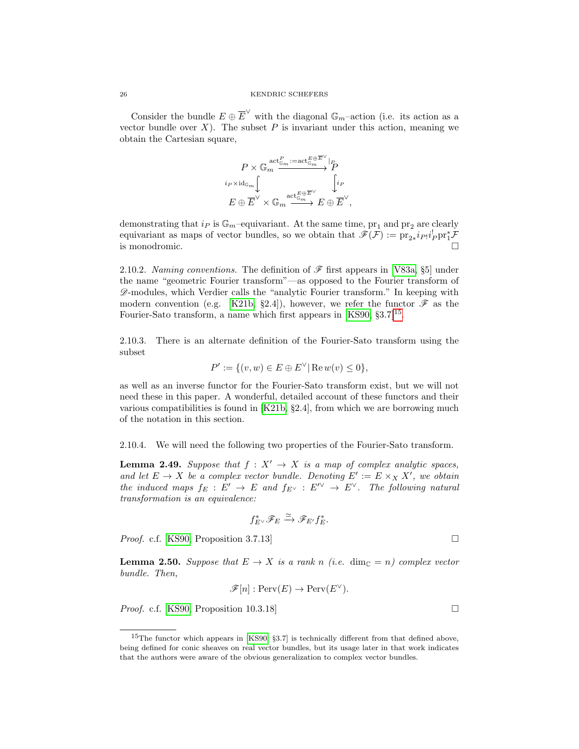Consider the bundle  $E \oplus \overline{E}^{\vee}$  with the diagonal  $\mathbb{G}_m$ -action (i.e. its action as a vector bundle over  $X$ ). The subset  $P$  is invariant under this action, meaning we obtain the Cartesian square,

$$
\begin{aligned} P \times \mathbb{G}_m^{\text{act}^P_{\mathbb{G}_m} := \text{act}^{E \oplus \overline{E}^{\vee}} \vert_P \\ i_P \times \text{id}_{\mathbb{G}_m} &\hspace{-2pt} \int \\ E \oplus \overline{E}^{\vee} \times \mathbb{G}_m \xrightarrow{\text{act}^{E \oplus \overline{E}^{\vee}}_{\mathbb{G}_m}} E \oplus \overline{E}^{\vee}, \end{aligned}
$$

demonstrating that  $i_P$  is  $\mathbb{G}_m$ -equivariant. At the same time,  $pr_1$  and  $pr_2$  are clearly equivariant as maps of vector bundles, so we obtain that  $\mathscr{F}(\mathcal{F}) := \mathrm{pr}_{2*} i_{P!} i_P^{\dagger} \mathrm{pr}_1^* \mathcal{F}$ is monodromic.  $\Box$ 

2.10.2. Naming conventions. The definition of  $\mathscr F$  first appears in [\[V83a,](#page-66-3) §5] under the name "geometric Fourier transform"—as opposed to the Fourier transform of  $\mathscr{D}$ -modules, which Verdier calls the "analytic Fourier transform." In keeping with modern convention (e.g. [\[K21b,](#page-66-1) §2.4]), however, we refer the functor  $\mathscr F$  as the Fourier-Sato transform, a name which first appears in  $[KS90, §3.7]^{15}$  $[KS90, §3.7]^{15}$  $[KS90, §3.7]^{15}$ .

2.10.3. There is an alternate definition of the Fourier-Sato transform using the subset

$$
P' := \{ (v, w) \in E \oplus E^{\vee} | \operatorname{Re} w(v) \le 0 \},
$$

as well as an inverse functor for the Fourier-Sato transform exist, but we will not need these in this paper. A wonderful, detailed account of these functors and their various compatibilities is found in [\[K21b,](#page-66-1) §2.4], from which we are borrowing much of the notation in this section.

# <span id="page-25-2"></span>2.10.4. We will need the following two properties of the Fourier-Sato transform.

**Lemma 2.49.** Suppose that  $f : X' \to X$  is a map of complex analytic spaces, and let  $E \to X$  be a complex vector bundle. Denoting  $E' := E \times_X X'$ , we obtain the induced maps  $f_E : E' \to E$  and  $f_{E^{\vee}} : E'^{\vee} \to E^{\vee}$ . The following natural transformation is an equivalence:

$$
f_{E^{\vee}}^* \mathscr{F}_E \xrightarrow{\simeq} \mathscr{F}_{E'} f_{E}^*.
$$

*Proof.* c.f. [\[KS90,](#page-66-2) Proposition 3.7.13]

<span id="page-25-1"></span>**Lemma 2.50.** Suppose that  $E \to X$  is a rank n (i.e. dim<sub>C</sub> = n) complex vector bundle. Then,

$$
\mathscr{F}[n]: \text{Perv}(E) \to \text{Perv}(E^{\vee}).
$$

*Proof.* c.f. [\[KS90,](#page-66-2) Proposition 10.3.18]

<span id="page-25-0"></span><sup>&</sup>lt;sup>15</sup>The functor which appears in [\[KS90,](#page-66-2) §3.7] is technically different from that defined above, being defined for conic sheaves on real vector bundles, but its usage later in that work indicates that the authors were aware of the obvious generalization to complex vector bundles.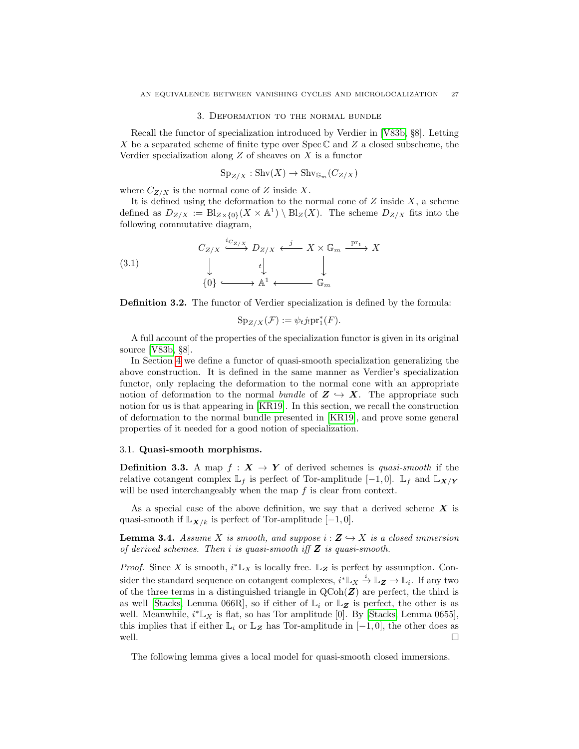#### 3. Deformation to the normal bundle

<span id="page-26-0"></span>Recall the functor of specialization introduced by Verdier in [\[V83b,](#page-66-12) §8]. Letting X be a separated scheme of finite type over  $\text{Spec } \mathbb{C}$  and Z a closed subscheme, the Verdier specialization along  $Z$  of sheaves on  $X$  is a functor

$$
Sp_{Z/X}: \operatorname{Shv}(X) \to \operatorname{Shv}_{\mathbb{G}_m}(C_{Z/X})
$$

where  $C_{Z/X}$  is the normal cone of Z inside X.

It is defined using the deformation to the normal cone of  $Z$  inside  $X$ , a scheme defined as  $D_{Z/X} := \text{Bl}_{Z \times \{0\}}(X \times \mathbb{A}^1) \setminus \text{Bl}_Z(X)$ . The scheme  $D_{Z/X}$  fits into the following commutative diagram,

(3.1) 
$$
C_{Z/X} \xrightarrow{i_{C_{Z/X}}} D_{Z/X} \xleftarrow{j} X \times \mathbb{G}_m \xrightarrow{\mathrm{pr}_1} X
$$

$$
\downarrow \qquad \qquad \downarrow \qquad \qquad \downarrow
$$

$$
\{0\} \xrightarrow{\qquad \qquad \downarrow} A^1 \xleftarrow{\qquad \qquad \mathbb{G}_m}
$$

Definition 3.2. The functor of Verdier specialization is defined by the formula:

<span id="page-26-2"></span>
$$
Sp_{Z/X}(\mathcal{F}) := \psi_t j_! pr_1^*(F).
$$

A full account of the properties of the specialization functor is given in its original source [\[V83b,](#page-66-12) §8].

In Section [4](#page-34-0) we define a functor of quasi-smooth specialization generalizing the above construction. It is defined in the same manner as Verdier's specialization functor, only replacing the deformation to the normal cone with an appropriate notion of deformation to the normal bundle of  $Z \hookrightarrow X$ . The appropriate such notion for us is that appearing in [\[KR19\]](#page-66-0). In this section, we recall the construction of deformation to the normal bundle presented in [\[KR19\]](#page-66-0), and prove some general properties of it needed for a good notion of specialization.

# <span id="page-26-1"></span>3.1. Quasi-smooth morphisms.

**Definition 3.3.** A map  $f : X \to Y$  of derived schemes is quasi-smooth if the relative cotangent complex  $\mathbb{L}_f$  is perfect of Tor-amplitude  $[-1, 0]$ .  $\mathbb{L}_f$  and  $\mathbb{L}_{\mathbf{X}/\mathbf{Y}}$ will be used interchangeably when the map  $f$  is clear from context.

As a special case of the above definition, we say that a derived scheme  $X$  is quasi-smooth if  $\mathbb{L}_{\mathbf{X}/k}$  is perfect of Tor-amplitude  $[-1, 0]$ .

<span id="page-26-4"></span>**Lemma 3.4.** Assume X is smooth, and suppose  $i : \mathbf{Z} \hookrightarrow X$  is a closed immersion of derived schemes. Then i is quasi-smooth iff  $Z$  is quasi-smooth.

*Proof.* Since X is smooth,  $i^* \mathbb{L}_X$  is locally free.  $\mathbb{L}_Z$  is perfect by assumption. Consider the standard sequence on cotangent complexes,  $i^* \mathbb{L}_X \stackrel{i}{\to} \mathbb{L}_Z \to \mathbb{L}_i$ . If any two of the three terms in a distinguished triangle in  $QCoh(\mathbf{Z})$  are perfect, the third is as well [\[Stacks,](#page-66-13) Lemma 066R], so if either of  $\mathbb{L}_i$  or  $\mathbb{L}_{\mathbf{Z}}$  is perfect, the other is as well. Meanwhile,  $i^* \mathbb{L}_X$  is flat, so has Tor amplitude [0]. By [\[Stacks,](#page-66-13) Lemma 0655], this implies that if either  $\mathbb{L}_i$  or  $\mathbb{L}_Z$  has Tor-amplitude in  $[-1,0]$ , the other does as well.  $\Box$ 

<span id="page-26-3"></span>The following lemma gives a local model for quasi-smooth closed immersions.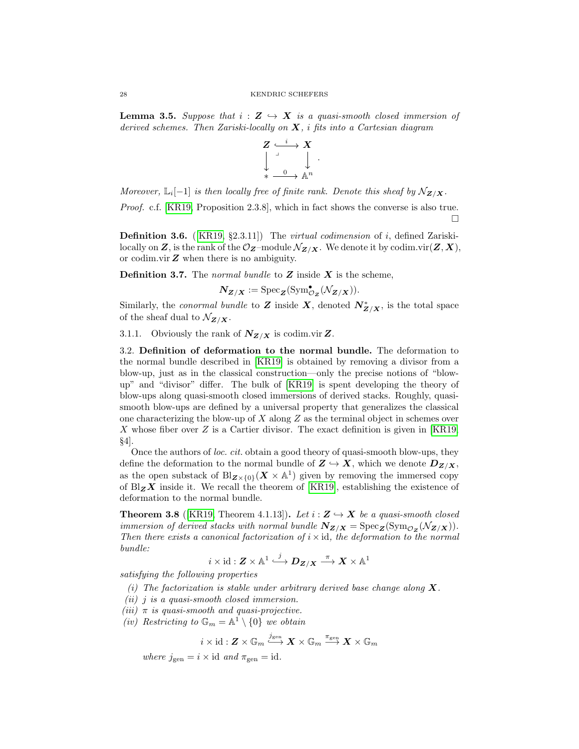**Lemma 3.5.** Suppose that  $i : \mathbf{Z} \hookrightarrow \mathbf{X}$  is a quasi-smooth closed immersion of derived schemes. Then Zariski-locally on  $X$ , i fits into a Cartesian diagram



Moreover,  $\mathbb{L}_i[-1]$  is then locally free of finite rank. Denote this sheaf by  $\mathcal{N}_{\mathbf{Z}/\mathbf{X}}$ .

Proof. c.f. [\[KR19,](#page-66-0) Proposition 2.3.8], which in fact shows the converse is also true.  $\Box$ 

**Definition 3.6.** ([\[KR19,](#page-66-0) §2.3.11]) The *virtual codimension* of *i*, defined Zariskilocally on Z, is the rank of the  $\mathcal{O}_{\mathbf{Z}}$ -module  $\mathcal{N}_{\mathbf{Z}/\mathbf{X}}$ . We denote it by codim.vir $(\mathbf{Z}, \mathbf{X})$ , or codim.vir  $Z$  when there is no ambiguity.

**Definition 3.7.** The normal bundle to  $Z$  inside  $X$  is the scheme,

$$
\mathbf{N}_{\mathbf{Z}/\mathbf{X}} := \mathrm{Spec}_{\mathbf{Z}}(\mathrm{Sym}^{\bullet}_{\mathcal{O}_{\mathbf{Z}}}(\mathcal{N}_{\mathbf{Z}/\mathbf{X}})).
$$

Similarly, the *conormal bundle* to Z inside X, denoted  $N_{Z/X}^*$ , is the total space of the sheaf dual to  $\mathcal{N}_{\mathbf{Z}/\mathbf{X}}$ .

3.1.1. Obviously the rank of  $N_{Z/X}$  is codim.vir Z.

<span id="page-27-0"></span>3.2. Definition of deformation to the normal bundle. The deformation to the normal bundle described in [\[KR19\]](#page-66-0) is obtained by removing a divisor from a blow-up, just as in the classical construction—only the precise notions of "blowup" and "divisor" differ. The bulk of [\[KR19\]](#page-66-0) is spent developing the theory of blow-ups along quasi-smooth closed immersions of derived stacks. Roughly, quasismooth blow-ups are defined by a universal property that generalizes the classical one characterizing the blow-up of X along  $Z$  as the terminal object in schemes over X whose fiber over  $Z$  is a Cartier divisor. The exact definition is given in [\[KR19,](#page-66-0) §4].

Once the authors of loc. cit. obtain a good theory of quasi-smooth blow-ups, they define the deformation to the normal bundle of  $Z \hookrightarrow X$ , which we denote  $D_{Z/X}$ , as the open substack of  $Bl_{\mathbf{Z}\times\{0\}}(\mathbf{X}\times\mathbb{A}^{1})$  given by removing the immersed copy of  $Bz$ **X** inside it. We recall the theorem of [\[KR19\]](#page-66-0), establishing the existence of deformation to the normal bundle.

<span id="page-27-1"></span>**Theorem 3.8** ([\[KR19,](#page-66-0) Theorem 4.1.13]). Let  $i : \mathbf{Z} \hookrightarrow \mathbf{X}$  be a quasi-smooth closed immersion of derived stacks with normal bundle  $N_{Z/X} = \text{Spec}_Z(\text{Sym}_{\mathcal{O}_Z}(\mathcal{N}_{Z/X}))$ . Then there exists a canonical factorization of  $i \times id$ , the deformation to the normal bundle:

$$
i\times \mathrm{id}:Z\times \mathbb{A}^1\stackrel{j}{\longrightarrow} \boldsymbol{D}_{\boldsymbol{Z}/\boldsymbol{X}}\stackrel{\pi}{\longrightarrow} \boldsymbol{X}\times \mathbb{A}^1
$$

satisfying the following properties

- (i) The factorization is stable under arbitrary derived base change along  $X$ .
- (ii) j is a quasi-smooth closed immersion.
- (iii)  $\pi$  is quasi-smooth and quasi-projective.
- (iv) Restricting to  $\mathbb{G}_m = \mathbb{A}^1 \setminus \{0\}$  we obtain

$$
i\times {\rm id}: \boldsymbol{Z}\times \mathbb{G}_m \stackrel{j_{\rm gen}}{\longrightarrow} \boldsymbol{X}\times \mathbb{G}_m \stackrel{\pi_{\rm gen}}{\longrightarrow} \boldsymbol{X}\times \mathbb{G}_m
$$

where  $j_{gen} = i \times id$  and  $\pi_{gen} = id$ .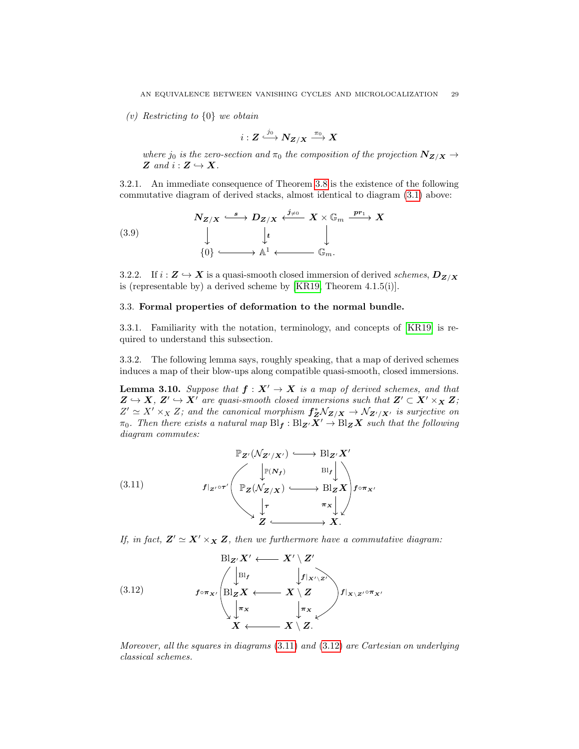(v) Restricting to {0} we obtain

$$
i: \bm{Z} \overset{j_0}{\longrightarrow} \bm{N}_{\bm{Z/X}} \overset{\pi_0}{\longrightarrow} \bm{X}
$$

where  $j_0$  is the zero-section and  $\pi_0$  the composition of the projection  $N_{Z/X} \rightarrow$ Z and  $i: Z \hookrightarrow X$ .

3.2.1. An immediate consequence of Theorem [3.8](#page-27-1) is the existence of the following commutative diagram of derived stacks, almost identical to diagram [\(3.1\)](#page-26-2) above:

<span id="page-28-4"></span>(3.9)  
\n
$$
\begin{array}{ccc}\n& X \times \mathbb{G}_m \xrightarrow{pr_1} X \\
& \downarrow & \downarrow \\
& \downarrow & \downarrow \\
& \downarrow & \downarrow \\
& \downarrow & \downarrow \\
& \downarrow & \downarrow \\
& \downarrow & \downarrow \\
& \downarrow & \downarrow \\
& \downarrow & \downarrow \\
& \downarrow & \downarrow \\
& \downarrow & \downarrow \\
& \downarrow & \downarrow\n\end{array}
$$

3.2.2. If  $i : \mathbf{Z} \hookrightarrow \mathbf{X}$  is a quasi-smooth closed immersion of derived schemes,  $D_{\mathbf{Z}/\mathbf{X}}$ is (representable by) a derived scheme by [\[KR19,](#page-66-0) Theorem 4.1.5(i)].

### <span id="page-28-0"></span>3.3. Formal properties of deformation to the normal bundle.

3.3.1. Familiarity with the notation, terminology, and concepts of [\[KR19\]](#page-66-0) is required to understand this subsection.

3.3.2. The following lemma says, roughly speaking, that a map of derived schemes induces a map of their blow-ups along compatible quasi-smooth, closed immersions.

<span id="page-28-3"></span>**Lemma 3.10.** Suppose that  $f : X' \to X$  is a map of derived schemes, and that  $\mathbf{Z} \hookrightarrow \mathbf{X}, \ \mathbf{Z}' \hookrightarrow \mathbf{X}'$  are quasi-smooth closed immersions such that  $\mathbf{Z}' \subset \mathbf{X}' \times_{\mathbf{X}} \mathbf{Z}$ ;  $Z' \simeq X' \times_X Z$ ; and the canonical morphism  $f_Z^* \mathcal{N}_{Z/X} \to \mathcal{N}_{Z'/X'}$  is surjective on  $\pi_0$ . Then there exists a natural map  $\text{Bl}_f: \text{Bl}_{\mathbf{Z}}\times\overline{\mathbf{X}}' \to \text{Bl}_{\mathbf{Z}}\overline{\mathbf{X}}'$  such that the following diagram commutes:

<span id="page-28-1"></span>(3.11) 
$$
\mathbb{P}_{\mathbf{Z}'}(\mathcal{N}_{\mathbf{Z}'/\mathbf{X}'}) \longleftrightarrow \text{Bl}_{\mathbf{Z}'}\mathbf{X}'
$$

$$
f|_{\mathbf{Z}'} \circ \tau' \left( \mathbb{P}_{\mathbf{Z}}(\mathcal{N}_{\mathbf{Z}/\mathbf{X}}) \longleftrightarrow \text{Bl}_{\mathbf{Z}}\mathbf{X} \right) f \circ \pi_{\mathbf{X}'}
$$

$$
\downarrow \tau \qquad \pi_{\mathbf{X}} \downarrow \downarrow
$$

$$
\mathbf{Z} \longleftrightarrow \mathbf{X}.
$$

If, in fact,  $\mathbf{Z}' \simeq \mathbf{X}' \times_{\mathbf{X}} \mathbf{Z}$ , then we furthermore have a commutative diagram:

<span id="page-28-2"></span>(3.12) 
$$
B|_{\mathbf{Z}'} \mathbf{X}' \longleftarrow \mathbf{X}' \setminus \mathbf{Z}'
$$
\n
$$
f \circ \pi_{\mathbf{X}'} \left( B|_{\mathbf{Z}} \mathbf{X} \longleftarrow \mathbf{X} \setminus \mathbf{Z} \right) f|_{\mathbf{X} \setminus \mathbf{Z}'} f|_{\mathbf{X} \setminus \mathbf{Z}'} \circ \pi_{\mathbf{X}'}
$$
\n
$$
\downarrow \pi_{\mathbf{X}} \downarrow \pi_{\mathbf{X}} \downarrow \pi_{\mathbf{X}} \downarrow
$$
\n
$$
\mathbf{X} \longleftarrow \mathbf{X} \setminus \mathbf{Z}.
$$

Moreover, all the squares in diagrams [\(3.11\)](#page-28-1) and [\(3.12\)](#page-28-2) are Cartesian on underlying classical schemes.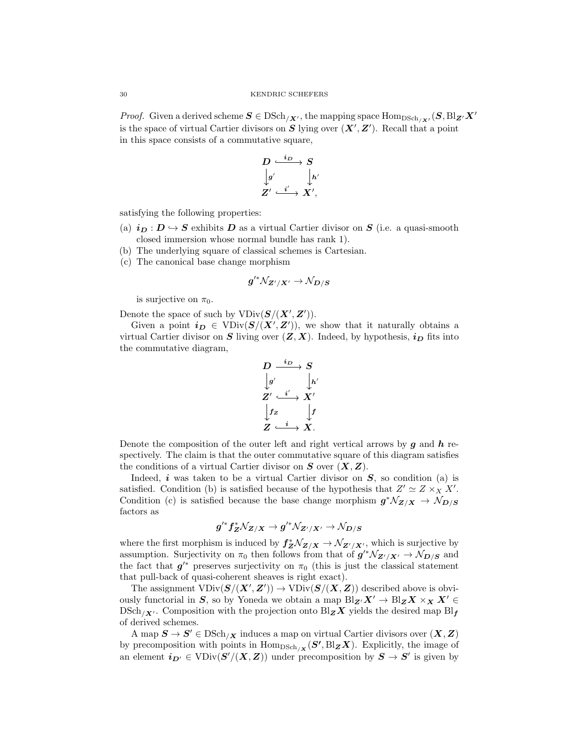*Proof.* Given a derived scheme  $S \in \text{DSch}_{X'}$ , the mapping space  $\text{Hom}_{\text{DSch}_{X'}}(S, \text{Bl}_{Z'}X'$ is the space of virtual Cartier divisors on S lying over  $(X', Z')$ . Recall that a point in this space consists of a commutative square,

$$
\begin{array}{ccc}D&\stackrel{i_D}{\longrightarrow}S\\ \downarrow{g'}&\downarrow{h}\\ Z'&\stackrel{i'}{\longrightarrow}X',\end{array}
$$

 $\overline{\phantom{a}}$ 

satisfying the following properties:

- (a)  $i_D : D \hookrightarrow S$  exhibits D as a virtual Cartier divisor on S (i.e. a quasi-smooth closed immersion whose normal bundle has rank 1).
- (b) The underlying square of classical schemes is Cartesian.
- (c) The canonical base change morphism

$$
g'^*\mathcal N_{Z'/X'}\to\mathcal N_{D/S}
$$

is surjective on  $\pi_0$ .

Denote the space of such by  $VDiv(S/(X', Z')).$ 

Given a point  $i_D \in \text{VDiv}(S/(X', Z'))$ , we show that it naturally obtains a virtual Cartier divisor on S living over  $(Z, X)$ . Indeed, by hypothesis,  $i_D$  fits into the commutative diagram,

$$
\begin{array}{ccc}D & \xrightarrow{i_D} & S \\ \big\downarrow{g'} & & \big\downarrow{h} \\ Z' & \xrightarrow{i'} & X' \\ \big\downarrow{f_Z} & & \big\downarrow{f} \\ Z & \xrightarrow{i} & X. \end{array}
$$

 $\overline{a}$ 

Denote the composition of the outer left and right vertical arrows by  $q$  and  $h$  respectively. The claim is that the outer commutative square of this diagram satisfies the conditions of a virtual Cartier divisor on  $S$  over  $(X, Z)$ .

Indeed,  $i$  was taken to be a virtual Cartier divisor on  $S$ , so condition (a) is satisfied. Condition (b) is satisfied because of the hypothesis that  $Z' \simeq Z \times_X X'$ . Condition (c) is satisfied because the base change morphism  $g^* \mathcal{N}_{Z/X} \to \mathcal{N}_{D/S}$ factors as

$$
g'^*f^*_Z \mathcal N_{Z/X} \to g'^* \mathcal N_{Z'/X'} \to \mathcal N_{D/S}
$$

where the first morphism is induced by  $f_Z^* \mathcal{N}_{Z/X} \to \mathcal{N}_{Z'/X'}$ , which is surjective by assumption. Surjectivity on  $\pi_0$  then follows from that of  $g'^*\mathcal{N}_{Z'/X'} \to \mathcal{N}_{D/S}$  and the fact that  $g^{\prime*}$  preserves surjectivity on  $\pi_0$  (this is just the classical statement that pull-back of quasi-coherent sheaves is right exact).

The assignment  $VDiv(S/(X', Z')) \to VDiv(S/(X, Z))$  described above is obviously functorial in S, so by Yoneda we obtain a map  $Bl_{\mathbf{Z'}}X' \to Bl_{\mathbf{Z}}X \times_X X' \in$  $DSch_{X'}$ . Composition with the projection onto  $Bl_{\mathbf{Z}}X$  yields the desired map  $Bl_{\mathbf{f}}$ of derived schemes.

A map  $S \to S' \in \mathrm{DSch}_{X}$  induces a map on virtual Cartier divisors over  $(X, Z)$ by precomposition with points in  $\text{Hom}_{\text{DSch}_{/\mathbf{X}}}(\mathbf{S'}, \text{Bl}_{\mathbf{Z}}\mathbf{X})$ . Explicitly, the image of an element  $i_{D'} \in \text{VDiv}(S'/(X, Z))$  under precomposition by  $S \to S'$  is given by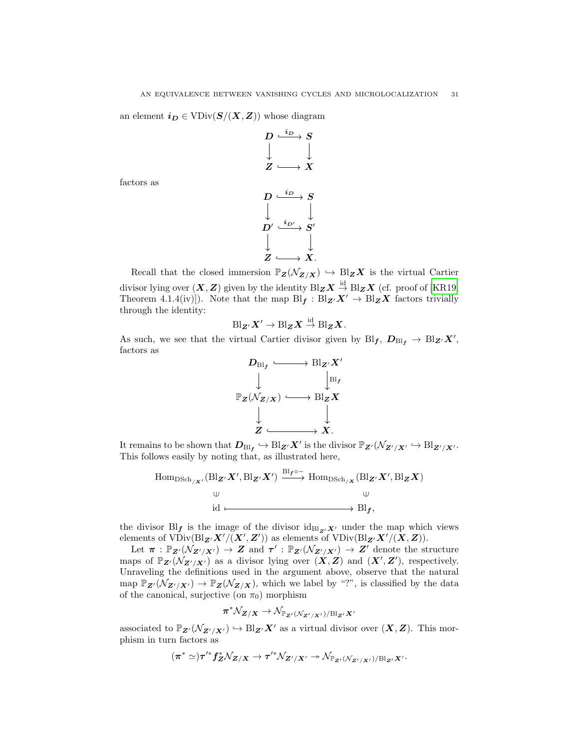an element  $i_D \in \text{VDiv}(S/(X, Z))$  whose diagram

 $D \stackrel{\iota_D}{\longrightarrow} S$  $\boldsymbol{Z} \longrightarrow \boldsymbol{X}$  $i_D$  $D\stackrel{\iota_D}{\longrightarrow} S$  $D'\stackrel{\imath_{D'}}{\longrightarrow} S'$  $i_D$  $i_{D^{\prime}}$ 

factors as

Recall that the closed immersion 
$$
\mathbb{P}_{\mathbf{Z}}(\mathcal{N}_{\mathbf{Z}/\mathbf{X}}) \hookrightarrow \text{Bl}_{\mathbf{Z}}\mathbf{X}
$$
 is the virtual Cartier  
divisor lying over  $(\mathbf{X}, \mathbf{Z})$  given by the identity  $\text{Bl}_{\mathbf{Z}}\mathbf{X} \stackrel{\text{id}}{\rightarrow} \text{Bl}_{\mathbf{Z}}\mathbf{X}$  (cf. proof of [KR19,  
Theorem 4.1.4(iv)]). Note that the map  $\text{Bl}_{\mathbf{f}} : \text{Bl}_{\mathbf{Z}'}\mathbf{X}' \to \text{Bl}_{\mathbf{Z}}\mathbf{X}$  factors trivially  
through the identity:

 $Z \longrightarrow X$ .

$$
\text{Bl}_{\mathbf{Z}'}\mathbf{X}'\to\text{Bl}_{\mathbf{Z}}\mathbf{X}\stackrel{\text{id}}{\to}\text{Bl}_{\mathbf{Z}}\mathbf{X}.
$$

As such, we see that the virtual Cartier divisor given by  $\text{Bl}_{f}$ ,  $D_{\text{Bl}_{f}} \to \text{Bl}_{Z'} X'$ , factors as



It remains to be shown that  $D_{\text{Bl}_{\mathcal{I}}}\hookrightarrow \text{Bl}_{\mathbf{Z}'}\mathbf{X}'$  is the divisor  $\mathbb{P}_{\mathbf{Z}'}(\mathcal{N}_{\mathbf{Z}'/\mathbf{X}'}\hookrightarrow \text{Bl}_{\mathbf{Z}'/\mathbf{X}'}$ . This follows easily by noting that, as illustrated here,

$$
\text{Hom}_{\text{DSch}_{/X'}}(\text{Bl}_{\mathbf{Z'}}X', \text{Bl}_{\mathbf{Z'}}X') \xrightarrow{\text{Bl}_{\mathbf{f}}\circ -} \text{Hom}_{\text{DSch}_{/X}}(\text{Bl}_{\mathbf{Z'}}X', \text{Bl}_{\mathbf{Z}}X)
$$
  

$$
\cup \qquad \qquad \cup \qquad \qquad \cup
$$
  

$$
\text{id} \longmapsto \text{Bl}_{\mathbf{f}},
$$

the divisor  $\mathrm{Bl}_{f}$  is the image of the divisor  $\mathrm{id}_{\mathrm{Bl}_{Z}/X}$  under the map which views elements of  $VDiv(\text{Bl}_{\mathbf{Z'}}\mathbf{X'}/(\mathbf{X'},\mathbf{Z'}))$  as elements of  $VDiv(\text{Bl}_{\mathbf{Z'}}\mathbf{X'}/(\mathbf{X},\mathbf{Z})).$ 

Let  $\pi : \mathbb{P}_{\mathbf{Z}'}(\mathcal{N}_{\mathbf{Z}'/\mathbf{X}'}) \to \mathbf{Z}$  and  $\tau' : \mathbb{P}_{\mathbf{Z}'}(\mathcal{N}_{\mathbf{Z}'/\mathbf{X}'}) \to \mathbf{Z}'$  denote the structure maps of  $\mathbb{P}_{\mathbf{Z}'}(\mathcal{N}_{\mathbf{Z}'/\mathbf{X}'} )$  as a divisor lying over  $(\mathbf{X}, \mathbf{Z})$  and  $(\mathbf{X}', \mathbf{Z}')$ , respectively. Unraveling the definitions used in the argument above, observe that the natural map  $\mathbb{P}_{\mathbf{Z}'}(\mathcal{N}_{\mathbf{Z'/X'}}) \to \mathbb{P}_{\mathbf{Z}}(\mathcal{N}_{\mathbf{Z/X}})$ , which we label by "?", is classified by the data of the canonical, surjective (on  $\pi_0$ ) morphism

$$
\pi^* \mathcal N_{\boldsymbol Z/\boldsymbol X} \to \mathcal N_{\mathbb P_{\boldsymbol Z'}(\mathcal N_{\boldsymbol Z'/\boldsymbol X'})/\mathrm{Bl}_{\boldsymbol Z'}\boldsymbol X'}
$$

associated to  $\mathbb{P}_{\mathbf{Z}'}(\mathcal{N}_{\mathbf{Z}'/\mathbf{X}'} ) \hookrightarrow \text{Bl}_{\mathbf{Z}'}\mathbf{X}'$  as a virtual divisor over  $(\mathbf{X}, \mathbf{Z})$ . This morphism in turn factors as

$$
(\pi^* \simeq) \tau'^* f^*_Z \mathcal N_{Z/X} \to \tau'^* \mathcal N_{Z'/X'} \twoheadrightarrow \mathcal N_{\mathbb P_{Z'} ( \mathcal N_{Z'/X'})/\mathrm{Bl}_{Z'} X'}.
$$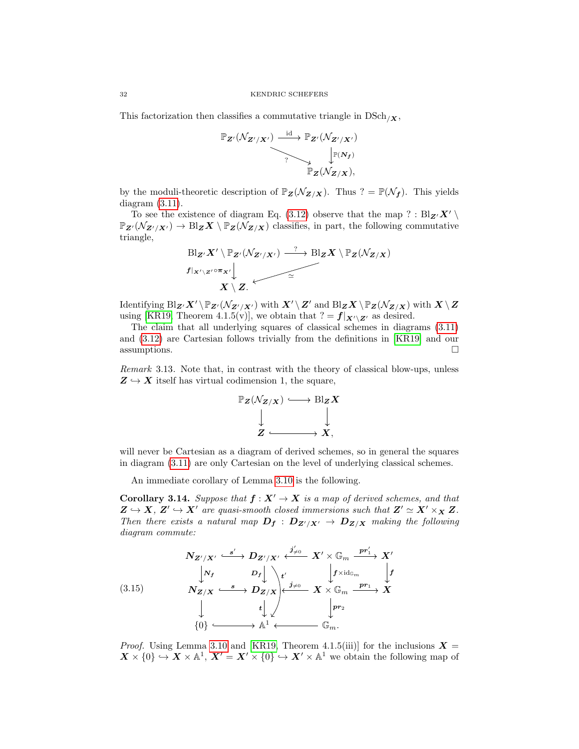This factorization then classifies a commutative triangle in  $DSch_{X}$ ,

$$
\mathbb{P}_{\mathbf{Z}'}(\mathcal{N}_{\mathbf{Z}'/\mathbf{X}'}) \xrightarrow{\mathrm{id}} \mathbb{P}_{\mathbf{Z}'}(\mathcal{N}_{\mathbf{Z}'/\mathbf{X}'})
$$
\n
$$
\downarrow^{\mathbb{P}(\mathbf{N}_{\mathbf{f}})} \mathbb{P}_{\mathbf{Z}}(\mathcal{N}_{\mathbf{Z}/\mathbf{X}}),
$$

by the moduli-theoretic description of  $\mathbb{P}_{\mathbf{Z}}(\mathcal{N}_{\mathbf{Z}/\mathbf{X}})$ . Thus  $? = \mathbb{P}(\mathcal{N}_{f})$ . This yields diagram [\(3.11\)](#page-28-1).

To see the existence of diagram Eq. [\(3.12\)](#page-28-2) observe that the map ? :  $Bl_{\mathbf{Z'}}\mathbf{X'} \setminus$  $\mathbb{P}_{\mathbf{Z}'}(\mathcal{N}_{\mathbf{Z}'/\mathbf{X}'}) \to \text{Bl}_{\mathbf{Z}}\mathbf{X} \setminus \mathbb{P}_{\mathbf{Z}}(\mathcal{N}_{\mathbf{Z}/\mathbf{X}})$  classifies, in part, the following commutative triangle,

$$
\begin{array}{ccc}\n\text{Bl}_{Z'}X' \setminus \mathbb{P}_{Z'}(\mathcal{N}_{Z'/X'}) & \xrightarrow{\gamma} \text{Bl}_{Z}X \setminus \mathbb{P}_{Z}(\mathcal{N}_{Z/X}) \\
f|_{X' \setminus Z'} \circ \pi_{X'} \downarrow & & \xrightarrow{\simeq} & & \\
X \setminus Z.\n\end{array}
$$

Identifying  $\text{Bl}_{\mathbf{Z}'}X' \setminus \mathbb{P}_{\mathbf{Z}'}(\mathcal{N}_{\mathbf{Z}'/\mathbf{X}'})$  with  $X' \setminus Z'$  and  $\text{Bl}_{\mathbf{Z}}X \setminus \mathbb{P}_{\mathbf{Z}}(\mathcal{N}_{\mathbf{Z}/\mathbf{X}})$  with  $X \setminus Z$ using [\[KR19,](#page-66-0) Theorem 4.1.5(v)], we obtain that  $? = f|_{X' \setminus Z'}$  as desired.

The claim that all underlying squares of classical schemes in diagrams [\(3.11\)](#page-28-1) and [\(3.12\)](#page-28-2) are Cartesian follows trivially from the definitions in [\[KR19\]](#page-66-0) and our  $\Box$  assumptions.

Remark 3.13. Note that, in contrast with the theory of classical blow-ups, unless  $Z \hookrightarrow X$  itself has virtual codimension 1, the square,



will never be Cartesian as a diagram of derived schemes, so in general the squares in diagram [\(3.11\)](#page-28-1) are only Cartesian on the level of underlying classical schemes.

An immediate corollary of Lemma [3.10](#page-28-3) is the following.

<span id="page-31-1"></span>**Corollary 3.14.** Suppose that  $f : X' \to X$  is a map of derived schemes, and that  $Z \hookrightarrow X$ ,  $Z' \hookrightarrow X'$  are quasi-smooth closed immersions such that  $Z' \simeq X' \times_X Z$ . Then there exists a natural map  $D_f : D_{Z'/X'} \to D_{Z/X}$  making the following diagram commute:

<span id="page-31-0"></span>(3.15)  
\n
$$
N_{Z'/X'} \xrightarrow{\phantom{Z'/X'} \phantom{Z'/X'} \phantom{Z'/X'} \phantom{Z'/X'} \phantom{Z'/X'} \phantom{Z'/X'} \phantom{Z'/X} \phantom{Z'/X} \xrightarrow{\phantom{Z'/X'} \phantom{Z'/X'} \phantom{Z'/X'} \phantom{Z'/X} \phantom{Z'/X} \phantom{Z'/X} \phantom{Z'/X} \phantom{Z'/X} \phantom{Z'/X} \phantom{Z'/X} \xrightarrow{\phantom{Z'}X \phantom{Z'/X} \phantom{Z'/X} \phantom{Z'/X} \phantom{Z'/X} \phantom{Z'/X} \phantom{Z'/X} \phantom{Z'/X} \phantom{Z'/X} \phantom{Z'/X} \phantom{Z'/X} \phantom{Z'/X} \phantom{Z'/X} \phantom{Z'/X} \phantom{Z'/X} \phantom{Z'/X} \phantom{Z'/X} \phantom{Z'/X} \phantom{Z'/X} \phantom{Z'/X} \phantom{Z'/X} \phantom{Z'/X} \phantom{Z'/X} \phantom{Z'/X} \phantom{Z'/X} \phantom{Z'/X} \phantom{Z'/X} \phantom{Z'/X} \phantom{Z'/X} \phantom{Z'/X} \phantom{Z'/X} \phantom{Z'/X} \phantom{Z'/X} \phantom{Z'/X} \phantom{Z'/X} \phantom{Z'/X} \phantom{Z'/X} \phantom{Z'/X} \phantom{Z'/X} \phantom{Z'/X} \phantom{Z'/X} \phantom{Z'/X} \phantom{Z'/X} \phantom{Z'/X} \phantom{Z'/X} \phantom{Z'/X} \phantom{Z'/X} \phantom{Z'/X} \phantom{Z'/X} \phantom{Z'/X} \phantom{Z'/X} \phantom{Z'/X} \phantom{Z'/X} \phantom{Z'/X} \phantom{Z'/X} \phantom{Z'/X} \phantom{Z'/X} \phantom{Z'/X} \phantom{Z'/X} \phantom{Z'/X} \phantom{Z'/X} \phantom{Z'/X} \phantom{Z'/X} \phantom{Z'/X} \phantom{Z'/X} \phantom{Z'/X} \phantom{Z'/X} \phantom{Z'/X} \phantom{Z'/X} \phantom{Z'/X} \phantom{Z'/X} \phantom{Z'/X} \phantom{Z'/X} \phantom{Z'/X}
$$

*Proof.* Using Lemma [3.10](#page-28-3) and [\[KR19,](#page-66-0) Theorem 4.1.5(iii)] for the inclusions  $X =$  $\mathbf{X} \times \{0\} \hookrightarrow \mathbf{X} \times \mathbb{A}^1$ ,  $\mathbf{X}' = \mathbf{X}' \times \{0\} \hookrightarrow \mathbf{X}' \times \mathbb{A}^1$  we obtain the following map of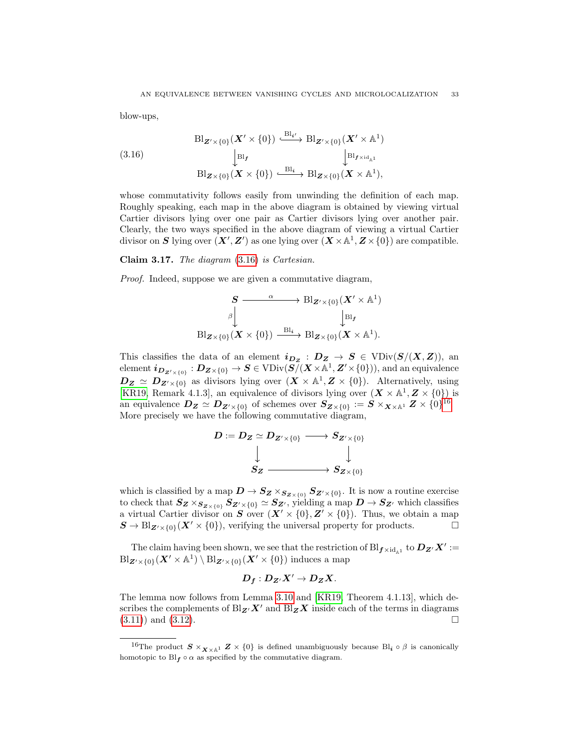blow-ups,

<span id="page-32-0"></span>(3.16)  
\n
$$
\begin{array}{ccc}\n & \text{Bl}_{\mathbf{Z}' \times \{0\}}(\mathbf{X}' \times \{0\}) & \xrightarrow{\text{Bl}_{\mathbf{Z}'}} \text{Bl}_{\mathbf{Z}' \times \{0\}}(\mathbf{X}' \times \mathbb{A}^1) \\
 & \downarrow_{\text{Bl}_{\mathbf{f}}} & \downarrow_{\text{Bl}_{\mathbf{f} \times \text{id}_{\mathbb{A}^1}}} \\
 & \text{Bl}_{\mathbf{Z} \times \{0\}}(\mathbf{X} \times \{0\}) & \xrightarrow{\text{Bl}_{\mathbf{Z}}} \text{Bl}_{\mathbf{Z} \times \{0\}}(\mathbf{X} \times \mathbb{A}^1),\n\end{array}
$$

whose commutativity follows easily from unwinding the definition of each map. Roughly speaking, each map in the above diagram is obtained by viewing virtual Cartier divisors lying over one pair as Cartier divisors lying over another pair. Clearly, the two ways specified in the above diagram of viewing a virtual Cartier divisor on S lying over  $(X', Z')$  as one lying over  $(X \times \mathbb{A}^1, Z \times \{0\})$  are compatible.

Claim 3.17. The diagram [\(3.16\)](#page-32-0) is Cartesian.

Proof. Indeed, suppose we are given a commutative diagram,

$$
\begin{array}{ccc}\nS & \xrightarrow{\alpha} & \text{Bl}_{\mathbf{Z}' \times \{0\}}(\mathbf{X}' \times \mathbb{A}^{1}) \\
\downarrow^{\beta} & & \downarrow^{\text{Bl}_{\mathbf{f}}} \\
\text{Bl}_{\mathbf{Z} \times \{0\}}(\mathbf{X} \times \{0\}) & \xrightarrow{\text{Bl}_{\mathbf{z}}} & \text{Bl}_{\mathbf{Z} \times \{0\}}(\mathbf{X} \times \mathbb{A}^{1}).\n\end{array}
$$

This classifies the data of an element  $i_{Dz} : D_z \to S \in \text{VDiv}(S/(X, Z)),$  an  $\text{element } \bm{i_{D_{\bm{Z}'\times\{0\}}}}: \bm{D}_{\bm{Z}\times\{0\}}\to \bm{S}\in \mathrm{VDiv}(\bm{S}/(\bm{X}\!\times\!\mathbb{A}^1,\bm{Z}'\!\times\!\{0\})), \text{and an equivalence}$  $D_Z \simeq D_{Z' \times \{0\}}$  as divisors lying over  $(X \times \mathbb{A}^1, Z \times \{0\})$ . Alternatively, using [\[KR19,](#page-66-0) Remark 4.1.3], an equivalence of divisors lying over  $(\mathbf{X} \times \mathbb{A}^1, \mathbf{Z} \times \{0\})$  is an equivalence  $D_Z \simeq D_{Z'\times\{0\}}$  of schemes over  $S_{Z\times\{0\}} := S\times_{X\times{\mathbb{A}}^1} Z\times\{0\}^{16}.$  $S_{Z\times\{0\}} := S\times_{X\times{\mathbb{A}}^1} Z\times\{0\}^{16}.$  $S_{Z\times\{0\}} := S\times_{X\times{\mathbb{A}}^1} Z\times\{0\}^{16}.$ More precisely we have the following commutative diagram,

$$
\begin{matrix}D:=D_Z\simeq D_{Z'\times\{0\}}\longrightarrow S_{Z'\times\{0\}}\\ \downarrow \\\ S_Z\stackrel{\phantom{0}}{\longrightarrow} S_{Z\times\{0\}}\end{matrix}
$$

which is classified by a map  $D \to S_{Z} \times_{S_{Z\times\{0\}}} S_{Z'\times\{0\}}$ . It is now a routine exercise to check that  $S_Z \times_{S_{Z\times \{0\}}} S_{Z'\times \{0\}} \simeq S_{Z'}$ , yielding a map  $D \to S_{Z'}$  which classifies a virtual Cartier divisor on S over  $(X' \times \{0\}, Z' \times \{0\})$ . Thus, we obtain a map  $\mathbf{S} \to \text{Bl}_{\mathbf{Z}' \times \{0\}}(\mathbf{X}' \times \{0\}),$  verifying the universal property for products.

The claim having been shown, we see that the restriction of  $\text{Bl}_{f \times \text{id}_A}$  to  $D_{Z'}X' :=$  $\text{Bl}_{\mathbf{Z}'\times\{0\}}(\mathbf{X}'\times\mathbb{A}^{1})\setminus\text{Bl}_{\mathbf{Z}'\times\{0\}}(\mathbf{X}'\times\{0\})$  induces a map

$$
D_f:D_{Z'}X'\to D_ZX.
$$

The lemma now follows from Lemma [3.10](#page-28-3) and [\[KR19,](#page-66-0) Theorem 4.1.13], which describes the complements of  $Bl_{\mathbf{Z'}}X'$  and  $Bl_{\mathbf{Z}}X$  inside each of the terms in diagrams  $(3.11)$  and  $(3.12)$ .

<span id="page-32-1"></span><sup>&</sup>lt;sup>16</sup>The product  $S \times_{\mathbf{X} \times \mathbb{A}^1} \mathbf{Z} \times \{0\}$  is defined unambiguously because Bl<sub>i</sub>  $\circ \beta$  is canonically homotopic to  $\text{Bl}_{f} \circ \alpha$  as specified by the commutative diagram.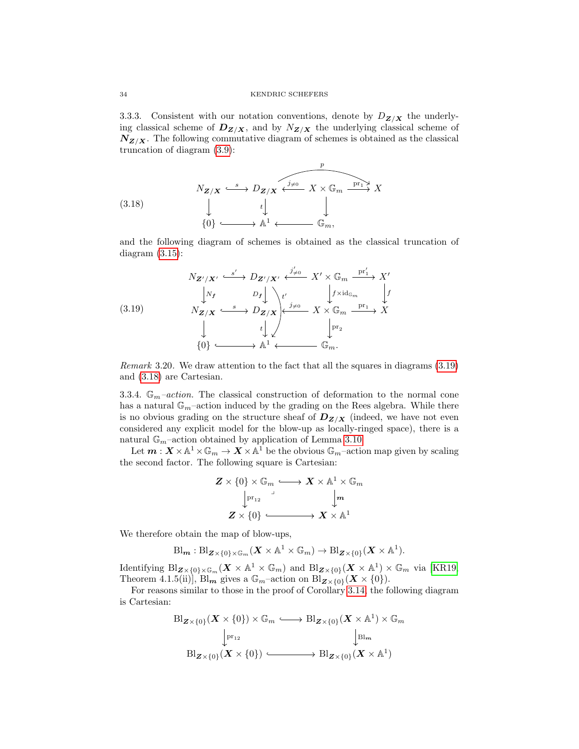3.3.3. Consistent with our notation conventions, denote by  $D_{Z/X}$  the underlying classical scheme of  $D_{Z/X}$ , and by  $N_{Z/X}$  the underlying classical scheme of  $N_{Z/X}$ . The following commutative diagram of schemes is obtained as the classical truncation of diagram [\(3.9\)](#page-28-4):

<span id="page-33-1"></span>(3.18)  
\n
$$
N_{\mathbf{Z}/\mathbf{X}} \xrightarrow{\phantom{a}\mathbf{S}} D_{\mathbf{Z}/\mathbf{X}} \xleftarrow{\phantom{a}\mathbf{S} \xrightarrow{\phantom{a}\mathbf{S}} \mathbf{Z} \xleftarrow{\phantom{a}\mathbf{S}} X \times \mathbb{G}_m \xrightarrow{\phantom{a}\mathbf{p}\mathbf{r}_1 \xrightarrow{\phantom{a}\mathbf{S}} X}
$$
\n
$$
\downarrow \qquad \qquad \downarrow \qquad \qquad \downarrow
$$
\n
$$
\{0\} \xrightarrow{\phantom{a}\mathbf{S}} \mathbb{A}^1 \longleftarrow \mathbb{G}_m,
$$

and the following diagram of schemes is obtained as the classical truncation of diagram  $(3.15)$ :

<span id="page-33-0"></span>(3.19)  
\n
$$
N_{\mathbf{Z}'/\mathbf{X}'} \xrightarrow{\mathcal{S}'} D_{\mathbf{Z}'/\mathbf{X}'} \xleftarrow{\mathcal{J}'_{\neq 0}} X' \times \mathbb{G}_m \xrightarrow{\text{pr}'_1} X'
$$
\n
$$
\downarrow N_{\mathbf{Z}/\mathbf{X}} \xrightarrow{\mathcal{S}} D_{\mathbf{Z}/\mathbf{X}} \downarrow^{\mathcal{I}'} \qquad \downarrow \qquad \downarrow \qquad \downarrow \qquad \downarrow \qquad \downarrow \qquad \downarrow \qquad \downarrow \qquad \downarrow \qquad \downarrow \qquad \downarrow \qquad \downarrow \qquad \downarrow \qquad \downarrow \qquad \downarrow \qquad \downarrow \qquad \downarrow \qquad \downarrow \qquad \downarrow \qquad \downarrow \qquad \downarrow \qquad \downarrow \qquad \downarrow \qquad \downarrow \qquad \downarrow \qquad \downarrow \qquad \downarrow \qquad \downarrow \qquad \downarrow \qquad \downarrow \qquad \downarrow \qquad \downarrow \qquad \downarrow \qquad \downarrow \qquad \downarrow \qquad \downarrow \qquad \downarrow \qquad \downarrow \qquad \downarrow \qquad \downarrow \qquad \downarrow \qquad \downarrow \qquad \downarrow \qquad \downarrow \qquad \downarrow \qquad \downarrow \qquad \downarrow \qquad \downarrow \qquad \downarrow \qquad \downarrow \qquad \downarrow \qquad \downarrow \qquad \downarrow \qquad \downarrow \qquad \downarrow \qquad \downarrow \qquad \downarrow \qquad \downarrow \qquad \downarrow \qquad \downarrow \qquad \downarrow \qquad \downarrow \qquad \downarrow \qquad \downarrow \qquad \downarrow \qquad \downarrow \qquad \downarrow \qquad \downarrow \qquad \downarrow \qquad \downarrow \qquad \downarrow \qquad \downarrow \qquad \downarrow \qquad \downarrow \qquad \downarrow \qquad \downarrow \qquad \downarrow \qquad \downarrow \qquad \downarrow \qquad \downarrow \qquad \downarrow \qquad \downarrow \qquad \downarrow \qquad \downarrow \qquad \downarrow \qquad \downarrow \qquad \downarrow \qquad \downarrow \qquad \downarrow \qquad \downarrow \qquad \downarrow \qquad \downarrow \qquad \downarrow \qquad \downarrow \qquad \downarrow \qquad \downarrow \qquad \downarrow \qquad \downarrow \qquad \downarrow \qquad \downarrow \qquad \downarrow \qquad \downarrow \qquad \
$$

Remark 3.20. We draw attention to the fact that all the squares in diagrams [\(3.19\)](#page-33-0) and [\(3.18\)](#page-33-1) are Cartesian.

3.3.4.  $\mathbb{G}_m$ -action. The classical construction of deformation to the normal cone has a natural  $\mathbb{G}_m$ -action induced by the grading on the Rees algebra. While there is no obvious grading on the structure sheaf of  $D_{Z/X}$  (indeed, we have not even considered any explicit model for the blow-up as locally-ringed space), there is a natural  $\mathbb{G}_m$ -action obtained by application of Lemma [3.10.](#page-28-3)

Let  $m: X \times \mathbb{A}^1 \times \mathbb{G}_m \to X \times \mathbb{A}^1$  be the obvious  $\mathbb{G}_m$ -action map given by scaling the second factor. The following square is Cartesian:

$$
\begin{array}{ccc} \boldsymbol{Z}\times\{0\}\times\mathbb{G}_{m} &\!\!\! \longrightarrow \boldsymbol{X}\times\mathbb{A}^{1}\times\mathbb{G}_{m} \\ & \downarrow^{\mathrm{pr}_{12}} & \downarrow^{\boldsymbol{m}} \\ & \boldsymbol{Z}\times\{0\} &\!\!\! \longmapsto \boldsymbol{X}\times\mathbb{A}^{1} \end{array}
$$

We therefore obtain the map of blow-ups,

$$
\text{Bl}_{m}: \text{Bl}_{\mathbf{Z}\times\{0\}\times\mathbb{G}_{m}}(\mathbf{X}\times\mathbb{A}^{1}\times\mathbb{G}_{m})\to \text{Bl}_{\mathbf{Z}\times\{0\}}(\mathbf{X}\times\mathbb{A}^{1}).
$$

Identifying  $\text{Bl}_{\mathbf{Z}\times\{0\}\times\mathbb{G}_m}(\mathbf{X}\times\mathbb{A}^1\times\mathbb{G}_m)$  and  $\text{Bl}_{\mathbf{Z}\times\{0\}}(\mathbf{X}\times\mathbb{A}^1)\times\mathbb{G}_m$  via [\[KR19,](#page-66-0) Theorem 4.1.5(ii)],  $\text{Bl}_{m}$  gives a  $\mathbb{G}_{m}$ -action on  $\text{Bl}_{\mathbf{Z}\times\{0\}}(\mathbf{X}\times\{0\}).$ 

For reasons similar to those in the proof of Corollary [3.14,](#page-31-1) the following diagram is Cartesian:

$$
\mathrm{Bl}_{\mathbf{Z}\times\{0\}}(\mathbf{X}\times\{0\})\times\mathbb{G}_m \xrightarrow{\smile\cdots} \mathrm{Bl}_{\mathbf{Z}\times\{0\}}(\mathbf{X}\times\mathbb{A}^1)\times\mathbb{G}_m
$$
\n
$$
\downarrow{\downarrow} \mathrm{pr}_{12} \qquad \qquad \downarrow{\downarrow} \mathrm{Bl}_m
$$
\n
$$
\mathrm{Bl}_{\mathbf{Z}\times\{0\}}(\mathbf{X}\times\{0\}) \xrightarrow{\smile\cdots} \mathrm{Bl}_{\mathbf{Z}\times\{0\}}(\mathbf{X}\times\mathbb{A}^1)
$$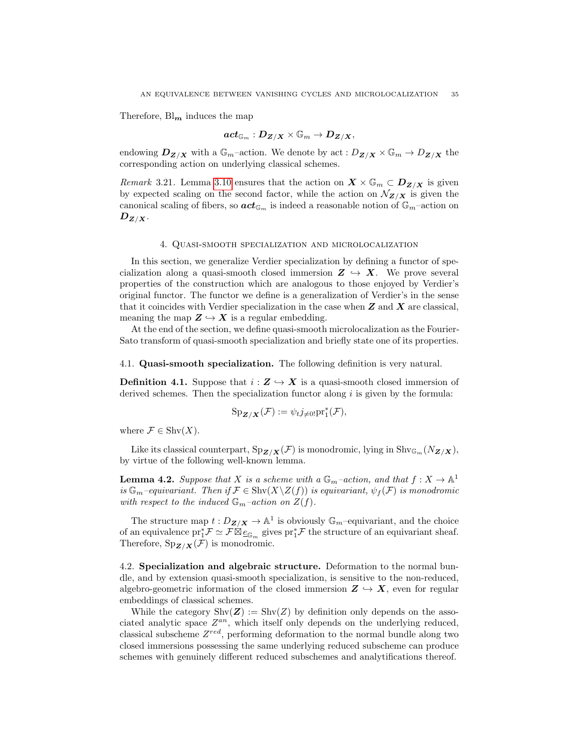Therefore,  $\text{Bl}_{m}$  induces the map

$$
\textit{act}_{\mathbb{G}_m}:D_{Z/X}\times \mathbb{G}_m\to D_{Z/X},
$$

endowing  $D_{Z/X}$  with a  $\mathbb{G}_m$ -action. We denote by act :  $D_{Z/X} \times \mathbb{G}_m \to D_{Z/X}$  the corresponding action on underlying classical schemes.

Remark 3.21. Lemma [3.10](#page-28-3) ensures that the action on  $X \times \mathbb{G}_m \subset D_{Z/X}$  is given by expected scaling on the second factor, while the action on  $\mathcal{N}_{Z/X}$  is given the canonical scaling of fibers, so  $act_{\mathbb{G}_m}$  is indeed a reasonable notion of  $\mathbb{G}_m$ -action on  $D_{Z/X}$ .

## 4. Quasi-smooth specialization and microlocalization

<span id="page-34-0"></span>In this section, we generalize Verdier specialization by defining a functor of specialization along a quasi-smooth closed immersion  $Z \leftrightarrow X$ . We prove several properties of the construction which are analogous to those enjoyed by Verdier's original functor. The functor we define is a generalization of Verdier's in the sense that it coincides with Verdier specialization in the case when  $Z$  and  $X$  are classical, meaning the map  $\mathbf{Z} \hookrightarrow \mathbf{X}$  is a regular embedding.

At the end of the section, we define quasi-smooth microlocalization as the Fourier-Sato transform of quasi-smooth specialization and briefly state one of its properties.

<span id="page-34-1"></span>4.1. Quasi-smooth specialization. The following definition is very natural.

**Definition 4.1.** Suppose that  $i : \mathbf{Z} \hookrightarrow \mathbf{X}$  is a quasi-smooth closed immersion of derived schemes. Then the specialization functor along  $i$  is given by the formula:

$$
Sp_{\mathbf{Z}/\mathbf{X}}(\mathcal{F}) := \psi_t j_{\neq 0!} pr_1^*(\mathcal{F}),
$$

where  $\mathcal{F} \in \mathrm{Shv}(X)$ .

Like its classical counterpart,  $Sp_{\mathbf{Z}/\mathbf{X}}(\mathcal{F})$  is monodromic, lying in  $Shv_{\mathbb{G}_m}(N_{\mathbf{Z}/\mathbf{X}})$ , by virtue of the following well-known lemma.

<span id="page-34-3"></span>**Lemma 4.2.** Suppose that X is a scheme with a  $\mathbb{G}_m$ -action, and that  $f: X \to \mathbb{A}^1$ is  $\mathbb{G}_m$ –equivariant. Then if  $\mathcal{F} \in \mathrm{Shv}(X \setminus Z(f))$  is equivariant,  $\psi_f(\mathcal{F})$  is monodromic with respect to the induced  $\mathbb{G}_m$ -action on  $Z(f)$ .

The structure map  $t: D_{\mathbf{Z}/\mathbf{X}} \to \mathbb{A}^1$  is obviously  $\mathbb{G}_m$ -equivariant, and the choice of an equivalence  $\text{pr}_1^* \mathcal{F} \simeq \mathcal{F} \overline{\otimes}_{\mathcal{L}_{G_m}}$  gives  $\text{pr}_1^* \mathcal{F}$  the structure of an equivariant sheaf. Therefore,  $Sp_{\mathbf{Z}/\mathbf{X}}(\mathcal{F})$  is monodromic.

<span id="page-34-2"></span>4.2. Specialization and algebraic structure. Deformation to the normal bundle, and by extension quasi-smooth specialization, is sensitive to the non-reduced, algebro-geometric information of the closed immersion  $\mathbf{Z} \hookrightarrow \mathbf{X}$ , even for regular embeddings of classical schemes.

While the category  $\text{Shv}(Z) := \text{Shv}(Z)$  by definition only depends on the associated analytic space  $Z^{an}$ , which itself only depends on the underlying reduced, classical subscheme  $Z^{red}$ , performing deformation to the normal bundle along two closed immersions possessing the same underlying reduced subscheme can produce schemes with genuinely different reduced subschemes and analytifications thereof.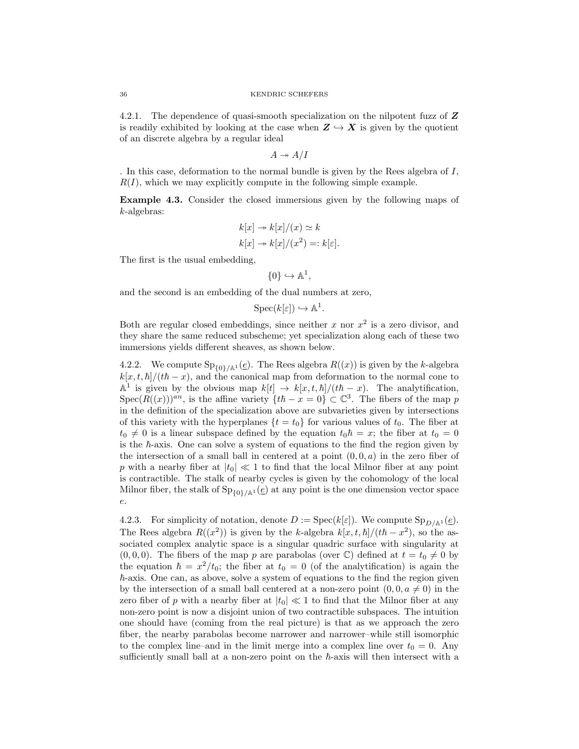4.2.1. The dependence of quasi-smooth specialization on the nilpotent fuzz of **Z** is readily exhibited by looking at the case when  $\mathbf{Z} \hookrightarrow \mathbf{X}$  is given by the quotient of an discrete algebra by a regular ideal

 $A \twoheadrightarrow A/I$ 

. In this case, deformation to the normal bundle is given by the Rees algebra of I,  $R(I)$ , which we may explicitly compute in the following simple example.

Example 4.3. Consider the closed immersions given by the following maps of k-algebras:

$$
k[x] \twoheadrightarrow k[x]/(x) \simeq k
$$
  

$$
k[x] \twoheadrightarrow k[x]/(x^2) =: k[\varepsilon].
$$

The first is the usual embedding,

$$
\{0\} \hookrightarrow \mathbb{A}^1,
$$

and the second is an embedding of the dual numbers at zero,

$$
\operatorname{Spec}(k[\varepsilon]) \hookrightarrow \mathbb{A}^1.
$$

Both are regular closed embeddings, since neither x nor  $x^2$  is a zero divisor, and they share the same reduced subscheme; yet specialization along each of these two immersions yields different sheaves, as shown below.

4.2.2. We compute  $\text{Sp}_{\{0\}/\mathbb{A}^1}(\underline{e})$ . The Rees algebra  $R((x))$  is given by the k-algebra  $k[x, t, \hbar]/(t\hbar - x)$ , and the canonical map from deformation to the normal cone to  $\mathbb{A}^1$  is given by the obvious map  $k[t] \to k[x, t, \hbar]/(t\hbar - x)$ . The analytification,  $Spec(R((x)))^{an}$ , is the affine variety  $\{th - x = 0\} \subset \mathbb{C}^{3}$ . The fibers of the map p in the definition of the specialization above are subvarieties given by intersections of this variety with the hyperplanes  $\{t = t_0\}$  for various values of  $t_0$ . The fiber at  $t_0 \neq 0$  is a linear subspace defined by the equation  $t_0~\hbar = x$ ; the fiber at  $t_0 = 0$ is the  $h$ -axis. One can solve a system of equations to the find the region given by the intersection of a small ball in centered at a point  $(0, 0, a)$  in the zero fiber of p with a nearby fiber at  $|t_0| \ll 1$  to find that the local Milnor fiber at any point is contractible. The stalk of nearby cycles is given by the cohomology of the local Milnor fiber, the stalk of  $Sp_{0}/A^1(e)$  at any point is the one dimension vector space e.

4.2.3. For simplicity of notation, denote  $D := \operatorname{Spec}(k[\varepsilon])$ . We compute  $\operatorname{Sp}_{D/\mathbb{A}^1}(\underline{e})$ . The Rees algebra  $R((x^2))$  is given by the k-algebra  $k[x, t, \hbar]/(t\hbar - x^2)$ , so the associated complex analytic space is a singular quadric surface with singularity at  $(0, 0, 0)$ . The fibers of the map p are parabolas (over C) defined at  $t = t_0 \neq 0$  by the equation  $\hbar = x^2/t_0$ ; the fiber at  $t_0 = 0$  (of the analytification) is again the  $\hbar$ -axis. One can, as above, solve a system of equations to the find the region given by the intersection of a small ball centered at a non-zero point  $(0, 0, a \neq 0)$  in the zero fiber of p with a nearby fiber at  $|t_0| \ll 1$  to find that the Milnor fiber at any non-zero point is now a disjoint union of two contractible subspaces. The intuition one should have (coming from the real picture) is that as we approach the zero fiber, the nearby parabolas become narrower and narrower–while still isomorphic to the complex line–and in the limit merge into a complex line over  $t_0 = 0$ . Any sufficiently small ball at a non-zero point on the  $\hbar$ -axis will then intersect with a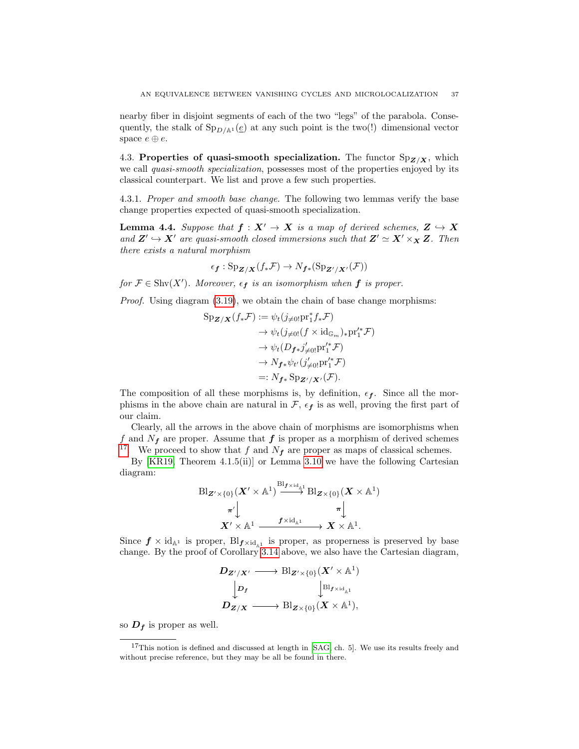nearby fiber in disjoint segments of each of the two "legs" of the parabola. Consequently, the stalk of  $Sp_{D/\mathbb{A}^1}(\underline{e})$  at any such point is the two(!) dimensional vector space  $e \oplus e$ .

<span id="page-36-0"></span>4.3. Properties of quasi-smooth specialization. The functor  $Sp_{Z/X}$ , which we call *quasi-smooth specialization*, possesses most of the properties enjoyed by its classical counterpart. We list and prove a few such properties.

4.3.1. Proper and smooth base change. The following two lemmas verify the base change properties expected of quasi-smooth specialization.

<span id="page-36-1"></span>**Lemma 4.4.** Suppose that  $f : X' \to X$  is a map of derived schemes,  $Z \hookrightarrow X$ and  $Z' \hookrightarrow X'$  are quasi-smooth closed immersions such that  $Z' \simeq X' \times_X Z$ . Then there exists a natural morphism

$$
\epsilon_{\mathbf{f}}: \mathrm{Sp}_{\mathbf{Z}/\mathbf{X}}(f_*\mathcal{F}) \to N_{\mathbf{f} *}(\mathrm{Sp}_{\mathbf{Z}'/\mathbf{X}'}(\mathcal{F}))
$$

for  $\mathcal{F} \in \text{Shv}(X')$ . Moreover,  $\epsilon_f$  is an isomorphism when  $f$  is proper.

Proof. Using diagram [\(3.19\)](#page-33-0), we obtain the chain of base change morphisms:

$$
Sp_{\mathbf{Z}/\mathbf{X}}(f_*\mathcal{F}) := \psi_t(j_{\neq 0!}pr_1^*f_*\mathcal{F})
$$
  
\n
$$
\rightarrow \psi_t(j_{\neq 0!}(f \times id_{\mathbb{G}_m})_*pr_1'^*\mathcal{F})
$$
  
\n
$$
\rightarrow \psi_t(D_{\mathbf{f} * j_{\neq 0!}'pr_1'^*\mathcal{F})
$$
  
\n
$$
\rightarrow N_{\mathbf{f} * \psi_{t'}(j_{\neq 0!}'pr_1'^*\mathcal{F})}
$$
  
\n
$$
=: N_{\mathbf{f} *}Sp_{\mathbf{Z}'/\mathbf{X}'}(\mathcal{F}).
$$

The composition of all these morphisms is, by definition,  $\epsilon_f$ . Since all the morphisms in the above chain are natural in  $\mathcal{F}, \epsilon_f$  is as well, proving the first part of our claim.

Clearly, all the arrows in the above chain of morphisms are isomorphisms when f and  $N_f$  are proper. Assume that  $f$  is proper as a morphism of derived schemes <sup>[17](#page-36-2)</sup>. We proceed to show that f and  $N_f$  are proper as maps of classical schemes.

By [\[KR19,](#page-66-0) Theorem 4.1.5(ii)] or Lemma [3.10](#page-28-3) we have the following Cartesian diagram:

$$
\mathrm{Bl}_{\mathbf{Z}'\times\{0\}}(\mathbf{X}'\times\mathbb{A}^1)\xrightarrow{\mathrm{Bl}_{\mathbf{f}\times\mathrm{id}_{\mathbb{A}^1}}}\mathrm{Bl}_{\mathbf{Z}\times\{0\}}(\mathbf{X}\times\mathbb{A}^1)\\ \pi'\downarrow\pi'\downarrow\pi\downarrow\pi\downarrow\mathbf{X}'\times\mathbb{A}^1\xrightarrow{\mathbf{f}\times\mathrm{id}_{\mathbb{A}^1}}\mathbf{X}\times\mathbb{A}^1.
$$

Since  $f \times id_{\mathbb{A}^1}$  is proper,  $\text{Bl}_{f \times id_{\mathbb{A}^1}}$  is proper, as properness is preserved by base change. By the proof of Corollary [3.14](#page-31-1) above, we also have the Cartesian diagram,

$$
D_{\mathbf{Z}'/X'} \longrightarrow \text{Bl}_{\mathbf{Z}'\times\{0\}}(\mathbf{X}'\times\mathbb{A}^1) \\
\downarrow D_f \qquad \qquad \downarrow \text{Bl}_{\mathbf{f}\times\text{id}_{\mathbb{A}^1}} \\
D_{\mathbf{Z}/X} \longrightarrow \text{Bl}_{\mathbf{Z}\times\{0\}}(\mathbf{X}\times\mathbb{A}^1),
$$

so  $D_f$  is proper as well.

<span id="page-36-2"></span> $17$ This notion is defined and discussed at length in [\[SAG,](#page-66-8) ch. 5]. We use its results freely and without precise reference, but they may be all be found in there.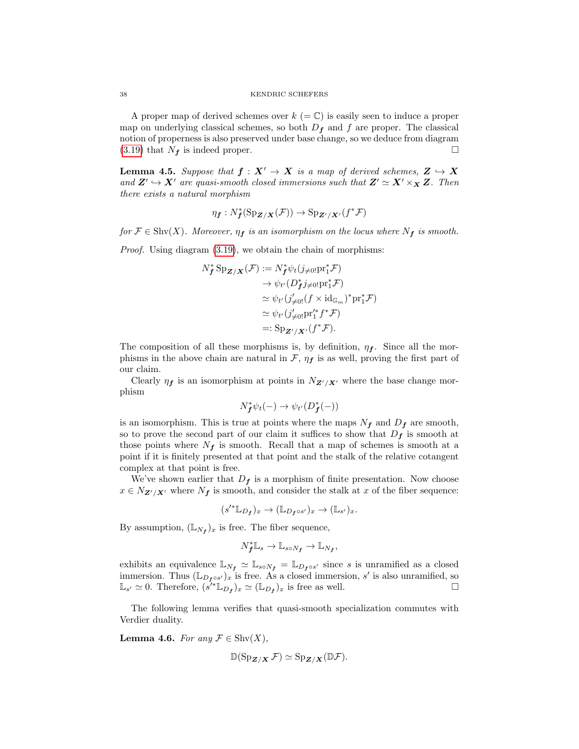A proper map of derived schemes over  $k (= \mathbb{C})$  is easily seen to induce a proper map on underlying classical schemes, so both  $D_f$  and f are proper. The classical notion of properness is also preserved under base change, so we deduce from diagram  $(3.19)$  that  $N_f$  is indeed proper.

<span id="page-37-1"></span>**Lemma 4.5.** Suppose that  $f : X' \to X$  is a map of derived schemes,  $Z \hookrightarrow X$ and  $\mathbf{Z}' \hookrightarrow \mathbf{X}'$  are quasi-smooth closed immersions such that  $\mathbf{Z}' \simeq \mathbf{X}' \times_{\mathbf{X}} \mathbf{Z}$ . Then there exists a natural morphism

$$
\eta_{\bm{f}}: N_{\bm{f}}^*(\mathrm{Sp}_{\mathbf{Z}/\mathbf{X}}(\mathcal{F})) \to \mathrm{Sp}_{\mathbf{Z}'/\mathbf{X}'}(f^*\mathcal{F})
$$

for  $\mathcal{F} \in \text{Shv}(X)$ . Moreover,  $\eta_f$  is an isomorphism on the locus where  $N_f$  is smooth.

Proof. Using diagram [\(3.19\)](#page-33-0), we obtain the chain of morphisms:

$$
N_f^* \operatorname{Sp}_{\mathbf{Z}/\mathbf{X}}(\mathcal{F}) := N_f^* \psi_t(j_{\neq 0!} \operatorname{pr}_1^* \mathcal{F})
$$
  
\n
$$
\rightarrow \psi_{t'}(D_f^* j_{\neq 0!} \operatorname{pr}_1^* \mathcal{F})
$$
  
\n
$$
\simeq \psi_{t'}(j_{\neq 0!}'(f \times \operatorname{id}_{\mathbb{G}_m})^* \operatorname{pr}_1^* \mathcal{F})
$$
  
\n
$$
\simeq \psi_{t'}(j_{\neq 0!}' \operatorname{pr}_1'^* f^* \mathcal{F})
$$
  
\n
$$
=: \operatorname{Sp}_{\mathbf{Z}'/\mathbf{X}'}(f^* \mathcal{F}).
$$

The composition of all these morphisms is, by definition,  $\eta_f$ . Since all the morphisms in the above chain are natural in  $\mathcal{F}$ ,  $\eta_f$  is as well, proving the first part of our claim.

Clearly  $\eta_f$  is an isomorphism at points in  $N_{\mathbf{Z}'/\mathbf{X}'}$  where the base change morphism

$$
N_f^* \psi_t(-) \to \psi_{t'}(D_f^*(-))
$$

is an isomorphism. This is true at points where the maps  $N_f$  and  $D_f$  are smooth, so to prove the second part of our claim it suffices to show that  $D_f$  is smooth at those points where  $N_f$  is smooth. Recall that a map of schemes is smooth at a point if it is finitely presented at that point and the stalk of the relative cotangent complex at that point is free.

We've shown earlier that  $D_f$  is a morphism of finite presentation. Now choose  $x \in N_{\mathbf{Z}'/\mathbf{X}'}$  where  $N_f$  is smooth, and consider the stalk at x of the fiber sequence:

$$
(s'^* \mathbb{L}_{D_f})_x \to (\mathbb{L}_{D_f \circ s'})_x \to (\mathbb{L}_{s'})_x.
$$

By assumption,  $(\mathbb{L}_{N_f})_x$  is free. The fiber sequence,

$$
N_f^* \mathbb{L}_s \to \mathbb{L}_{s \circ N_f} \to \mathbb{L}_{N_f},
$$

exhibits an equivalence  $\mathbb{L}_{N_f} \simeq \mathbb{L}_{soN_f} = \mathbb{L}_{D_f \circ s'}$  since s is unramified as a closed immersion. Thus  $(\mathbb{L}_{D_f \circ s'})_x$  is free. As a closed immersion, s' is also unramified, so  $\mathbb{L}_{s'} \simeq 0$ . Therefore,  $(s'^* \mathbb{L}_{D_f})_x \simeq (\mathbb{L}_{D_f})_x$  is free as well.

The following lemma verifies that quasi-smooth specialization commutes with Verdier duality.

<span id="page-37-0"></span>**Lemma 4.6.** For any  $\mathcal{F} \in \text{Shv}(X)$ ,

$$
\mathbb{D}(\mathrm{Sp}_{\mathbf{Z}/\mathbf{X}}\mathcal{F}) \simeq \mathrm{Sp}_{\mathbf{Z}/\mathbf{X}}(\mathbb{D}\mathcal{F}).
$$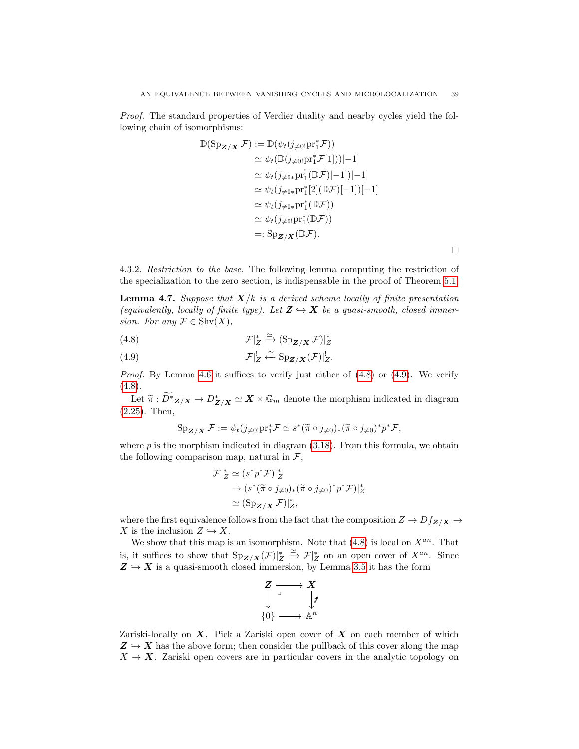Proof. The standard properties of Verdier duality and nearby cycles yield the following chain of isomorphisms:

$$
\mathbb{D}(\operatorname{Sp}_{\mathbf{Z}/\mathbf{X}}\mathcal{F}) := \mathbb{D}(\psi_t(j_{\neq 0!}\operatorname{pr}_1^*\mathcal{F}))
$$
  
\n
$$
\simeq \psi_t(\mathbb{D}(j_{\neq 0!}\operatorname{pr}_1^*\mathcal{F}[1]))[-1]
$$
  
\n
$$
\simeq \psi_t(j_{\neq 0*}\operatorname{pr}_1^![\mathbb{D}\mathcal{F})[-1])[-1]
$$
  
\n
$$
\simeq \psi_t(j_{\neq 0*}\operatorname{pr}_1^*[2](\mathbb{D}\mathcal{F})[-1])[-1]
$$
  
\n
$$
\simeq \psi_t(j_{\neq 0*}\operatorname{pr}_1^*(\mathbb{D}\mathcal{F}))
$$
  
\n
$$
\simeq \psi_t(j_{\neq 0!}\operatorname{pr}_1^*(\mathbb{D}\mathcal{F}))
$$
  
\n
$$
=: \operatorname{Sp}_{\mathbf{Z}/\mathbf{X}}(\mathbb{D}\mathcal{F}).
$$

 $\Box$ 

4.3.2. Restriction to the base. The following lemma computing the restriction of the specialization to the zero section, is indispensable in the proof of Theorem [5.1.](#page-43-2)

<span id="page-38-2"></span>**Lemma 4.7.** Suppose that  $X/k$  is a derived scheme locally of finite presentation (equivalently, locally of finite type). Let  $Z \hookrightarrow X$  be a quasi-smooth, closed immersion. For any  $\mathcal{F} \in \mathrm{Shv}(X)$ ,

<span id="page-38-0"></span>(4.8) 
$$
\mathcal{F}|_Z^* \xrightarrow{\simeq} (\mathrm{Sp}_{\mathbf{Z}/\mathbf{X}} \mathcal{F})|_Z^*
$$

<span id="page-38-1"></span>(4.9) 
$$
\mathcal{F}|_Z^! \xleftarrow{\simeq} \mathrm{Sp}_{\mathbf{Z}/\mathbf{X}}(\mathcal{F})|_Z^!.
$$

*Proof.* By Lemma [4.6](#page-37-0) it suffices to verify just either of  $(4.8)$  or  $(4.9)$ . We verify  $(4.8).$  $(4.8).$ 

Let  $\widetilde{\pi}$ :  $\widetilde{D^*}_{\mathbf{Z}/\mathbf{X}} \to D^*_{\mathbf{Z}/\mathbf{X}} \simeq \mathbf{X} \times \mathbb{G}_m$  denote the morphism indicated in diagram [\(2.25\)](#page-21-2). Then,

$$
\operatorname{Sp}_{\mathbf{Z}/\mathbf{X}}\mathcal{F} := \psi_t(j_{\neq 0!}\operatorname{pr}_1^*\mathcal{F} \simeq s^*(\widetilde{\pi} \circ j_{\neq 0})_*(\widetilde{\pi} \circ j_{\neq 0})^*p^*\mathcal{F},
$$

where  $p$  is the morphism indicated in diagram  $(3.18)$ . From this formula, we obtain the following comparison map, natural in  $\mathcal{F}$ ,

$$
\mathcal{F}|_Z^* \simeq (s^*p^*\mathcal{F})|_Z^*
$$
  
\n
$$
\rightarrow (s^*(\tilde{\pi} \circ j_{\neq 0})_*(\tilde{\pi} \circ j_{\neq 0})^*p^*\mathcal{F})|_Z^*
$$
  
\n
$$
\simeq (\text{Sp}_{\mathbf{Z}/\mathbf{X}}\mathcal{F})|_Z^*,
$$

where the first equivalence follows from the fact that the composition  $Z \to Df_{Z/X} \to$ X is the inclusion  $Z \hookrightarrow X$ .

We show that this map is an isomorphism. Note that  $(4.8)$  is local on  $X^{an}$ . That is, it suffices to show that  $Sp_{\mathbf{Z}/\mathbf{X}}(\mathcal{F})|_{Z}^* \xrightarrow{\simeq} \mathcal{F}|_{Z}^*$  on an open cover of  $X^{an}$ . Since  $Z \hookrightarrow X$  is a quasi-smooth closed immersion, by Lemma [3.5](#page-26-3) it has the form



Zariski-locally on  $X$ . Pick a Zariski open cover of  $X$  on each member of which  $Z \hookrightarrow X$  has the above form; then consider the pullback of this cover along the map  $X \to X$ . Zariski open covers are in particular covers in the analytic topology on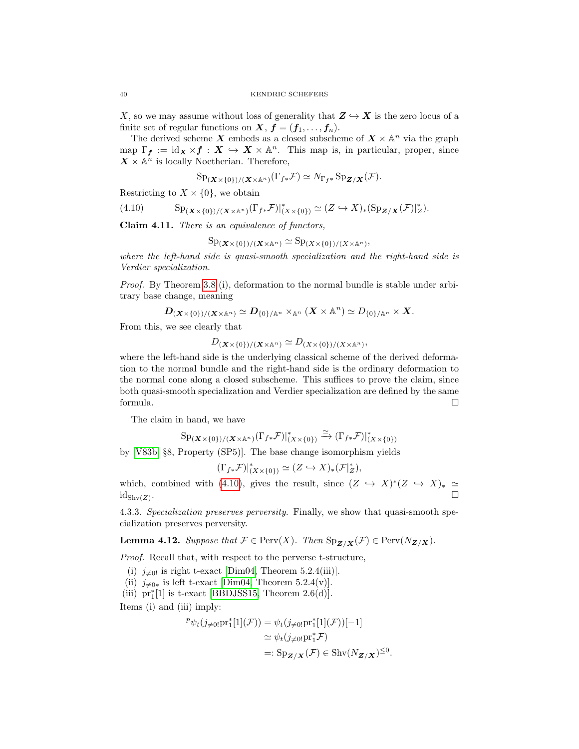X, so we may assume without loss of generality that  $Z \hookrightarrow X$  is the zero locus of a finite set of regular functions on  $X, f = (f_1, \ldots, f_n)$ .

The derived scheme X embeds as a closed subscheme of  $X \times \mathbb{A}^n$  via the graph map  $\Gamma_f := id_{\mathbf{X}} \times f : \mathbf{X} \hookrightarrow \mathbf{X} \times \mathbb{A}^n$ . This map is, in particular, proper, since  $\overline{X} \times \mathbb{A}^n$  is locally Noetherian. Therefore,

<span id="page-39-0"></span>
$$
\mathrm{Sp}_{(\mathbf{X}\times\{0\})/(\mathbf{X}\times\mathbb{A}^n)}(\Gamma_{f*}\mathcal{F})\simeq N_{\Gamma_{f*}}\mathrm{Sp}_{\mathbf{Z}/\mathbf{X}}(\mathcal{F}).
$$

Restricting to  $X \times \{0\}$ , we obtain

$$
(4.10) \t\t\t Sp_{(\mathbf{X}\times\{0\})/(\mathbf{X}\times\mathbb{A}^n)}(\Gamma_{f*}\mathcal{F})|_{(X\times\{0\})}^*\simeq(Z\hookrightarrow X)_*(\text{Sp}_{\mathbf{Z}/\mathbf{X}}(\mathcal{F})|_{Z}^*).
$$

Claim 4.11. There is an equivalence of functors,

$$
\mathrm{Sp}_{(\mathbf{X}\times\{0\})/(\mathbf{X}\times\mathbb{A}^n)}\simeq \mathrm{Sp}_{(\mathbf{X}\times\{0\})/(\mathbf{X}\times\mathbb{A}^n)},
$$

where the left-hand side is quasi-smooth specialization and the right-hand side is Verdier specialization.

Proof. By Theorem [3.8](#page-27-1) (i), deformation to the normal bundle is stable under arbitrary base change, meaning

$$
D_{(\boldsymbol{X}\times\{0\})/(\boldsymbol{X}\times\mathbb{A}^n)}\simeq D_{\{0\}/\mathbb{A}^n}\times_{\mathbb{A}^n}(\boldsymbol{X}\times\mathbb{A}^n)\simeq D_{\{0\}/\mathbb{A}^n}\times\boldsymbol{X}.
$$

From this, we see clearly that

$$
D_{(\mathbf{X}\times\{0\})/(\mathbf{X}\times\mathbb{A}^n)} \simeq D_{(\mathbf{X}\times\{0\})/(\mathbf{X}\times\mathbb{A}^n)},
$$

where the left-hand side is the underlying classical scheme of the derived deformation to the normal bundle and the right-hand side is the ordinary deformation to the normal cone along a closed subscheme. This suffices to prove the claim, since both quasi-smooth specialization and Verdier specialization are defined by the same formula.

The claim in hand, we have

$$
\mathrm{Sp}_{(\mathbf{X}\times\{0\})/(\mathbf{X}\times\mathbb{A}^n)}(\Gamma_{f*}\mathcal{F})|_{(\mathbf{X}\times\{0\})}^*\stackrel{\simeq}{\longrightarrow}(\Gamma_{f*}\mathcal{F})|_{(\mathbf{X}\times\{0\})}^*
$$

by [\[V83b,](#page-66-12) §8, Property (SP5)]. The base change isomorphism yields

$$
(\Gamma_{f*}\mathcal{F})|_{(X\times\{0\})}^*\simeq (Z\hookrightarrow X)_*(\mathcal{F}|_Z^*),
$$

which, combined with [\(4.10\)](#page-39-0), gives the result, since  $(Z \hookrightarrow X)^*(Z \hookrightarrow X)_* \simeq$  $id_{\text{Shv}(Z)}$ . .

4.3.3. Specialization preserves perversity. Finally, we show that quasi-smooth specialization preserves perversity.

<span id="page-39-1"></span>**Lemma 4.12.** Suppose that  $\mathcal{F} \in \text{Perv}(X)$ . Then  $\text{Sp}_{\mathbf{Z}/\mathbf{X}}(\mathcal{F}) \in \text{Perv}(N_{\mathbf{Z}/\mathbf{X}})$ .

Proof. Recall that, with respect to the perverse t-structure,

- (i)  $j_{\neq 0}$  is right t-exact [\[Dim04,](#page-65-10) Theorem 5.2.4(iii)].
- (ii)  $j_{\neq 0*}$  is left t-exact [\[Dim04,](#page-65-10) Theorem 5.2.4(v)].
- (iii)  $pr_1^*[1]$  is t-exact [\[BBDJSS15,](#page-65-2) Theorem 2.6(d)].

Items (i) and (iii) imply:

$$
\begin{aligned} \n\mathcal{P}\psi_t(j\neq 0; \text{pr}_1^*[1](\mathcal{F})) &= \psi_t(j\neq 0; \text{pr}_1^*[1](\mathcal{F}))[-1] \\ \n&\simeq \psi_t(j\neq 0; \text{pr}_1^*\mathcal{F}) \\ \n&=: \text{Sp}_{\mathbf{Z}/\mathbf{X}}(\mathcal{F}) \in \text{Shv}(N_{\mathbf{Z}/\mathbf{X}})^{\leq 0} \n\end{aligned}
$$

.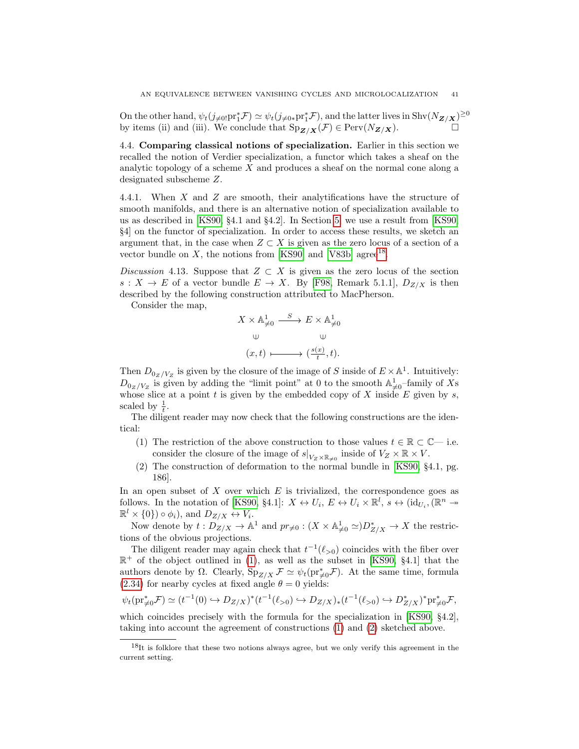On the other hand,  $\psi_t(j_{\neq 0}:\text{pr}_1^*\mathcal{F}) \simeq \psi_t(j_{\neq 0*}\text{pr}_1^*\mathcal{F})$ , and the latter lives in Shv $(N_{\mathbf{Z}/\mathbf{X}})^{\geq 0}$ by items (ii) and (iii). We conclude that  $\text{Sp}_{\mathbf{Z}/\mathbf{X}}(\mathcal{F}) \in \text{Perv}(N_{\mathbf{Z}/\mathbf{X}})$ .

<span id="page-40-0"></span>4.4. Comparing classical notions of specialization. Earlier in this section we recalled the notion of Verdier specialization, a functor which takes a sheaf on the analytic topology of a scheme  $X$  and produces a sheaf on the normal cone along a designated subscheme Z.

4.4.1. When X and Z are smooth, their analytifications have the structure of smooth manifolds, and there is an alternative notion of specialization available to us as described in [\[KS90,](#page-66-2) §4.1 and §4.2]. In Section [5,](#page-43-0) we use a result from [\[KS90,](#page-66-2) §4] on the functor of specialization. In order to access these results, we sketch an argument that, in the case when  $Z \subset X$  is given as the zero locus of a section of a vector bundle on  $X$ , the notions from [\[KS90\]](#page-66-2) and [\[V83b\]](#page-66-12) agree<sup>[18](#page-40-1)</sup>.

Discussion 4.13. Suppose that  $Z \subset X$  is given as the zero locus of the section  $s: X \to E$  of a vector bundle  $E \to X$ . By [\[F98,](#page-65-11) Remark 5.1.1],  $D_{Z/X}$  is then described by the following construction attributed to MacPherson.

Consider the map,

$$
\begin{split} X\times\mathbb{A}^1_{{\neq0}}&\stackrel{S}{\longrightarrow}E\times\mathbb{A}^1_{{\neq0}}\\ \cup&&\cup\\ (x,t)&\longmapsto(\tfrac{s(x)}{t},t).\end{split}
$$

Then  $D_{0_Z/V_Z}$  is given by the closure of the image of S inside of  $E \times \mathbb{A}^1$ . Intuitively:  $D_{0_Z/V_Z}$  is given by adding the "limit point" at 0 to the smooth  $\mathbb{A}^1_{\neq 0}$ -family of Xs whose slice at a point  $t$  is given by the embedded copy of  $X$  inside  $E$  given by  $s$ , scaled by  $\frac{1}{t}$ .

The diligent reader may now check that the following constructions are the identical:

- <span id="page-40-2"></span>(1) The restriction of the above construction to those values  $t \in \mathbb{R} \subset \mathbb{C}$ — i.e. consider the closure of the image of  $s|_{V_Z \times \mathbb{R}_{\neq 0}}$  inside of  $V_Z \times \mathbb{R} \times V$ .
- <span id="page-40-3"></span>(2) The construction of deformation to the normal bundle in [\[KS90,](#page-66-2) §4.1, pg. 186].

In an open subset of  $X$  over which  $E$  is trivialized, the correspondence goes as follows. In the notation of [\[KS90,](#page-66-2) §4.1]:  $X \leftrightarrow U_i$ ,  $E \leftrightarrow U_i \times \mathbb{R}^l$ ,  $s \leftrightarrow (\mathrm{id}_{U_i}, (\mathbb{R}^n \rightarrow$  $\mathbb{R}^l \times \{0\}$  o  $\phi_i$ ), and  $D_{Z/X} \leftrightarrow V_i$ .

Now denote by  $t: D_{Z/X} \to \mathbb{A}^1$  and  $pr_{\neq 0} : (X \times \mathbb{A}^1_{\neq 0} \simeq)D_{Z/X}^* \to X$  the restrictions of the obvious projections.

The diligent reader may again check that  $t^{-1}(\ell_{>0})$  coincides with the fiber over  $\mathbb{R}^+$  of the object outlined in [\(1\)](#page-40-2), as well as the subset in [\[KS90,](#page-66-2) §4.1] that the authors denote by  $\Omega$ . Clearly,  $Sp_{Z/X} \mathcal{F} \simeq \psi_t(pr_{\neq 0}^*\mathcal{F})$ . At the same time, formula [\(2.34\)](#page-22-3) for nearby cycles at fixed angle  $\theta = 0$  yields:

$$
\psi_t(\mathrm{pr}_{\neq 0}^* \mathcal{F}) \simeq (t^{-1}(0) \hookrightarrow D_{Z/X})^*(t^{-1}(\ell_{>0}) \hookrightarrow D_{Z/X})_*(t^{-1}(\ell_{>0}) \hookrightarrow D_{Z/X}^*)^*\mathrm{pr}_{\neq 0}^* \mathcal{F},
$$

which coincides precisely with the formula for the specialization in [\[KS90,](#page-66-2) §4.2], taking into account the agreement of constructions [\(1\)](#page-40-2) and [\(2\)](#page-40-3) sketched above.

<span id="page-40-1"></span> $18$ It is folklore that these two notions always agree, but we only verify this agreement in the current setting.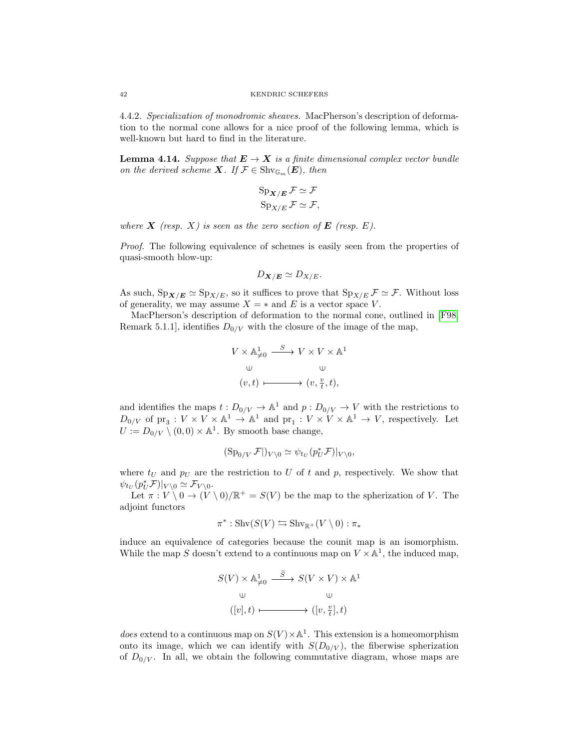4.4.2. Specialization of monodromic sheaves. MacPherson's description of deformation to the normal cone allows for a nice proof of the following lemma, which is well-known but hard to find in the literature.

<span id="page-41-0"></span>**Lemma 4.14.** Suppose that  $E \to X$  is a finite dimensional complex vector bundle on the derived scheme **X**. If  $\mathcal{F} \in \mathrm{Shv}_{\mathbb{G}_m}(E)$ , then

$$
Sp_{X/E} \mathcal{F} \simeq \mathcal{F}
$$

$$
Sp_{X/E} \mathcal{F} \simeq \mathcal{F},
$$

where  $\boldsymbol{X}$  (resp.  $X$ ) is seen as the zero section of  $\boldsymbol{E}$  (resp. E).

Proof. The following equivalence of schemes is easily seen from the properties of quasi-smooth blow-up:

$$
D_{\mathbf{X}/\mathbf{E}} \simeq D_{X/E}.
$$

As such,  $Sp_{X/E} \simeq Sp_{X/E}$ , so it suffices to prove that  $Sp_{X/E} \mathcal{F} \simeq \mathcal{F}$ . Without loss of generality, we may assume  $X = *$  and E is a vector space V.

MacPherson's description of deformation to the normal cone, outlined in [\[F98,](#page-65-11) Remark 5.1.1], identifies  $D_{0/V}$  with the closure of the image of the map,

$$
V \times \mathbb{A}_{\neq 0}^1 \xrightarrow{S} V \times V \times \mathbb{A}^1
$$
  
\n
$$
\cup \qquad \qquad \cup
$$
  
\n
$$
(v, t) \longmapsto (v, \frac{v}{t}, t),
$$

and identifies the maps  $t: D_{0/V} \to \mathbb{A}^1$  and  $p: D_{0/V} \to V$  with the restrictions to  $D_{0/V}$  of  $\text{pr}_3: V \times V \times \mathbb{A}^1 \to \mathbb{A}^1$  and  $\text{pr}_1: V \times V \times \mathbb{A}^1 \to V$ , respectively. Let  $U := D_{0/V} \setminus (0,0) \times \mathbb{A}^1$ . By smooth base change,

$$
(\mathrm{Sp}_{0/V}\,\mathcal{F}|)_{V\setminus 0}\simeq \psi_{t_U}(p_U^*\mathcal{F})|_{V\setminus 0},
$$

where  $t_U$  and  $p_U$  are the restriction to U of t and p, respectively. We show that  $\psi_{t_U}(p_U^* \mathcal{F})|_{V \setminus 0} \simeq \mathcal{F}_{V \setminus 0}.$ 

Let  $\pi : V \setminus 0 \to (V \setminus 0)/\mathbb{R}^+ = S(V)$  be the map to the spherization of V. The adjoint functors

$$
\pi^* : \operatorname{Shv}(S(V) \leftrightarrows \operatorname{Shv}_{\mathbb{R}^+}(V \setminus 0) : \pi_*
$$

induce an equivalence of categories because the counit map is an isomorphism. While the map S doesn't extend to a continuous map on  $V \times \mathbb{A}^1$ , the induced map,

$$
S(V) \times \mathbb{A}_{\neq 0}^1 \xrightarrow{\widetilde{S}} S(V \times V) \times \mathbb{A}^1
$$
  
\n
$$
\cup \qquad \qquad \cup
$$
  
\n
$$
([v], t) \longmapsto ([v, \frac{v}{t}], t)
$$

*does* extend to a continuous map on  $S(V) \times \mathbb{A}^1$ . This extension is a homeomorphism onto its image, which we can identify with  $S(D_{0/V})$ , the fiberwise spherization of  $D_{0/V}$ . In all, we obtain the following commutative diagram, whose maps are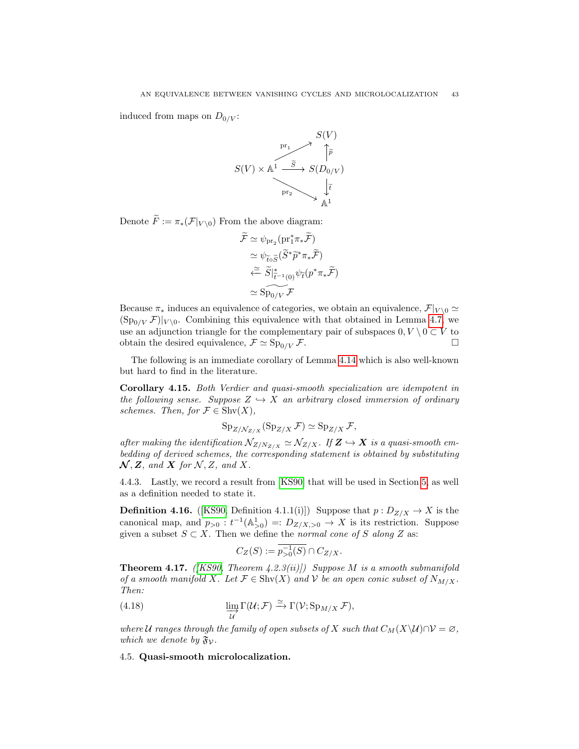induced from maps on  $D_{0/V}$ :



Denote  $\widetilde{F} := \pi_*(\mathcal{F}|_{V \setminus 0})$  From the above diagram:

$$
\widetilde{\mathcal{F}} \simeq \psi_{\text{pr}_2}(\text{pr}_1^* \pi_* \widetilde{\mathcal{F}})
$$
\n
$$
\simeq \psi_{\widetilde{t} \circ \widetilde{S}} (\widetilde{S}^* \widetilde{p}^* \pi_* \widetilde{\mathcal{F}})
$$
\n
$$
\simeq \widetilde{S}|_{\widetilde{t}^{-1}(0)}^* \psi_{\widetilde{t}}(p^* \pi_* \widetilde{\mathcal{F}})
$$
\n
$$
\simeq \widetilde{\text{Sp}}_{0/V} \mathcal{F}
$$

Because  $\pi_*$  induces an equivalence of categories, we obtain an equivalence,  $\mathcal{F}|_{V \setminus 0} \simeq$  $(\text{Sp}_{0/V} \mathcal{F})|_{V \setminus 0}$ . Combining this equivalence with that obtained in Lemma [4.7,](#page-38-2) we use an adjunction triangle for the complementary pair of subspaces  $0, V \setminus 0 \subset V$  to obtain the desired equivalence,  $\mathcal{F} \simeq \text{Sp}_{0/V} \mathcal{F}$ .

The following is an immediate corollary of Lemma [4.14](#page-41-0) which is also well-known but hard to find in the literature.

Corollary 4.15. Both Verdier and quasi-smooth specialization are idempotent in the following sense. Suppose  $Z \hookrightarrow X$  an arbitrary closed immersion of ordinary schemes. Then, for  $\mathcal{F} \in \text{Shv}(X)$ ,

$$
Sp_{Z/\mathcal{N}_{Z/X}}(Sp_{Z/X} \mathcal{F}) \simeq Sp_{Z/X} \mathcal{F},
$$

after making the identification  $\mathcal{N}_{Z/N_{Z/X}} \simeq \mathcal{N}_{Z/X}$ . If  $\mathbb{Z} \hookrightarrow \mathbb{X}$  is a quasi-smooth embedding of derived schemes, the corresponding statement is obtained by substituting  $\mathcal{N}, Z$ , and  $X$  for  $\mathcal{N}, Z$ , and  $X$ .

4.4.3. Lastly, we record a result from [\[KS90\]](#page-66-2) that will be used in Section [5,](#page-43-0) as well as a definition needed to state it.

**Definition 4.16.** ([\[KS90,](#page-66-2) Definition 4.1.1(i)]) Suppose that  $p: D_{Z/X} \to X$  is the canonical map, and  $p_{>0} : t^{-1}(\mathbb{A}^1_{>0}) =: D_{Z/X,>0} \to X$  is its restriction. Suppose given a subset  $S \subset X$ . Then we define the normal cone of S along Z as:

<span id="page-42-1"></span>
$$
C_Z(S) := \overline{p_{>0}^{-1}(S)} \cap C_{Z/X}.
$$

**Theorem 4.17.** ([\[KS90,](#page-66-2) Theorem 4.2.3(ii)]) Suppose M is a smooth submanifold of a smooth manifold X. Let  $\mathcal{F} \in \text{Shv}(X)$  and V be an open conic subset of  $N_{M/X}$ . Then:

(4.18) 
$$
\varinjlim_{\mathcal{U}} \Gamma(\mathcal{U}; \mathcal{F}) \xrightarrow{\simeq} \Gamma(\mathcal{V}; \operatorname{Sp}_{M/X} \mathcal{F}),
$$

where U ranges through the family of open subsets of X such that  $C_M(X\setminus\mathcal{U})\cap\mathcal{V}=\varnothing$ , which we denote by  $\mathfrak{F}_{\mathcal{V}}$ .

<span id="page-42-0"></span>4.5. Quasi-smooth microlocalization.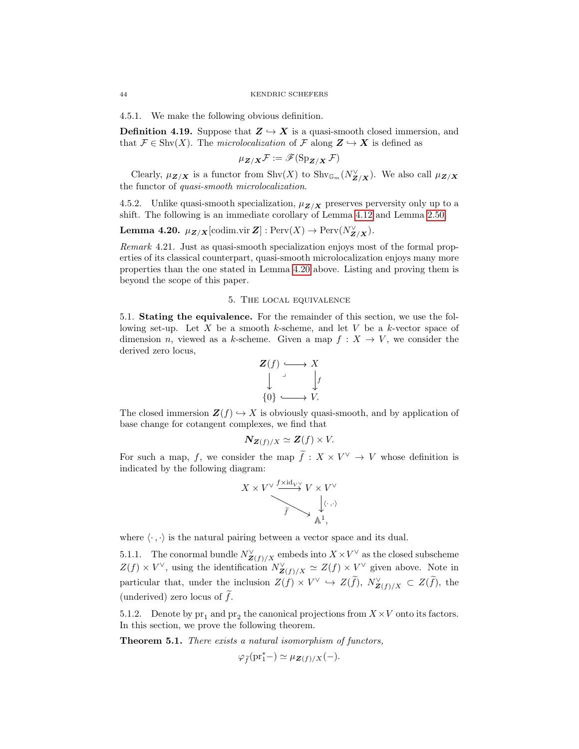4.5.1. We make the following obvious definition.

**Definition 4.19.** Suppose that  $Z \rightarrow X$  is a quasi-smooth closed immersion, and that  $\mathcal{F} \in \text{Shv}(X)$ . The *microlocalization* of  $\mathcal{F}$  along  $\mathbf{Z} \hookrightarrow \mathbf{X}$  is defined as

$$
\mu_{\boldsymbol{Z}/\boldsymbol{X}}\mathcal{F}:=\mathscr{F}(\operatorname{Sp}_{\boldsymbol{Z}/\boldsymbol{X}}\mathcal{F})
$$

Clearly,  $\mu_{\mathbf{Z}/\mathbf{X}}$  is a functor from  $\text{Shv}(X)$  to  $\text{Shv}_{\mathbb{G}_m}(N_{\mathbf{Z}/\mathbf{X}})$ . We also call  $\mu_{\mathbf{Z}/\mathbf{X}}$ the functor of quasi-smooth microlocalization.

4.5.2. Unlike quasi-smooth specialization,  $\mu_{\mathbf{Z}/\mathbf{X}}$  preserves perversity only up to a shift. The following is an immediate corollary of Lemma [4.12](#page-39-1) and Lemma [2.50.](#page-25-1)

<span id="page-43-3"></span>**Lemma 4.20.**  $\mu_{\mathbf{Z}/\mathbf{X}}[\text{codim.vir } \mathbf{Z}] : \text{Perv}(X) \to \text{Perv}(N_{\mathbf{Z}/\mathbf{X}}^{\vee}).$ 

Remark 4.21. Just as quasi-smooth specialization enjoys most of the formal properties of its classical counterpart, quasi-smooth microlocalization enjoys many more properties than the one stated in Lemma [4.20](#page-43-3) above. Listing and proving them is beyond the scope of this paper.

#### 5. The local equivalence

<span id="page-43-1"></span><span id="page-43-0"></span>5.1. Stating the equivalence. For the remainder of this section, we use the following set-up. Let  $X$  be a smooth k-scheme, and let  $V$  be a k-vector space of dimension n, viewed as a k-scheme. Given a map  $f: X \to V$ , we consider the derived zero locus,

$$
\begin{array}{ccc}\nZ(f) & \longrightarrow & X \\
\downarrow & & \downarrow f \\
\{0\} & \longrightarrow & V.\n\end{array}
$$

The closed immersion  $\mathbf{Z}(f) \hookrightarrow X$  is obviously quasi-smooth, and by application of base change for cotangent complexes, we find that

$$
\mathbf{N}_{\mathbf{Z}(f)/X} \simeq \mathbf{Z}(f) \times V.
$$

For such a map, f, we consider the map  $\tilde{f}: X \times V^{\vee} \to V$  whose definition is indicated by the following diagram:

$$
X \times V^{\vee} \xrightarrow{f \times \text{id}_{V^{\vee}} V} V \times V^{\vee}
$$
  

$$
\xrightarrow{\tilde{f}} \qquad \downarrow \langle \cdot, \cdot \rangle
$$
  

$$
\xrightarrow{\mathbb{A}^1}
$$

where  $\langle \cdot , \cdot \rangle$  is the natural pairing between a vector space and its dual.

<span id="page-43-4"></span>5.1.1. The conormal bundle  $N^{\vee}_{\mathbf{Z}(f)/X}$  embeds into  $X \times V^{\vee}$  as the closed subscheme  $Z(f) \times V^{\vee}$ , using the identification  $N^{\vee}_{\mathbf{Z}(f)/X} \simeq Z(f) \times V^{\vee}$  given above. Note in particular that, under the inclusion  $Z(f) \times V^{\vee} \hookrightarrow Z(\tilde{f}), N^{\vee}_{\mathbf{Z}(f)/X} \subset Z(\tilde{f}),$  the (underived) zero locus of  $f$ .

5.1.2. Denote by  $pr_1$  and  $pr_2$  the canonical projections from  $X \times V$  onto its factors. In this section, we prove the following theorem.

<span id="page-43-2"></span>Theorem 5.1. There exists a natural isomorphism of functors,

$$
\varphi_{\widetilde{f}}(\mathrm{pr}_1^* -) \simeq \mu_{\mathbf{Z}(f)/X}(-).
$$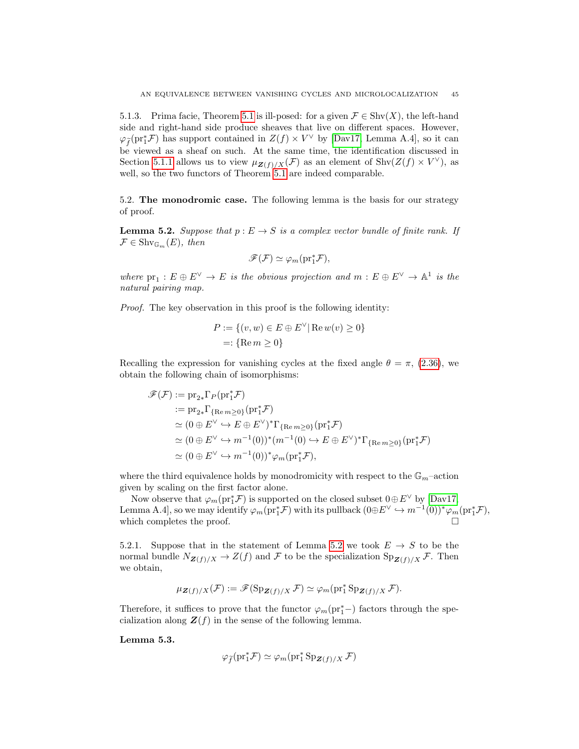5.1.3. Prima facie, Theorem [5.1](#page-43-2) is ill-posed: for a given  $\mathcal{F} \in \text{Shv}(X)$ , the left-hand side and right-hand side produce sheaves that live on different spaces. However,  $\varphi_{\tilde{f}}(\text{pr}_1^* \mathcal{F})$  has support contained in  $Z(f) \times V^{\vee}$  by [\[Dav17,](#page-65-12) Lemma A.4], so it can be viewed as a sheaf on such. At the same time, the identification discussed in Section [5.1.1](#page-43-4) allows us to view  $\mu_{\mathbf{Z}(f)/X}(\mathcal{F})$  as an element of  $\text{Shv}(Z(f) \times V^{\vee})$ , as well, so the two functors of Theorem [5.1](#page-43-2) are indeed comparable.

<span id="page-44-0"></span>5.2. The monodromic case. The following lemma is the basis for our strategy of proof.

<span id="page-44-2"></span>**Lemma 5.2.** Suppose that  $p : E \to S$  is a complex vector bundle of finite rank. If  $\mathcal{F} \in \mathrm{Shv}_{\mathbb{G}_m}(E)$ , then

$$
\mathscr{F}(\mathcal{F}) \simeq \varphi_m(\mathrm{pr}_1^*\mathcal{F}),
$$

where  $pr_1: E \oplus E^{\vee} \to E$  is the obvious projection and  $m: E \oplus E^{\vee} \to \mathbb{A}^1$  is the natural pairing map.

Proof. The key observation in this proof is the following identity:

$$
P := \{(v, w) \in E \oplus E^{\vee} | \operatorname{Re} w(v) \ge 0 \}
$$
  
=: {Re  $m \ge 0$ }

Recalling the expression for vanishing cycles at the fixed angle  $\theta = \pi$ , [\(2.36\)](#page-22-4), we obtain the following chain of isomorphisms:

$$
\mathscr{F}(\mathcal{F}) := \mathrm{pr}_{2*} \Gamma_P(\mathrm{pr}_1^* \mathcal{F})
$$
  
\n
$$
:= \mathrm{pr}_{2*} \Gamma_{\{\mathrm{Re } m \ge 0\}}(\mathrm{pr}_1^* \mathcal{F})
$$
  
\n
$$
\simeq (0 \oplus E^{\vee} \hookrightarrow E \oplus E^{\vee})^* \Gamma_{\{\mathrm{Re } m \ge 0\}}(\mathrm{pr}_1^* \mathcal{F})
$$
  
\n
$$
\simeq (0 \oplus E^{\vee} \hookrightarrow m^{-1}(0))^* (m^{-1}(0) \hookrightarrow E \oplus E^{\vee})^* \Gamma_{\{\mathrm{Re } m \ge 0\}}(\mathrm{pr}_1^* \mathcal{F})
$$
  
\n
$$
\simeq (0 \oplus E^{\vee} \hookrightarrow m^{-1}(0))^* \varphi_m(\mathrm{pr}_1^* \mathcal{F}),
$$

where the third equivalence holds by monodromicity with respect to the  $\mathbb{G}_m$ -action given by scaling on the first factor alone.

Now observe that  $\varphi_m(\text{pr}_1^*\mathcal{F})$  is supported on the closed subset  $0 \oplus E^{\vee}$  by [\[Dav17,](#page-65-12) Lemma A.4], so we may identify  $\varphi_m(\text{pr}_1^*\mathcal{F})$  with its pullback  $(0 \oplus E^{\vee} \hookrightarrow m^{-1}(0))^* \varphi_m(\text{pr}_1^*\mathcal{F})$ , which completes the proof.  $\Box$ 

5.2.1. Suppose that in the statement of Lemma [5.2](#page-44-2) we took  $E \to S$  to be the normal bundle  $N_{\mathbf{Z}(f)/X} \to Z(f)$  and F to be the specialization  $\text{Sp}_{\mathbf{Z}(f)/X}$  F. Then we obtain,

$$
\mu_{\mathbf{Z}(f)/X}(\mathcal{F}) := \mathscr{F}(\mathrm{Sp}_{\mathbf{Z}(f)/X}\mathcal{F}) \simeq \varphi_m(\mathrm{pr}_1^* \mathrm{Sp}_{\mathbf{Z}(f)/X}\mathcal{F}).
$$

Therefore, it suffices to prove that the functor  $\varphi_m(\text{pr}_1^*-)$  factors through the specialization along  $\mathbf{Z}(f)$  in the sense of the following lemma.

<span id="page-44-1"></span>Lemma 5.3.

$$
\varphi_{\widetilde{f}}(\mathrm{pr}_1^* \mathcal{F}) \simeq \varphi_m(\mathrm{pr}_1^* \operatorname{Sp}_{\mathbf{Z}(f)/X} \mathcal{F})
$$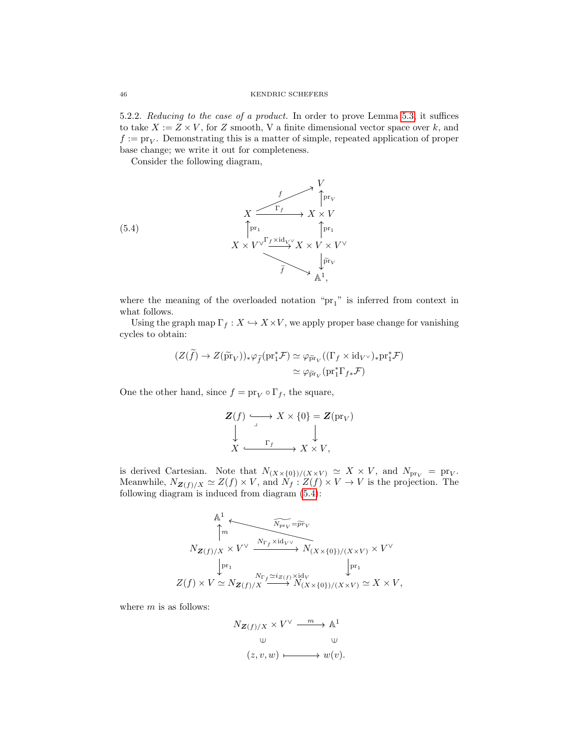<span id="page-45-1"></span>5.2.2. Reducing to the case of a product. In order to prove Lemma [5.3,](#page-44-1) it suffices to take  $X := Z \times V$ , for Z smooth, V a finite dimensional vector space over k, and  $f := \text{pr}_V$ . Demonstrating this is a matter of simple, repeated application of proper base change; we write it out for completeness.

<span id="page-45-0"></span>Consider the following diagram,

(5.4)  

$$
X \xrightarrow{\uparrow} Y
$$
  

$$
X \times V^{\vee} \xrightarrow{\uparrow} Y \times V
$$
  

$$
X \times V^{\vee} \xrightarrow{\uparrow} Y \times V \times V^{\vee}
$$
  

$$
\uparrow F_1
$$
  

$$
\downarrow F_1
$$
  

$$
\downarrow F_V
$$
  

$$
\downarrow F_V
$$
  

$$
\downarrow F_V
$$

where the meaning of the overloaded notation " $\text{pr}_1$ " is inferred from context in what follows.

Using the graph map  $\Gamma_f : X \hookrightarrow X \times V$ , we apply proper base change for vanishing cycles to obtain:

$$
(Z(\widetilde{f}) \to Z(\widetilde{\mathrm{pr}}_V))_* \varphi_{\widetilde{f}}(\mathrm{pr}_1^* \mathcal{F}) \simeq \varphi_{\widetilde{\mathrm{pr}}_V}((\Gamma_f \times \mathrm{id}_{V^\vee})_* \mathrm{pr}_1^* \mathcal{F})
$$

$$
\simeq \varphi_{\widetilde{\mathrm{pr}}_V}(\mathrm{pr}_1^* \Gamma_{f*} \mathcal{F})
$$

One the other hand, since  $f = \text{pr}_V \circ \Gamma_f$ , the square,

$$
\begin{array}{ccc}\nZ(f) & \xrightarrow{\cdot} & X \times \{0\} = Z(\text{pr}_V) \\
\downarrow & & \downarrow \\
X & \xrightarrow{\Gamma_f} & X \times V,\n\end{array}
$$

is derived Cartesian. Note that  $N_{(X\times\{0\})/(X\times V)} \simeq X \times V$ , and  $N_{\text{pr}_V} = \text{pr}_V$ . Meanwhile,  $N_{\mathbf{Z}(f)/X} \simeq Z(f) \times V$ , and  $N_f : Z(f) \times V \to V$  is the projection. The following diagram is induced from diagram [\(5.4\)](#page-45-0):

$$
\begin{array}{c}\n{\mathbb{A}^1} \\
\uparrow m \\
N_{\mathbf{Z}(f)/X} \times V^\vee \xrightarrow{N_{\Gamma_f} \times \mathrm{id}_{V^\vee}} N_{(X \times \{0\})/(X \times V)} \times V^\vee \\
\downarrow \text{pr}_1 \\
Z(f) \times V \simeq N_{\mathbf{Z}(f)/X} \xrightarrow{N_{\Gamma_f} \simeq i_{Z(f)} \times \mathrm{id}_V} N_{(X \times \{0\})/(X \times V)} \simeq X \times V,\n\end{array}
$$

where  $m$  is as follows:

$$
N_{\mathbf{Z}(f)/X} \times V^{\vee} \xrightarrow{m} \mathbb{A}^{1}
$$
  
\n
$$
\cup \qquad \qquad \cup
$$
  
\n
$$
(z, v, w) \longmapsto w(v).
$$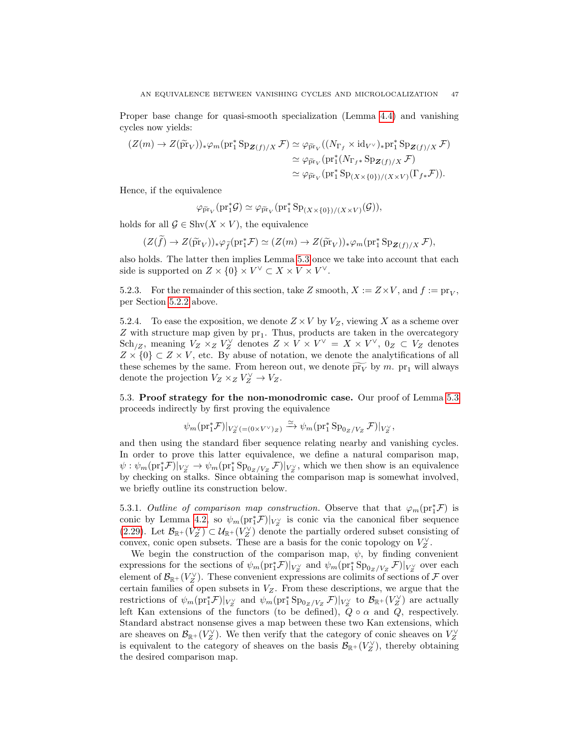Proper base change for quasi-smooth specialization (Lemma [4.4\)](#page-36-1) and vanishing cycles now yields:

$$
(Z(m) \to Z(\tilde{\mathrm{pr}}_V))_* \varphi_m(\mathrm{pr}_1^* \mathrm{Sp}_{\mathbf{Z}(f)/X} \mathcal{F}) \simeq \varphi_{\tilde{\mathrm{pr}}_V}((N_{\Gamma_f} \times \mathrm{id}_{V^\vee})_* \mathrm{pr}_1^* \mathrm{Sp}_{\mathbf{Z}(f)/X} \mathcal{F})
$$
  

$$
\simeq \varphi_{\tilde{\mathrm{pr}}_V}(\mathrm{pr}_1^*(N_{\Gamma_f*} \mathrm{Sp}_{\mathbf{Z}(f)/X} \mathcal{F})
$$
  

$$
\simeq \varphi_{\tilde{\mathrm{pr}}_V}(\mathrm{pr}_1^* \mathrm{Sp}_{(X \times \{0\})/(X \times V)}(\Gamma_{f*} \mathcal{F})).
$$

Hence, if the equivalence

 $\varphi_{\tilde{\text{pr}}_V}(\text{pr}_1^*\mathcal{G}) \simeq \varphi_{\tilde{\text{pr}}_V}(\text{pr}_1^*\text{Sp}_{(X \times \{0\})/(X \times V)}(\mathcal{G})),$ 

holds for all  $\mathcal{G} \in \text{Shv}(X \times V)$ , the equivalence

 $(Z(\widetilde{f}) \to Z(\widetilde{\text{pr}}_V))_* \varphi_{\widetilde{f}}(\text{pr}_1^* \mathcal{F}) \simeq (Z(m) \to Z(\widetilde{\text{pr}}_V))_* \varphi_m(\text{pr}_1^* \text{Sp}_{\mathbf{Z}(f)/X} \mathcal{F}),$ 

also holds. The latter then implies Lemma [5.3](#page-44-1) once we take into account that each side is supported on  $Z \times \{0\} \times V^{\vee} \subset X \times V \times V^{\vee}$ .

5.2.3. For the remainder of this section, take Z smooth,  $X := Z \times V$ , and  $f := \text{pr}_V$ , per Section [5.2.2](#page-45-1) above.

5.2.4. To ease the exposition, we denote  $Z \times V$  by  $V_Z$ , viewing X as a scheme over  $Z$  with structure map given by  $pr_1$ . Thus, products are taken in the overcategory Sch<sub>/Z</sub>, meaning  $V_Z \times_Z V_Z^{\vee}$  denotes  $Z \times V \times V^{\vee} = X \times V^{\vee}$ ,  $0_Z \subset V_Z$  denotes  $Z \times \{0\} \subset Z \times V$ , etc. By abuse of notation, we denote the analytifications of all these schemes by the same. From hereon out, we denote  $\widetilde{pr}_V$  by m. pr<sub>1</sub> will always denote the projection  $V_Z \times_Z V_Z^{\vee} \to V_Z$ .

<span id="page-46-0"></span>5.3. Proof strategy for the non-monodromic case. Our proof of Lemma [5.3](#page-44-1) proceeds indirectly by first proving the equivalence

$$
\psi_m(\text{pr}_1^* \mathcal{F})|_{V_Z^{\vee}(\equiv (0 \times V^{\vee})_Z)} \xrightarrow{\simeq} \psi_m(\text{pr}_1^* \text{Sp}_{0_Z/V_Z} \mathcal{F})|_{V_Z^{\vee}},
$$

and then using the standard fiber sequence relating nearby and vanishing cycles. In order to prove this latter equivalence, we define a natural comparison map,  $\psi: \psi_m(\text{pr}_1^*\mathcal{F})|_{V_Z^{\vee}} \to \psi_m(\text{pr}_1^*\text{Sp}_{0_Z/V_Z}\mathcal{F})|_{V_Z^{\vee}}$ , which we then show is an equivalence by checking on stalks. Since obtaining the comparison map is somewhat involved, we briefly outline its construction below.

5.3.1. Outline of comparison map construction. Observe that that  $\varphi_m(\text{pr}_1^*\mathcal{F})$  is conic by Lemma [4.2,](#page-34-3) so  $\psi_m(\text{pr}_1^*\mathcal{F})|_{V_Z^{\vee}}$  is conic via the canonical fiber sequence [\(2.29\)](#page-21-3). Let  $\mathcal{B}_{\mathbb{R}^+}(V_Z^{\vee}) \subset \mathcal{U}_{\mathbb{R}^+}(V_Z^{\vee})$  denote the partially ordered subset consisting of convex, conic open subsets. These are a basis for the conic topology on  $V_Z^{\vee}$ .

We begin the construction of the comparison map,  $\psi$ , by finding convenient expressions for the sections of  $\psi_m(\text{pr}_1^*\mathcal{F})|_{V_Z^{\vee}}$  and  $\psi_m(\text{pr}_1^*\text{Sp}_{0_Z/V_Z}\mathcal{F})|_{V_Z^{\vee}}$  over each element of  $\mathcal{B}_{\mathbb{R}^+}(V_Z^{\vee})$ . These convenient expressions are colimits of sections of  $\mathcal F$  over certain families of open subsets in  $V_Z$ . From these descriptions, we argue that the restrictions of  $\psi_m(\text{pr}_1^*\mathcal{F})|_{V_Z^{\vee}}$  and  $\psi_m(\text{pr}_1^*\text{Sp}_{0_Z/V_Z}\mathcal{F})|_{V_Z^{\vee}}$  to  $\mathcal{B}_{\mathbb{R}^+}(V_Z^{\vee})$  are actually left Kan extensions of the functors (to be defined),  $Q \circ \alpha$  and  $Q$ , respectively. Standard abstract nonsense gives a map between these two Kan extensions, which are sheaves on  $\mathcal{B}_{\mathbb{R}^+}(V_Z^{\vee})$ . We then verify that the category of conic sheaves on  $V_Z^{\vee}$ is equivalent to the category of sheaves on the basis  $\mathcal{B}_{\mathbb{R}^+}(V_Z^{\vee})$ , thereby obtaining the desired comparison map.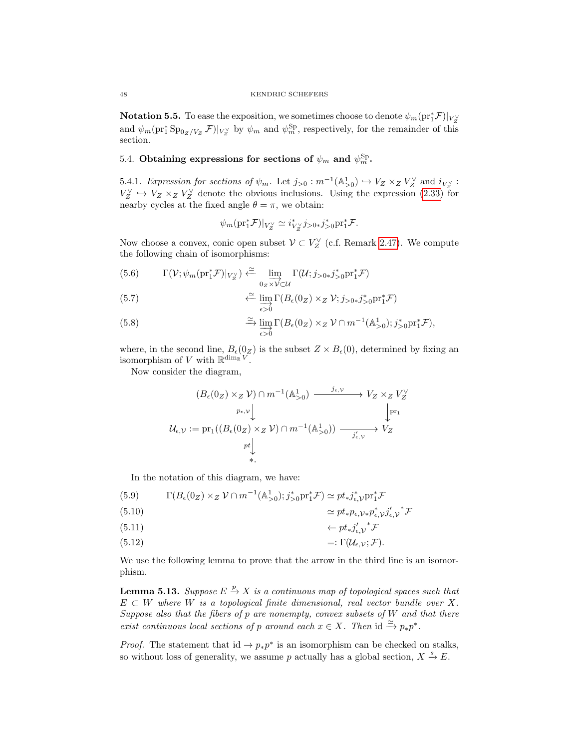Notation 5.5. To ease the exposition, we sometimes choose to denote  $\psi_m(\text{pr}_1^*\mathcal{F})|_{V_Z^{\vee}}$ and  $\psi_m(\text{pr}_1^*\text{Sp}_{0_Z/V_Z}\mathcal{F})|_{V_Z^{\vee}}$  by  $\psi_m$  and  $\psi_m^{\text{Sp}}$ , respectively, for the remainder of this section.

# <span id="page-47-0"></span>5.4. Obtaining expressions for sections of  $\psi_m$  and  $\psi_m^{\text{Sp}}$ .

5.4.1. Expression for sections of  $\psi_m$ . Let  $j_{>0} : m^{-1}(\mathbb{A}^1_{>0}) \hookrightarrow V_Z \times_Z V_Z^{\vee}$  and  $i_{V_Z^{\vee}}$ :  $V_Z^{\vee} \hookrightarrow V_Z \times_Z V_Z^{\vee}$  denote the obvious inclusions. Using the expression [\(2.33\)](#page-22-2) for nearby cycles at the fixed angle  $\theta = \pi$ , we obtain:

$$
\psi_m(\text{pr}_1^*\mathcal{F})|_{V_Z^{\vee}} \simeq i_{V_Z^{\vee}}^* j_{>0*} j_{>0}^* \text{pr}_1^*\mathcal{F}.
$$

Now choose a convex, conic open subset  $\mathcal{V} \subset V_Z^{\vee}$  (c.f. Remark [2.47\)](#page-24-1). We compute the following chain of isomorphisms:

(5.6) 
$$
\Gamma(\mathcal{V}; \psi_m(\text{pr}_1^* \mathcal{F})|_{V_Z^{\vee}}) \stackrel{\simeq}{\leftarrow} \lim_{0_Z \times V \subset \mathcal{U}} \Gamma(\mathcal{U}; j_{>0*} j_{>0}^* \text{pr}_1^* \mathcal{F})
$$

(5.7) 
$$
\xleftarrow{\simeq} \lim_{\epsilon > 0} \Gamma(B_{\epsilon}(0_Z) \times_Z \mathcal{V}; j_{>0*} j^*_{>0} \text{pr}_1^* \mathcal{F})
$$

<span id="page-47-2"></span>(5.8) 
$$
\xrightarrow{\simeq} \lim_{\epsilon > 0} \Gamma(B_{\epsilon}(0_Z) \times_Z \mathcal{V} \cap m^{-1}(\mathbb{A}^1_{>0}); j^*_{>0} \text{pr}_1^* \mathcal{F}),
$$

where, in the second line,  $B_{\epsilon}(0_Z)$  is the subset  $Z \times B_{\epsilon}(0)$ , determined by fixing an isomorphism of V with  $\mathbb{R}^{\dim_{\mathbb{R}} V}$ .

Now consider the diagram,

$$
(B_{\epsilon}(0_Z) \times_Z \mathcal{V}) \cap m^{-1}(\mathbb{A}_{>0}^1) \xrightarrow{j_{\epsilon,\mathcal{V}}} V_Z \times_Z V_Z^{\vee}
$$
  
\n $p_{\epsilon,\mathcal{V}} \downarrow \qquad \qquad \downarrow p_{r_1}$   
\n $\mathcal{U}_{\epsilon,\mathcal{V}} := \text{pr}_1((B_{\epsilon}(0_Z) \times_Z \mathcal{V}) \cap m^{-1}(\mathbb{A}_{>0}^1)) \xrightarrow{j'_{\epsilon,\mathcal{V}}} V_Z$   
\n $p_t \downarrow \qquad \qquad \star.$ 

In the notation of this diagram, we have:

(5.9) 
$$
\Gamma(B_{\epsilon}(0_Z) \times_Z \mathcal{V} \cap m^{-1}(\mathbb{A}^1_{>0}); j^*_{>0} \text{pr}_1^* \mathcal{F}) \simeq pt_* j^*_{\epsilon, \mathcal{V}} \text{pr}_1^* \mathcal{F}
$$
  
\n(5.10) 
$$
\simeq pt_* p_{\epsilon, \mathcal{V}*} p_{\epsilon, \mathcal{V}}^* j'_{\epsilon, \mathcal{V}}^* \mathcal{F}
$$
  
\n(5.11) 
$$
\leftarrow pt_* j'_{\epsilon, \mathcal{V}}^* \mathcal{F}
$$

$$
\begin{array}{c}\n\left(\nabla \cdot \mathbf{1}\right) \\
\left(\nabla \cdot \mathbf{1}\right)\n\end{array}
$$

$$
(5.12) \qquad \qquad =: \Gamma(\mathcal{U}_{\epsilon,\mathcal{V}};\mathcal{F}).
$$

We use the following lemma to prove that the arrow in the third line is an isomorphism.

<span id="page-47-1"></span>**Lemma 5.13.** Suppose  $E \overset{p}{\to} X$  is a continuous map of topological spaces such that  $E \subset W$  where W is a topological finite dimensional, real vector bundle over X. Suppose also that the fibers of  $p$  are nonempty, convex subsets of  $W$  and that there exist continuous local sections of p around each  $x \in X$ . Then id  $\stackrel{\simeq}{\to} p_* p^*$ .

*Proof.* The statement that id  $\rightarrow p_*p^*$  is an isomorphism can be checked on stalks, so without loss of generality, we assume p actually has a global section,  $X \stackrel{s}{\rightarrow} E$ .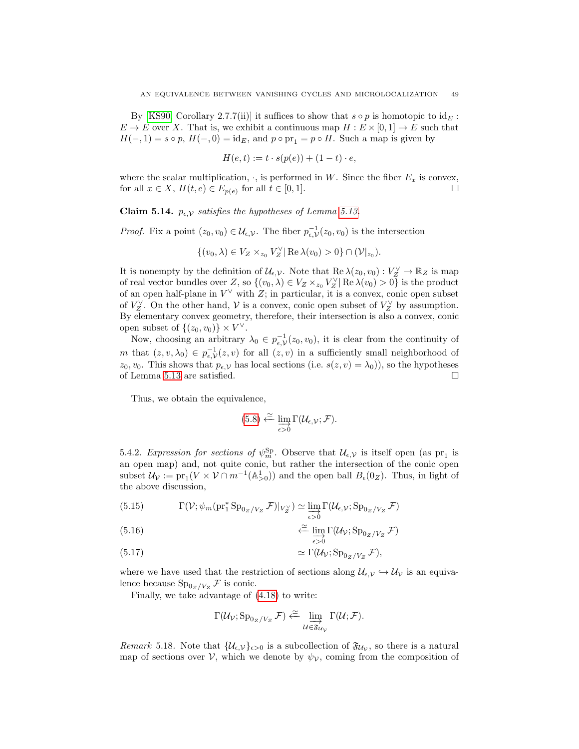By [\[KS90,](#page-66-2) Corollary 2.7.7(ii)] it suffices to show that  $s \circ p$  is homotopic to  $id_E$ :  $E \to E$  over X. That is, we exhibit a continuous map  $H : E \times [0,1] \to E$  such that  $H(-, 1) = s \circ p$ ,  $H(-, 0) = id_E$ , and  $p \circ pr_1 = p \circ H$ . Such a map is given by

$$
H(e,t) := t \cdot s(p(e)) + (1-t) \cdot e,
$$

where the scalar multiplication,  $\cdot$ , is performed in W. Since the fiber  $E_x$  is convex, for all  $x \in X$ ,  $H(t, e) \in E_{p(e)}$  for all  $t \in [0, 1]$ .

Claim 5.14.  $p_{\epsilon, V}$  satisfies the hypotheses of Lemma [5.13.](#page-47-1)

*Proof.* Fix a point  $(z_0, v_0) \in \mathcal{U}_{\epsilon, \mathcal{V}}$ . The fiber  $p_{\epsilon, \mathcal{V}}^{-1}(z_0, v_0)$  is the intersection

$$
\{(v_0,\lambda)\in V_Z\times_{z_0}V_Z^{\vee}|\operatorname{Re}\lambda(v_0)>0\}\cap(\mathcal{V}|_{z_0}).
$$

It is nonempty by the definition of  $\mathcal{U}_{\epsilon,\mathcal{V}}$ . Note that  $\text{Re }\lambda(z_0, v_0) : V_Z^{\vee} \to \mathbb{R}_Z$  is map of real vector bundles over Z, so  $\{(v_0, \lambda) \in V_Z \times_{z_0} V_Z^{\vee} | \text{Re }\lambda(v_0) > 0\}$  is the product of an open half-plane in  $V^{\vee}$  with Z; in particular, it is a convex, conic open subset of  $V_Z^{\vee}$ . On the other hand,  $\mathcal V$  is a convex, conic open subset of  $V_Z^{\vee}$  by assumption. By elementary convex geometry, therefore, their intersection is also a convex, conic open subset of  $\{(z_0, v_0)\}\times V^{\vee}$ .

Now, choosing an arbitrary  $\lambda_0 \in p_{\epsilon,\mathcal{V}}^{-1}(z_0, v_0)$ , it is clear from the continuity of m that  $(z, v, \lambda_0) \in p_{\epsilon, \mathcal{V}}^{-1}(z, v)$  for all  $(z, v)$  in a sufficiently small neighborhood of  $z_0, v_0$ . This shows that  $p_{\epsilon, \mathcal{V}}$  has local sections (i.e.  $s(z, v) = \lambda_0$ )), so the hypotheses of Lemma [5.13](#page-47-1) are satisfied.

Thus, we obtain the equivalence,

$$
(5.8) \xleftarrow{\simeq} \lim_{\epsilon > 0} \Gamma(\mathcal{U}_{\epsilon,\mathcal{V}}; \mathcal{F}).
$$

5.4.2. Expression for sections of  $\psi_m^{\rm Sp}$ . Observe that  $\mathcal{U}_{\epsilon,\mathcal{V}}$  is itself open (as  ${\rm pr}_1$  is an open map) and, not quite conic, but rather the intersection of the conic open subset  $\mathcal{U}_{\mathcal{V}} := \text{pr}_1(V \times V \cap m^{-1}(\mathbb{A}_{>0}^1))$  and the open ball  $B_{\epsilon}(0_Z)$ . Thus, in light of the above discussion,

(5.15) 
$$
\Gamma(\mathcal{V}; \psi_m(\text{pr}_1^* \text{Sp}_{0_Z/V_Z} \mathcal{F})|_{V_Z^{\vee}}) \simeq \varinjlim_{\epsilon > 0} \Gamma(\mathcal{U}_{\epsilon, \mathcal{V}}; \text{Sp}_{0_Z/V_Z} \mathcal{F})
$$

(5.16) 
$$
\qquad \qquad \stackrel{\simeq}{\longleftarrow} \lim_{\epsilon > 0} \Gamma(\mathcal{U}_{\mathcal{V}}; \operatorname{Sp}_{0_Z/V_Z} \mathcal{F})
$$

(5.17) 
$$
\simeq \Gamma(\mathcal{U}_{\mathcal{V}}; \mathrm{Sp}_{0_Z/V_Z} \mathcal{F}),
$$

where we have used that the restriction of sections along  $\mathcal{U}_{\epsilon,\mathcal{V}} \hookrightarrow \mathcal{U}_{\mathcal{V}}$  is an equivalence because  $\text{Sp}_{0_Z/V_Z} \mathcal{F}$  is conic.

Finally, we take advantage of [\(4.18\)](#page-42-1) to write:

$$
\Gamma(\mathcal{U}_{\mathcal{V}}; \operatorname{Sp}_{0_Z/V_Z} \mathcal{F}) \xleftarrow{\simeq} \lim_{\mathcal{U} \in \mathfrak{F}_{\mathcal{U}_{\mathcal{V}}}} \Gamma(\mathcal{U}; \mathcal{F}).
$$

<span id="page-48-0"></span>Remark 5.18. Note that  $\{\mathcal{U}_{\epsilon,\mathcal{V}}\}_{\epsilon>0}$  is a subcollection of  $\mathfrak{F}_{\mathcal{U}_{\mathcal{V}}}$ , so there is a natural map of sections over  $\mathcal{V}$ , which we denote by  $\psi_{\mathcal{V}}$ , coming from the composition of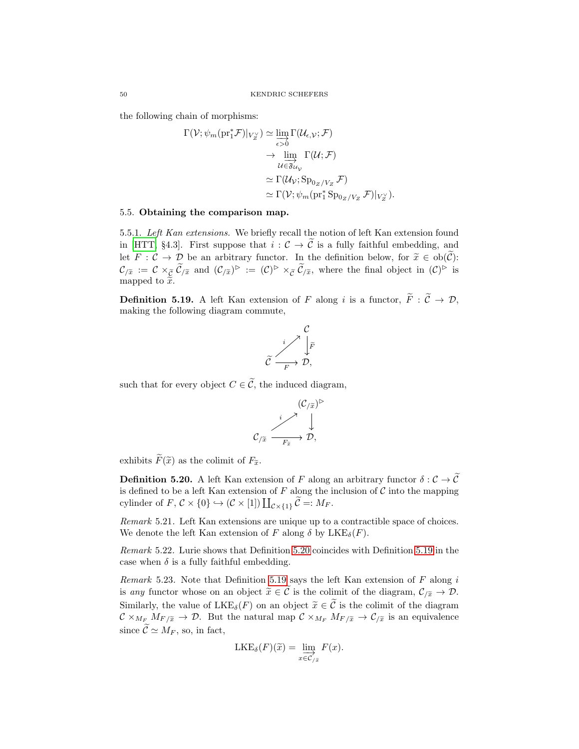the following chain of morphisms:

$$
\Gamma(\mathcal{V}; \psi_m(\mathrm{pr}_1^* \mathcal{F})|_{V_Z^{\vee}}) \simeq \varinjlim_{\epsilon > 0} \Gamma(\mathcal{U}_{\epsilon, \mathcal{V}}; \mathcal{F})
$$

$$
\to \varinjlim_{\mathcal{U} \in \mathfrak{F}_{\mathcal{U}_{\mathcal{V}}}} \Gamma(\mathcal{U}; \mathcal{F})
$$

$$
\simeq \Gamma(\mathcal{U}_{\mathcal{V}}; \mathrm{Sp}_{0_Z/V_Z} \mathcal{F})
$$

$$
\simeq \Gamma(\mathcal{V}; \psi_m(\mathrm{pr}_1^* \mathrm{Sp}_{0_Z/V_Z} \mathcal{F})|_{V_Z^{\vee}}).
$$

# <span id="page-49-0"></span>5.5. Obtaining the comparison map.

5.5.1. Left Kan extensions. We briefly recall the notion of left Kan extension found in [\[HTT,](#page-66-6) §4.3]. First suppose that  $i: \mathcal{C} \to \tilde{\mathcal{C}}$  is a fully faithful embedding, and let  $F: \mathcal{C} \to \mathcal{D}$  be an arbitrary functor. In the definition below, for  $\tilde{x} \in ob(\tilde{\mathcal{C}})$ :  $\mathcal{C}_{/\widetilde{x}} := \mathcal{C} \times_{\widetilde{\mathcal{C}}} \widetilde{\mathcal{C}}_{/\widetilde{x}}$  and  $(\mathcal{C}_{/\widetilde{x}})^{\triangleright} := (\mathcal{C})^{\triangleright} \times_{\widetilde{\mathcal{C}}} \widetilde{\mathcal{C}}_{/\widetilde{x}}$ , where the final object in  $(\mathcal{C})^{\triangleright}$  is mapped to  $\tilde{\tilde{x}}$ .

<span id="page-49-2"></span>**Definition 5.19.** A left Kan extension of F along i is a functor,  $\widetilde{F}: \widetilde{\mathcal{C}} \to \mathcal{D}$ , making the following diagram commute,



such that for every object  $C \in \widetilde{C}$ , the induced diagram,

$$
\mathcal{C}_{/\widetilde{x}} \xrightarrow{i} \begin{matrix} (\mathcal{C}_{/\widetilde{x}})^{\triangleright} \\ \downarrow \\ \mathcal{C}_{/\widetilde{x}} \xrightarrow[r_{\widetilde{x}}] \end{matrix}
$$

exhibits  $\widetilde{F}(\widetilde{x})$  as the colimit of  $F_{\widetilde{x}}$ .

<span id="page-49-1"></span>**Definition 5.20.** A left Kan extension of F along an arbitrary functor  $\delta: \mathcal{C} \to \widetilde{\mathcal{C}}$ is defined to be a left Kan extension of  $F$  along the inclusion of  $\mathcal C$  into the mapping cylinder of  $F, C \times \{0\} \hookrightarrow (C \times [1]) \coprod_{C \times \{1\}} C =: M_F.$ 

Remark 5.21. Left Kan extensions are unique up to a contractible space of choices. We denote the left Kan extension of F along  $\delta$  by  $LKE_{\delta}(F)$ .

Remark 5.22. Lurie shows that Definition [5.20](#page-49-1) coincides with Definition [5.19](#page-49-2) in the case when  $\delta$  is a fully faithful embedding.

Remark 5.23. Note that Definition [5.19](#page-49-2) says the left Kan extension of  $F$  along  $i$ is any functor whose on an object  $\widetilde{x} \in \widetilde{C}$  is the colimit of the diagram,  $\mathcal{C}_{\widetilde{X}} \to \mathcal{D}$ . Similarly, the value of  $LKE_{\delta}(F)$  on an object  $\tilde{x} \in \tilde{C}$  is the colimit of the diagram  $\mathcal{C} \times_{M_F} M_{F/\widetilde{x}} \to \mathcal{D}$ . But the natural map  $\mathcal{C} \times_{M_F} M_{F/\widetilde{x}} \to \mathcal{C}_{/\widetilde{x}}$  is an equivalence since  $\widetilde{\mathcal{C}} \simeq M_F$ , so, in fact,

$$
LKE_{\delta}(F)(\widetilde{x}) = \lim_{x \in C_{/\widetilde{x}}} F(x).
$$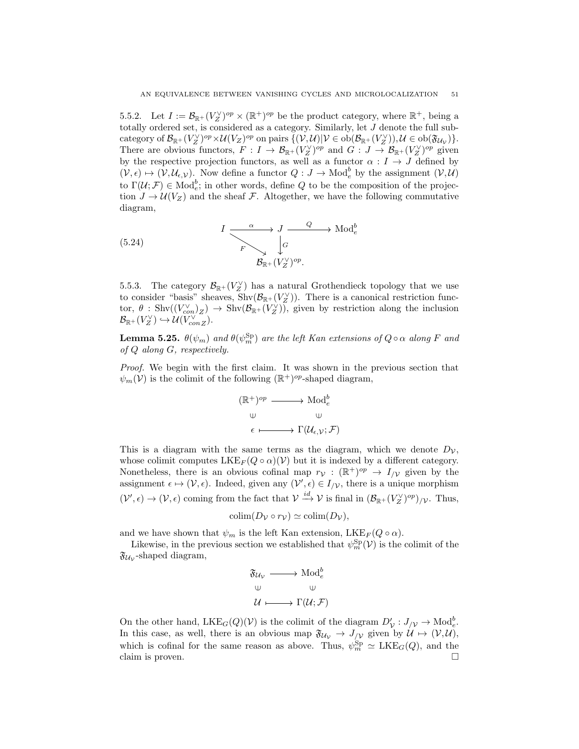5.5.2. Let  $I := \mathcal{B}_{\mathbb{R}^+}(V_Z^{\vee})^{op} \times (\mathbb{R}^+)^{op}$  be the product category, where  $\mathbb{R}^+$ , being a totally ordered set, is considered as a category. Similarly, let  $J$  denote the full subcategory of  $\mathcal{B}_{\mathbb{R}^+}(V_Z^{\vee})^{op} \times \mathcal{U}(V_Z)^{op}$  on pairs  $\{(\mathcal{V}, \mathcal{U}) | \mathcal{V} \in ob(\mathcal{B}_{\mathbb{R}^+}(V_Z^{\vee})), \mathcal{U} \in ob(\mathfrak{F}_{\mathcal{U}_{\mathcal{V}}})\}.$ There are obvious functors,  $F: I \to \mathcal{B}_{\mathbb{R}^+}(V_Z^{\vee})^{op}$  and  $G: J \to \mathcal{B}_{\mathbb{R}^+}(V_Z^{\vee})^{op}$  given by the respective projection functors, as well as a functor  $\alpha : I \to J$  defined by  $(\mathcal{V}, \epsilon) \mapsto (\mathcal{V}, \mathcal{U}_{\epsilon}, \mathcal{V})$ . Now define a functor  $Q: J \to \text{Mod}_{e}^{b}$  by the assignment  $(\mathcal{V}, \mathcal{U})$ to  $\Gamma(\mathcal{U};\mathcal{F}) \in \text{Mod}_{e}^{b}$ ; in other words, define Q to be the composition of the projection  $J \to \mathcal{U}(V_Z)$  and the sheaf F. Altogether, we have the following commutative diagram,

<span id="page-50-0"></span>(5.24) 
$$
I \xrightarrow{\alpha} J \xrightarrow{\text{Q}} \text{Mod}_e^b
$$

$$
B_{\mathbb{R}^+}(V_Z^{\vee})^{op}.
$$

5.5.3. The category  $\mathcal{B}_{\mathbb{R}^+}(V_Z^{\vee})$  has a natural Grothendieck topology that we use to consider "basis" sheaves,  $\text{Shv}(\mathcal{B}_{\mathbb{R}^+}(V_Z^{\vee}))$ . There is a canonical restriction functor,  $\theta$ : Shv $((V_{con}^{\vee})_Z) \to$  Shv $(\mathcal{B}_{\mathbb{R}^+}(V_Z^{\vee}))$ , given by restriction along the inclusion  $\mathcal{B}_{\mathbb{R}^+}(V_Z^{\vee}) \hookrightarrow \mathcal{U}(V_{conZ}^{\vee}).$ 

**Lemma 5.25.**  $\theta(\psi_m)$  and  $\theta(\psi_m^{\text{Sp}})$  are the left Kan extensions of  $Q \circ \alpha$  along F and of Q along G, respectively.

Proof. We begin with the first claim. It was shown in the previous section that  $\psi_m(\mathcal{V})$  is the colimit of the following  $(\mathbb{R}^+)^{op}$ -shaped diagram,

$$
(\mathbb{R}^+)^{op} \longrightarrow \text{Mod}_e^b
$$
  

$$
\cup \qquad \qquad \cup
$$
  

$$
\epsilon \longmapsto \Gamma(\mathcal{U}_{\epsilon,\mathcal{V}};\mathcal{F})
$$

This is a diagram with the same terms as the diagram, which we denote  $D_{\mathcal{V}}$ , whose colimit computes  $LKE_F(Q \circ \alpha)(V)$  but it is indexed by a different category. Nonetheless, there is an obvious cofinal map  $r_{\mathcal{V}} : (\mathbb{R}^+)^{op} \to I_{/\mathcal{V}}$  given by the assignment  $\epsilon \mapsto (\mathcal{V}, \epsilon)$ . Indeed, given any  $(\mathcal{V}', \epsilon) \in I_{/\mathcal{V}}$ , there is a unique morphism  $(\mathcal{V}', \epsilon) \to (\mathcal{V}, \epsilon)$  coming from the fact that  $\mathcal{V} \xrightarrow{id} \mathcal{V}$  is final in  $(\mathcal{B}_{\mathbb{R}^+}(V_Z^{\vee})^{\text{op}})_{/\mathcal{V}}$ . Thus,

$$
\text{colim}(D_{\mathcal{V}} \circ r_{\mathcal{V}}) \simeq \text{colim}(D_{\mathcal{V}}),
$$

and we have shown that  $\psi_m$  is the left Kan extension, LKE<sub>F</sub>( $Q \circ \alpha$ ).

Likewise, in the previous section we established that  $\psi_m^{\text{Sp}}(\mathcal{V})$  is the colimit of the  $\mathfrak{F}_{\mathcal{U}_{\mathcal{V}}}$ -shaped diagram,

$$
\mathfrak{F}_{\mathcal{U}_{\mathcal{V}}} \longrightarrow \text{Mod}_e^b
$$
  

$$
\cup \qquad \qquad \cup
$$
  

$$
\mathcal{U} \longmapsto \Gamma(\mathcal{U}; \mathcal{F})
$$

On the other hand,  $LKE_G(Q)(\mathcal{V})$  is the colimit of the diagram  $D'_{\mathcal{V}}: J_{/\mathcal{V}} \to Mod_{e}^{b}$ . In this case, as well, there is an obvious map  $\mathfrak{F}_{\mathcal{U}_{\mathcal{V}}} \to J_{/\mathcal{V}}$  given by  $\mathcal{U} \mapsto (\mathcal{V}, \mathcal{U}),$ which is cofinal for the same reason as above. Thus,  $\psi_m^{\text{Sp}} \simeq \text{LKE}_G(Q)$ , and the claim is proven.  $\Box$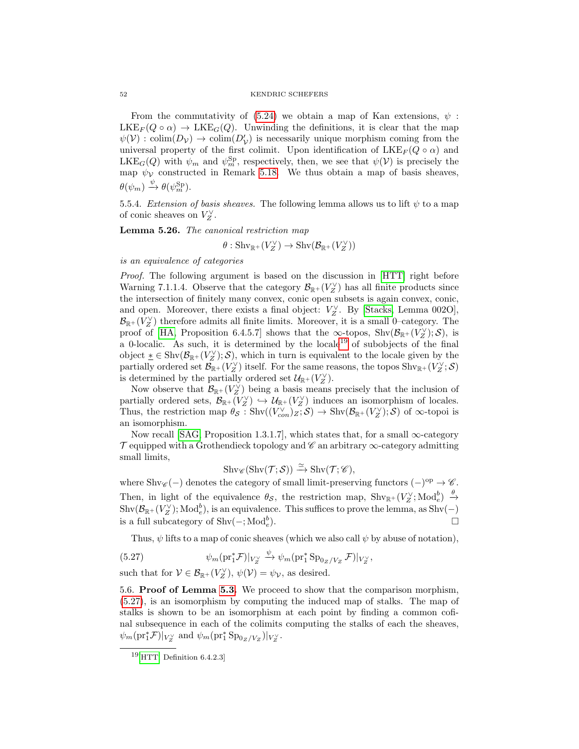#### 52 KENDRIC SCHEFERS

From the commutativity of  $(5.24)$  we obtain a map of Kan extensions,  $\psi$ :  $LKE_F(Q \circ \alpha) \rightarrow LKE_G(Q)$ . Unwinding the definitions, it is clear that the map  $\psi(\mathcal{V})$ : colim $(D_{\mathcal{V}}) \to \text{colim}(D_{\mathcal{V}}')$  is necessarily unique morphism coming from the universal property of the first colimit. Upon identification of  $LKE_F(Q \circ \alpha)$  and  $LKE_G(Q)$  with  $\psi_m$  and  $\psi_m^{\text{Sp}}$ , respectively, then, we see that  $\psi(\mathcal{V})$  is precisely the map  $\psi$  constructed in Remark [5.18.](#page-48-0) We thus obtain a map of basis sheaves,  $\theta(\psi_m) \stackrel{\psi}{\rightarrow} \theta(\psi_m^{\text{Sp}}).$ 

5.5.4. Extension of basis sheaves. The following lemma allows us to lift  $\psi$  to a map of conic sheaves on  $V_Z^{\vee}$ .

Lemma 5.26. The canonical restriction map

 $\theta: \operatorname{Shv}_{\mathbb{R}^+}(V_Z^{\vee}) \to \operatorname{Shv}(\mathcal{B}_{\mathbb{R}^+}(V_Z^{\vee}))$ 

is an equivalence of categories

Proof. The following argument is based on the discussion in [\[HTT\]](#page-66-6) right before Warning 7.1.1.4. Observe that the category  $\mathcal{B}_{\mathbb{R}^+}(V_Z^{\vee})$  has all finite products since the intersection of finitely many convex, conic open subsets is again convex, conic, and open. Moreover, there exists a final object:  $V_Z^{\vee}$ . By [\[Stacks,](#page-66-13) Lemma 002O],  $\mathcal{B}_{\mathbb{R}^+}(V_Z^{\vee})$  therefore admits all finite limits. Moreover, it is a small 0–category. The proof of [\[HA,](#page-66-7) Proposition 6.4.5.7] shows that the  $\infty$ -topos, Shv $(\mathcal{B}_{\mathbb{R}^+}(V_Z^{\vee}); \mathcal{S})$ , is a 0-localic. As such, it is determined by the locale<sup>[19](#page-51-1)</sup> of subobjects of the final object  $\underline{\ast} \in \text{Shv}(\mathcal{B}_{\mathbb{R}^+}(V_Z^{\vee}); \mathcal{S}),$  which in turn is equivalent to the locale given by the partially ordered set  $\mathcal{B}_{\mathbb{R}^+}(V_Z^{\vee})$  itself. For the same reasons, the topos  $\text{Shv}_{\mathbb{R}^+}(V_Z^{\vee}; \mathcal{S})$ is determined by the partially ordered set  $\mathcal{U}_{\mathbb{R}^+}(V_Z^{\vee})$ .

Now observe that  $\mathcal{B}_{\mathbb{R}^+}(V_Z^{\vee})$  being a basis means precisely that the inclusion of partially ordered sets,  $\mathcal{B}_{\mathbb{R}^+}(\overline{V_Z}^{\vee}) \hookrightarrow \mathcal{U}_{\mathbb{R}^+}(V_Z^{\vee})$  induces an isomorphism of locales. Thus, the restriction map  $\theta_{\mathcal{S}}: \text{Shv}((V_{con}^{\vee})_Z; \mathcal{S}) \to \text{Shv}(\mathcal{B}_{\mathbb{R}^+}(V_Z^{\vee}); \mathcal{S})$  of  $\infty$ -topoi is an isomorphism.

Now recall [\[SAG,](#page-66-8) Proposition 1.3.1.7], which states that, for a small  $\infty$ -category  $\mathcal T$  equipped with a Grothendieck topology and  $\mathscr C$  an arbitrary  $\infty$ -category admitting small limits,

$$
\mathrm{Shv}_{\mathscr{C}}(\mathrm{Shv}(\mathcal{T};\mathcal{S})) \xrightarrow{\simeq} \mathrm{Shv}(\mathcal{T};\mathscr{C}),
$$

where Shv $\mathscr{C}(-)$  denotes the category of small limit-preserving functors  $(-)^{op} \to \mathscr{C}$ . Then, in light of the equivalence  $\theta_{\mathcal{S}}$ , the restriction map,  $\text{Shv}_{\mathbb{R}^+}(V_Z^{\vee}; \text{Mod}_e^b) \xrightarrow{\theta}$  $\mathrm{Shv}(\mathcal{B}_{\mathbb{R}^+}(V_Z^{\vee}); \mathrm{Mod}_e^b),$  is an equivalence. This suffices to prove the lemma, as  $\mathrm{Shv}(-)$ is a full subcategory of  $\text{Shv}(-; \text{Mod}_e^b)$  $\Box$ 

<span id="page-51-2"></span>Thus,  $\psi$  lifts to a map of conic sheaves (which we also call  $\psi$  by abuse of notation),

(5.27) 
$$
\psi_m(\text{pr}_1^* \mathcal{F})|_{V_Z^{\vee}} \xrightarrow{\psi} \psi_m(\text{pr}_1^* \text{Sp}_{0_Z/V_Z} \mathcal{F})|_{V_Z^{\vee}},
$$

such that for  $V \in \mathcal{B}_{\mathbb{R}^+}(V_Z^{\vee}), \psi(\mathcal{V}) = \psi_{\mathcal{V}},$  as desired.

<span id="page-51-0"></span>5.6. Proof of Lemma [5.3.](#page-44-1) We proceed to show that the comparison morphism, [\(5.27\)](#page-51-2), is an isomorphism by computing the induced map of stalks. The map of stalks is shown to be an isomorphism at each point by finding a common cofinal subsequence in each of the colimits computing the stalks of each the sheaves,  $\psi_m(\text{pr}_1^*\mathcal{F})|_{V_Z^{\vee}}$  and  $\psi_m(\text{pr}_1^*\text{Sp}_{0_Z/V_Z})|_{V_Z^{\vee}}$ .

<span id="page-51-1"></span> $19$ [\[HTT,](#page-66-6) Definition 6.4.2.3]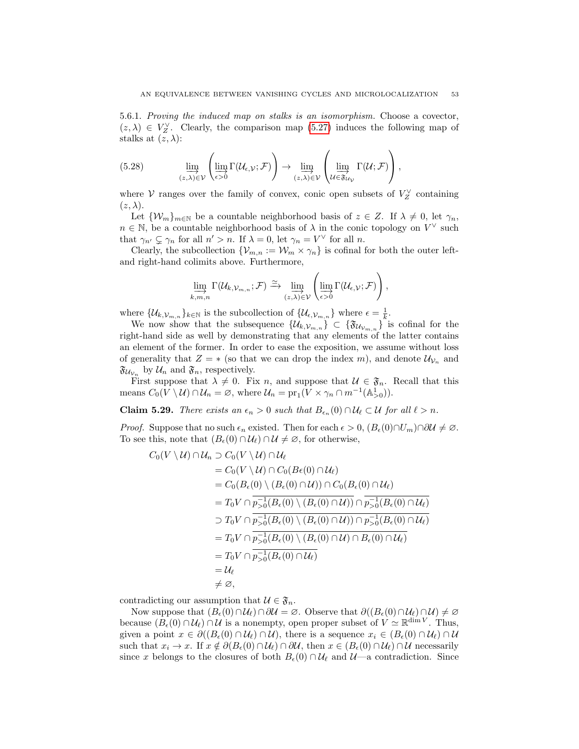5.6.1. Proving the induced map on stalks is an isomorphism. Choose a covector,  $(z, \lambda) \in V_Z^{\vee}$ . Clearly, the comparison map [\(5.27\)](#page-51-2) induces the following map of stalks at  $(z, \lambda)$ :

(5.28) 
$$
\lim_{(z,\lambda)\in\mathcal{V}}\left(\lim_{\epsilon>0}\Gamma(\mathcal{U}_{\epsilon,\mathcal{V}};\mathcal{F})\right)\to\lim_{(z,\lambda)\in\mathcal{V}}\left(\lim_{\mathcal{U}\in\mathfrak{F}_{\mathcal{U}_{\mathcal{V}}}}\Gamma(\mathcal{U};\mathcal{F})\right),
$$

where  $V$  ranges over the family of convex, conic open subsets of  $V_Z^{\vee}$  containing  $(z, \lambda).$ 

Let  $\{W_m\}_{m\in\mathbb{N}}$  be a countable neighborhood basis of  $z \in \mathbb{Z}$ . If  $\lambda \neq 0$ , let  $\gamma_n$ ,  $n \in \mathbb{N}$ , be a countable neighborhood basis of  $\lambda$  in the conic topology on  $V^{\vee}$  such that  $\gamma_{n'} \subsetneq \gamma_n$  for all  $n' > n$ . If  $\lambda = 0$ , let  $\gamma_n = V^{\vee}$  for all n.

Clearly, the subcollection  $\{\mathcal{V}_{m,n} := \mathcal{W}_m \times \gamma_n\}$  is cofinal for both the outer leftand right-hand colimits above. Furthermore,

$$
\varinjlim_{k,m,n} \Gamma(\mathcal{U}_{k,\mathcal{V}_{m,n}};\mathcal{F}) \xrightarrow{\simeq} \varinjlim_{(z,\lambda)\in\mathcal{V}} \left( \varinjlim_{\epsilon>0} \Gamma(\mathcal{U}_{\epsilon,\mathcal{V}};\mathcal{F})\right),
$$

where  $\{\mathcal{U}_{k,\mathcal{V}_{m,n}}\}_{k\in\mathbb{N}}$  is the subcollection of  $\{\mathcal{U}_{\epsilon,\mathcal{V}_{m,n}}\}$  where  $\epsilon = \frac{1}{k}$ .

We now show that the subsequence  $\{\mathcal{U}_{k,\mathcal{V}_{m,n}}\}\subset \{\mathfrak{F}_{\mathcal{U}_{\mathcal{V}_{m,n}}}\}\$ is cofinal for the right-hand side as well by demonstrating that any elements of the latter contains an element of the former. In order to ease the exposition, we assume without loss of generality that  $Z = *$  (so that we can drop the index m), and denote  $\mathcal{U}_{\mathcal{V}_n}$  and  $\mathfrak{F}_{\mathcal{U}_{\mathcal{V}_n}}$  by  $\mathcal{U}_n$  and  $\mathfrak{F}_n$ , respectively.

First suppose that  $\lambda \neq 0$ . Fix n, and suppose that  $\mathcal{U} \in \mathfrak{F}_n$ . Recall that this means  $C_0(V \setminus U) \cap \mathcal{U}_n = \emptyset$ , where  $\mathcal{U}_n = \text{pr}_1(V \times \gamma_n \cap m^{-1}(\mathbb{A}^1_{>0}))$ .

**Claim 5.29.** There exists an  $\epsilon_n > 0$  such that  $B_{\epsilon_n}(0) \cap \mathcal{U}_\ell \subset \mathcal{U}$  for all  $\ell > n$ .

*Proof.* Suppose that no such  $\epsilon_n$  existed. Then for each  $\epsilon > 0$ ,  $(B_{\epsilon}(0) \cap U_m) \cap \partial \mathcal{U} \neq \emptyset$ . To see this, note that  $(B_\epsilon(0) \cap \mathcal{U}_\ell) \cap \mathcal{U} \neq \emptyset$ , for otherwise,

$$
C_0(V \setminus U) \cap \mathcal{U}_n \supset C_0(V \setminus U) \cap \mathcal{U}_\ell
$$
  
=  $C_0(V \setminus U) \cap C_0(B_{\epsilon}(0) \cap \mathcal{U}_\ell)$   
=  $C_0(B_{\epsilon}(0) \setminus (B_{\epsilon}(0) \cap \mathcal{U})) \cap C_0(B_{\epsilon}(0) \cap \mathcal{U}_\ell)$   
=  $T_0V \cap \overline{p_{>0}^{-1}(B_{\epsilon}(0) \setminus (B_{\epsilon}(0) \cap \mathcal{U}))} \cap \overline{p_{>0}^{-1}(B_{\epsilon}(0) \cap \mathcal{U}_\ell)}$   
 $\supset T_0V \cap \overline{p_{>0}^{-1}(B_{\epsilon}(0) \setminus (B_{\epsilon}(0) \cap \mathcal{U}))} \cap \overline{p_{>0}^{-1}(B_{\epsilon}(0) \cap \mathcal{U}_\ell)}$   
=  $T_0V \cap \overline{p_{>0}^{-1}(B_{\epsilon}(0) \setminus (B_{\epsilon}(0) \cap \mathcal{U})} \cap B_{\epsilon}(0) \cap \mathcal{U}_\ell)$   
=  $T_0V \cap \overline{p_{>0}^{-1}(B_{\epsilon}(0) \cap \mathcal{U}_\ell)}$   
=  $U_\ell$   
 $\neq \varnothing$ ,

contradicting our assumption that  $\mathcal{U} \in \mathfrak{F}_n$ .

Now suppose that  $(B_\epsilon(0) \cap \mathcal{U}_\ell) \cap \partial \mathcal{U} = \emptyset$ . Observe that  $\partial((B_\epsilon(0) \cap \mathcal{U}_\ell) \cap \mathcal{U}) \neq \emptyset$ because  $(B_\epsilon(0) \cap \mathcal{U}_\ell) \cap \mathcal{U}$  is a nonempty, open proper subset of  $V \simeq \mathbb{R}^{\dim V}$ . Thus, given a point  $x \in \partial((B_\epsilon(0) \cap \mathcal{U}_\ell) \cap \mathcal{U})$ , there is a sequence  $x_i \in (B_\epsilon(0) \cap \mathcal{U}_\ell) \cap \mathcal{U}$ such that  $x_i \to x$ . If  $x \notin \partial(B_\epsilon(0) \cap \mathcal{U}_\ell) \cap \partial \mathcal{U}$ , then  $x \in (B_\epsilon(0) \cap \mathcal{U}_\ell) \cap \mathcal{U}$  necessarily since x belongs to the closures of both  $B_{\epsilon}(0) \cap \mathcal{U}_{\ell}$  and  $\mathcal{U}$ —a contradiction. Since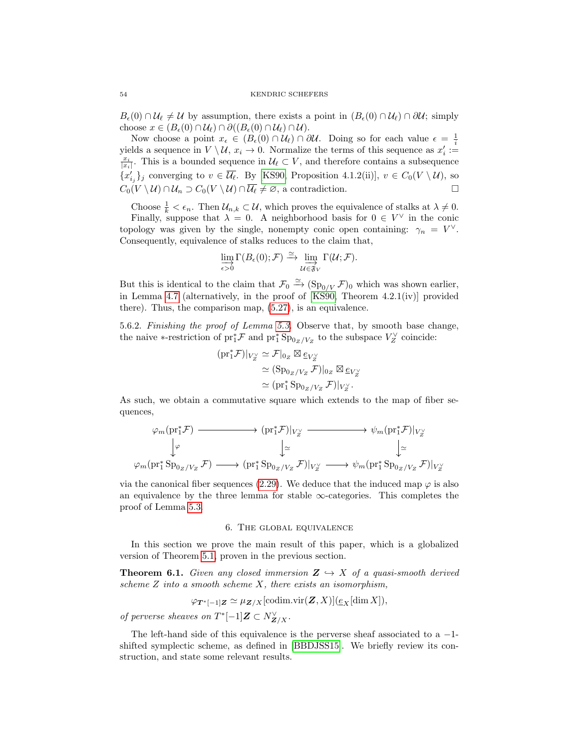$B_{\epsilon}(0) \cap \mathcal{U}_{\ell} \neq \mathcal{U}$  by assumption, there exists a point in  $(B_{\epsilon}(0) \cap \mathcal{U}_{\ell}) \cap \partial \mathcal{U}$ ; simply choose  $x \in (B_{\epsilon}(0) \cap \mathcal{U}_{\ell}) \cap \partial ((B_{\epsilon}(0) \cap \mathcal{U}_{\ell}) \cap \mathcal{U}).$ 

Now choose a point  $x_{\epsilon} \in (B_{\epsilon}(0) \cap \mathcal{U}_{\ell}) \cap \partial \mathcal{U}$ . Doing so for each value  $\epsilon = \frac{1}{i}$ yields a sequence in  $V \setminus U$ ,  $x_i \to 0$ . Normalize the terms of this sequence as  $x'_i :=$  $\frac{x_i}{|x_i|}$ . This is a bounded sequence in  $\mathcal{U}_{\ell} \subset V$ , and therefore contains a subsequence  ${x'_{i_j}}_j$  converging to  $v \in \overline{\mathcal{U}}_{\ell}$ . By [\[KS90,](#page-66-2) Proposition 4.1.2(ii)],  $v \in C_0(V \setminus \mathcal{U})$ , so  $C_0(V \setminus U) \cap \mathcal{U}_n \supset C_0(V \setminus U) \cap \overline{\mathcal{U}_\ell} \neq \emptyset$ , a contradiction.

Choose  $\frac{1}{k} < \epsilon_n$ . Then  $\mathcal{U}_{n,k} \subset \mathcal{U}$ , which proves the equivalence of stalks at  $\lambda \neq 0$ .

Finally, suppose that  $\lambda = 0$ . A neighborhood basis for  $0 \in V^{\vee}$  in the conic topology was given by the single, nonempty conic open containing:  $\gamma_n = V^{\vee}$ . Consequently, equivalence of stalks reduces to the claim that,

$$
\lim_{\epsilon>0} \Gamma(B_{\epsilon}(0); \mathcal{F}) \xrightarrow{\simeq} \lim_{\mathcal{U} \in \mathfrak{F}_V} \Gamma(\mathcal{U}; \mathcal{F}).
$$

But this is identical to the claim that  $\mathcal{F}_0 \xrightarrow{\simeq} (\text{Sp}_{0/V} \mathcal{F})_0$  which was shown earlier, in Lemma [4.7](#page-38-2) (alternatively, in the proof of [\[KS90,](#page-66-2) Theorem 4.2.1(iv)] provided there). Thus, the comparison map, [\(5.27\)](#page-51-2), is an equivalence.

5.6.2. Finishing the proof of Lemma [5.3.](#page-44-1) Observe that, by smooth base change, the naive ∗-restriction of  $\text{pr}_1^* \mathcal{F}$  and  $\text{pr}_1^* \text{Sp}_{0_Z/V_Z}$  to the subspace  $V_Z^{\vee}$  coincide:

$$
\begin{aligned} (\mathrm{pr}_1^* \mathcal{F})|_{V_Z^{\vee}} &\simeq \mathcal{F}|_{0_Z} \boxtimes \underline{e}_{V_Z^{\vee}} \\ &\simeq (\mathrm{Sp}_{0_Z/V_Z} \mathcal{F})|_{0_Z} \boxtimes \underline{e}_{V_Z^{\vee}} \\ &\simeq (\mathrm{pr}_1^* \mathrm{Sp}_{0_Z/V_Z} \mathcal{F})|_{V_Z^{\vee}}. \end{aligned}
$$

As such, we obtain a commutative square which extends to the map of fiber sequences,

$$
\varphi_m(\text{pr}_1^* \mathcal{F}) \longrightarrow (\text{pr}_1^* \mathcal{F})|_{V_Z^{\vee}} \longrightarrow \psi_m(\text{pr}_1^* \mathcal{F})|_{V_Z^{\vee}}
$$
  
\n
$$
\downarrow \varphi \qquad \qquad \downarrow \simeq \qquad \qquad \downarrow \simeq
$$
  
\n
$$
\varphi_m(\text{pr}_1^* \text{Sp}_{0_Z/V_Z} \mathcal{F}) \longrightarrow (\text{pr}_1^* \text{Sp}_{0_Z/V_Z} \mathcal{F})|_{V_Z^{\vee}} \longrightarrow \psi_m(\text{pr}_1^* \text{Sp}_{0_Z/V_Z} \mathcal{F})|_{V_Z^{\vee}}
$$

via the canonical fiber sequences [\(2.29\)](#page-21-3). We deduce that the induced map  $\varphi$  is also an equivalence by the three lemma for stable  $\infty$ -categories. This completes the proof of Lemma [5.3.](#page-44-1)

### 6. The global equivalence

<span id="page-53-0"></span>In this section we prove the main result of this paper, which is a globalized version of Theorem [5.1,](#page-43-2) proven in the previous section.

<span id="page-53-1"></span>**Theorem 6.1.** Given any closed immersion  $\mathbf{Z} \hookrightarrow X$  of a quasi-smooth derived scheme  $Z$  into a smooth scheme  $X$ , there exists an isomorphism,

$$
\varphi_{\mathbf{T}^*[-1]\mathbf{Z}} \simeq \mu_{\mathbf{Z}/X}[\text{codim.vir}(\mathbf{Z}, X)](\underline{e}_X[\dim X]),
$$

of perverse sheaves on  $T^*[-1]\mathbf{Z} \subset N_{\mathbf{Z}/X}^{\vee}$ .

The left-hand side of this equivalence is the perverse sheaf associated to a  $-1$ shifted symplectic scheme, as defined in [\[BBDJSS15\]](#page-65-2). We briefly review its construction, and state some relevant results.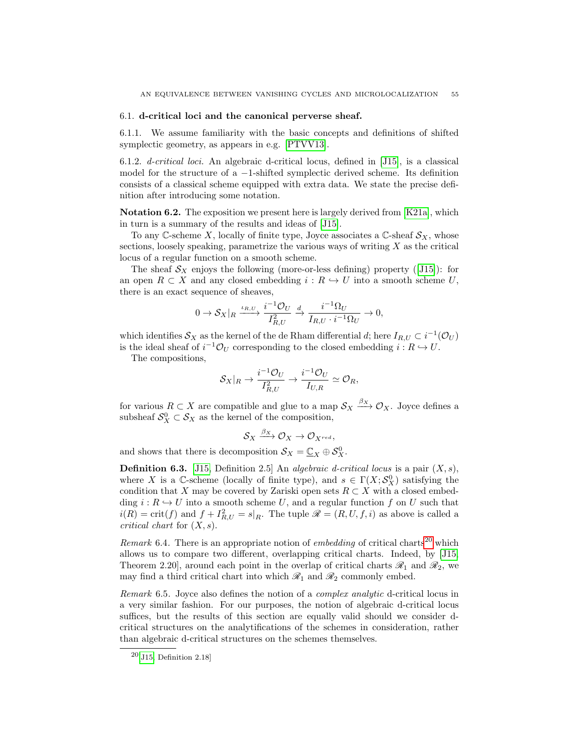#### <span id="page-54-0"></span>6.1. d-critical loci and the canonical perverse sheaf.

6.1.1. We assume familiarity with the basic concepts and definitions of shifted symplectic geometry, as appears in e.g. [\[PTVV13\]](#page-66-14).

6.1.2. d-critical loci. An algebraic d-critical locus, defined in [\[J15\]](#page-66-15), is a classical model for the structure of a  $-1$ -shifted symplectic derived scheme. Its definition consists of a classical scheme equipped with extra data. We state the precise definition after introducing some notation.

Notation 6.2. The exposition we present here is largely derived from [\[K21a\]](#page-66-4), which in turn is a summary of the results and ideas of [\[J15\]](#page-66-15).

To any C-scheme X, locally of finite type, Joyce associates a C-sheaf  $\mathcal{S}_X$ , whose sections, loosely speaking, parametrize the various ways of writing  $X$  as the critical locus of a regular function on a smooth scheme.

Thesheaf  $\mathcal{S}_X$  enjoys the following (more-or-less defining) property ([\[J15\]](#page-66-15)): for an open  $R \subset X$  and any closed embedding  $i : R \hookrightarrow U$  into a smooth scheme U, there is an exact sequence of sheaves,

$$
0 \to \mathcal{S}_X|_R \xrightarrow{\iota_{R,U}} \frac{i^{-1}\mathcal{O}_U}{I_{R,U}^2} \xrightarrow{d} \frac{i^{-1}\Omega_U}{I_{R,U} \cdot i^{-1}\Omega_U} \to 0,
$$

which identifies  $\mathcal{S}_X$  as the kernel of the de Rham differential d; here  $I_{R,U} \subset i^{-1}(\mathcal{O}_U)$ is the ideal sheaf of  $i^{-1}\mathcal{O}_U$  corresponding to the closed embedding  $i: R \hookrightarrow U$ .

The compositions,

$$
\mathcal{S}_X|_R \to \frac{i^{-1}\mathcal{O}_U}{I_{R,U}^2} \to \frac{i^{-1}\mathcal{O}_U}{I_{U,R}} \simeq \mathcal{O}_R,
$$

for various  $R \subset X$  are compatible and glue to a map  $\mathcal{S}_X \xrightarrow{\beta_X} \mathcal{O}_X$ . Joyce defines a subsheaf  $S_X^0 \subset S_X$  as the kernel of the composition,

$$
\mathcal{S}_X \xrightarrow{\beta_X} \mathcal{O}_X \to \mathcal{O}_{X^{red}},
$$

and shows that there is decomposition  $S_X = \underline{\mathbb{C}}_X \oplus S_X^0$ .

**Definition 6.3.** [\[J15,](#page-66-15) Definition 2.5] An *algebraic d-critical locus* is a pair  $(X, s)$ , where X is a C-scheme (locally of finite type), and  $s \in \Gamma(X; S_X^0)$  satisfying the condition that X may be covered by Zariski open sets  $R \subset X$  with a closed embedding  $i : R \hookrightarrow U$  into a smooth scheme U, and a regular function f on U such that  $i(R) = \text{crit}(f)$  and  $f + I_{R,U}^2 = s|_R$ . The tuple  $\mathscr{R} = (R, U, f, i)$  as above is called a critical chart for  $(X, s)$ .

*Remark* 6.4. There is an appropriate notion of *embedding* of critical charts<sup>[20](#page-54-1)</sup> which allows us to compare two different, overlapping critical charts. Indeed, by [\[J15,](#page-66-15) Theorem 2.20, around each point in the overlap of critical charts  $\mathcal{R}_1$  and  $\mathcal{R}_2$ , we may find a third critical chart into which  $\mathcal{R}_1$  and  $\mathcal{R}_2$  commonly embed.

Remark 6.5. Joyce also defines the notion of a complex analytic d-critical locus in a very similar fashion. For our purposes, the notion of algebraic d-critical locus suffices, but the results of this section are equally valid should we consider dcritical structures on the analytifications of the schemes in consideration, rather than algebraic d-critical structures on the schemes themselves.

<span id="page-54-1"></span> $^{20}$ [\[J15,](#page-66-15) Definition 2.18]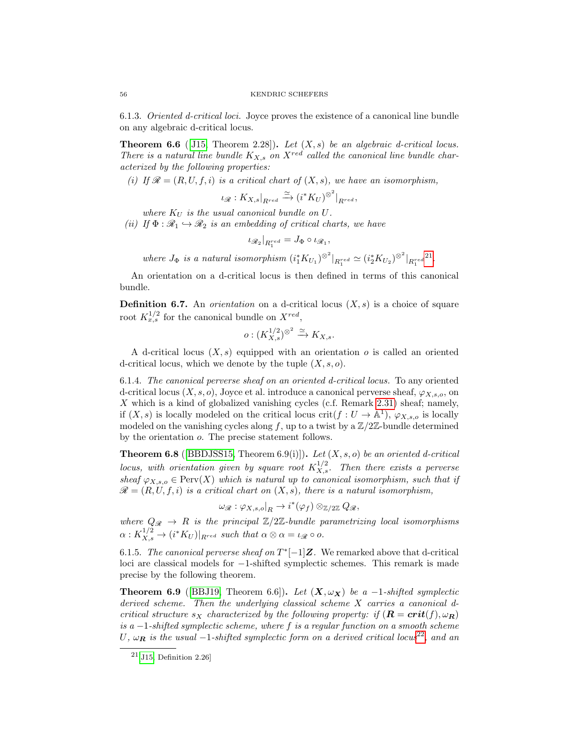6.1.3. Oriented d-critical loci. Joyce proves the existence of a canonical line bundle on any algebraic d-critical locus.

**Theorem 6.6** ([\[J15,](#page-66-15) Theorem 2.28]). Let  $(X, s)$  be an algebraic d-critical locus. There is a natural line bundle  $K_{X,s}$  on  $X^{red}$  called the canonical line bundle characterized by the following properties:

(i) If  $\mathscr{R} = (R, U, f, i)$  is a critical chart of  $(X, s)$ , we have an isomorphism,

$$
\iota_{\mathscr{R}}:K_{X,s}|_{R^{red}} \xrightarrow{\simeq} (i^*K_U)^{\otimes^2}|_{R^{red}},
$$

where  $K_U$  is the usual canonical bundle on  $U$ .

(ii) If  $\Phi : \mathcal{R}_1 \hookrightarrow \mathcal{R}_2$  is an embedding of critical charts, we have

$$
\iota_{\mathscr{R}_2}|_{R_1^{red}} = J_{\Phi} \circ \iota_{\mathscr{R}_1},
$$

where  $J_{\Phi}$  is a natural isomorphism  $(i_1^*K_{U_1})^{\otimes^2}|_{R_1^{red}} \simeq (i_2^*K_{U_2})^{\otimes^2}|_{R_1^{red}}$ [21](#page-55-0) .

An orientation on a d-critical locus is then defined in terms of this canonical bundle.

**Definition 6.7.** An *orientation* on a d-critical locus  $(X, s)$  is a choice of square root  $K_{x,s}^{1/2}$  for the canonical bundle on  $X^{red}$ ,

$$
o: (K_{X,s}^{1/2})^{\otimes^2} \xrightarrow{\simeq} K_{X,s}.
$$

A d-critical locus  $(X, s)$  equipped with an orientation o is called an oriented d-critical locus, which we denote by the tuple  $(X, s, o)$ .

6.1.4. The canonical perverse sheaf on an oriented d-critical locus. To any oriented d-critical locus  $(X, s, o)$ , Joyce et al. introduce a canonical perverse sheaf,  $\varphi_{X, s, o}$ , on X which is a kind of globalized vanishing cycles (c.f. Remark [2.31\)](#page-21-4) sheaf; namely, if  $(X, s)$  is locally modeled on the critical locus crit $(f: U \to \mathbb{A}^1)$ ,  $\varphi_{X, s, o}$  is locally modeled on the vanishing cycles along f, up to a twist by a  $\mathbb{Z}/2\mathbb{Z}$ -bundle determined by the orientation o. The precise statement follows.

**Theorem 6.8** ([\[BBDJSS15,](#page-65-2) Theorem 6.9(i)]). Let  $(X, s, o)$  be an oriented d-critical locus, with orientation given by square root  $K_{X,s}^{1/2}$ . Then there exists a perverse sheaf  $\varphi_{X,s,o} \in \text{Perv}(X)$  which is natural up to canonical isomorphism, such that if  $\mathscr{R} = (R, U, f, i)$  is a critical chart on  $(X, s)$ , there is a natural isomorphism,

$$
\omega_{\mathscr{R}}: \varphi_{X,s,o}\vert_R \to i^*(\varphi_f) \otimes_{\mathbb{Z}/2\mathbb{Z}} Q_{\mathscr{R}},
$$

where  $Q_{\mathcal{R}} \rightarrow R$  is the principal  $\mathbb{Z}/2\mathbb{Z}$ -bundle parametrizing local isomorphisms  $\alpha: K_{X,s}^{1/2} \to (i^*K_U)|_{R^{red}}$  such that  $\alpha \otimes \alpha = \iota_{\mathscr{R}} \circ o$ .

6.1.5. The canonical perverse sheaf on  $T^*[-1]Z$ . We remarked above that d-critical loci are classical models for −1-shifted symplectic schemes. This remark is made precise by the following theorem.

**Theorem 6.9** ([\[BBJ19,](#page-65-1) Theorem 6.6]). Let  $(X, \omega_X)$  be a -1-shifted symplectic derived scheme. Then the underlying classical scheme X carries a canonical dcritical structure  $s_X$  characterized by the following property: if  $(\mathbf{R} = crit(f), \omega_{\mathbf{R}})$ is a  $-1$ -shifted symplectic scheme, where f is a regular function on a smooth scheme U,  $\omega_R$  is the usual -1-shifted symplectic form on a derived critical locus<sup>[22](#page-56-1)</sup>, and an

<span id="page-55-0"></span> $21$ [\[J15,](#page-66-15) Definition 2.26]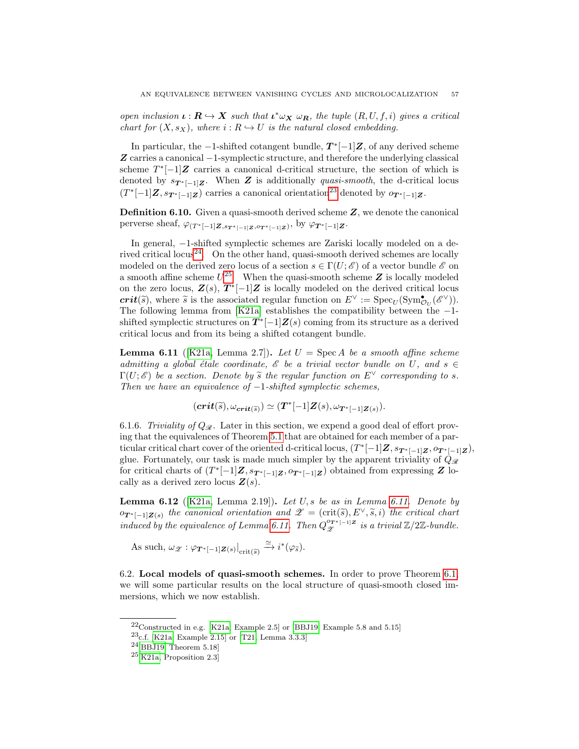open inclusion  $\iota : \mathbf{R} \to \mathbf{X}$  such that  $\iota^* \omega_{\mathbf{X}} \omega_{\mathbf{R}}$ , the tuple  $(R, U, f, i)$  gives a critical chart for  $(X, s_X)$ , where  $i : R \hookrightarrow U$  is the natural closed embedding.

In particular, the  $-1$ -shifted cotangent bundle,  $T^*[-1]\mathbf{Z}$ , of any derived scheme Z carries a canonical −1-symplectic structure, and therefore the underlying classical scheme  $T^*[-1]Z$  carries a canonical d-critical structure, the section of which is denoted by  $s_{\mathbf{T}^*[-1]\mathbf{Z}}$ . When **Z** is additionally *quasi-smooth*, the d-critical locus  $(T^*[-1]\mathbf{Z}, s_{\mathbf{T}^*[-1]\mathbf{Z}})$  carries a canonical orientation<sup>[23](#page-56-2)</sup> denoted by  $o_{\mathbf{T}^*[-1]\mathbf{Z}}$ .

Definition 6.10. Given a quasi-smooth derived scheme Z, we denote the canonical perverse sheaf,  $\varphi_{(T^*[-1]Z,s_{T^*[-1]Z},o_{T^*[-1]Z})}$ , by  $\varphi_{T^*[-1]Z}$ .

In general, −1-shifted symplectic schemes are Zariski locally modeled on a de-rived critical locus<sup>[24](#page-56-3)</sup>. On the other hand, quasi-smooth derived schemes are locally modeled on the derived zero locus of a section  $s \in \Gamma(U; \mathscr{E})$  of a vector bundle  $\mathscr{E}$  on a smooth affine scheme  $U^{25}$  $U^{25}$  $U^{25}$ . When the quasi-smooth scheme Z is locally modeled on the zero locus,  $\mathbf{Z}(s)$ ,  $T^*[-1]\mathbf{Z}$  is locally modeled on the derived critical locus  $\operatorname{crit}(\widetilde{s})$ , where  $\widetilde{s}$  is the associated regular function on  $E^{\vee} := \operatorname{Spec}_U(\operatorname{Sym}^{\bullet}_{\mathcal{O}_U}(\mathscr{E}^{\vee}))$ .<br>The following lomma from [K21a] ortablishes the compatibility between the The following lemma from [\[K21a\]](#page-66-4) establishes the compatibility between the −1 shifted symplectic structures on  $T^*[-1]Z(s)$  coming from its structure as a derived critical locus and from its being a shifted cotangent bundle.

<span id="page-56-5"></span>**Lemma 6.11** ([\[K21a,](#page-66-4) Lemma 2.7]). Let  $U = \text{Spec } A$  be a smooth affine scheme admitting a global étale coordinate,  $\mathscr E$  be a trivial vector bundle on U, and  $s \in$  $\Gamma(U; \mathscr{E})$  be a section. Denote by  $\widetilde{s}$  the regular function on  $E^{\vee}$  corresponding to s. Then we have an equivalence of  $-1$ -shifted symplectic schemes,

$$
(\mathbf{crit}(\widetilde{s}),\omega_{\mathbf{crit}(\widetilde{s})})\simeq(\mathbf{T}^*[-1]\mathbf{Z}(s),\omega_{\mathbf{T}^*[-1]\mathbf{Z}(s)}).
$$

6.1.6. Triviality of  $Q_{\mathcal{R}}$ . Later in this section, we expend a good deal of effort proving that the equivalences of Theorem [5.1](#page-43-2) that are obtained for each member of a particular critical chart cover of the oriented d-critical locus,  $(T^*[-1]\mathbf{Z}, s_{\mathbf{T}^*[-1]\mathbf{Z}}, o_{\mathbf{T}^*[-1]\mathbf{Z}})$ , glue. Fortunately, our task is made much simpler by the apparent triviality of  $Q_{\mathscr{R}}$ for critical charts of  $(T^*[-1]Z, s_{T^*[-1]Z}, o_{T^*[-1]Z})$  obtained from expressing Z locally as a derived zero locus  $\mathbf{Z}(s)$ .

**Lemma 6.12** ( $[K21a, \text{ Lemma 2.19}].$  $[K21a, \text{ Lemma 2.19}].$  Let U, s be as in Lemma [6.11.](#page-56-5) Denote by  $\mathcal{O}_{T^*[-1]\mathbf{Z}(s)}$  the canonical orientation and  $\mathscr{Z} = (\text{crit}(\widetilde{s}), E^{\vee}, \widetilde{s}, i)$  the critical chart induced by the equivalence of Lemma [6.11.](#page-56-5) Then  $Q_{\mathscr{Z}}^{\sigma_{T^*[-1]\mathbb{Z}}}$  is a trivial  $\mathbb{Z}/2\mathbb{Z}$ -bundle.

As such,  $\omega_{\mathscr{Z}} : \varphi_{\mathbf{T}^*[-1]\mathbf{Z}(s)}|_{\mathrm{crit}(\widetilde{s})} \stackrel{\simeq}{\to} i^*(\varphi_{\widetilde{s}}).$ 

<span id="page-56-0"></span>6.2. Local models of quasi-smooth schemes. In order to prove Theorem [6.1,](#page-53-1) we will some particular results on the local structure of quasi-smooth closed immersions, which we now establish.

<span id="page-56-1"></span> $22$ Constructed in e.g. [\[K21a,](#page-66-4) Example 2.5] or [\[BBJ19,](#page-65-1) Example 5.8 and 5.15]

<span id="page-56-2"></span> $^{23}$ c.f. [\[K21a,](#page-66-4) Example 2.15] or [\[T21,](#page-66-16) Lemma 3.3.3]

<span id="page-56-3"></span> $24$ [\[BBJ19,](#page-65-1) Theorem 5.18]

<span id="page-56-4"></span> $25$ [\[K21a,](#page-66-4) Proposition 2.3]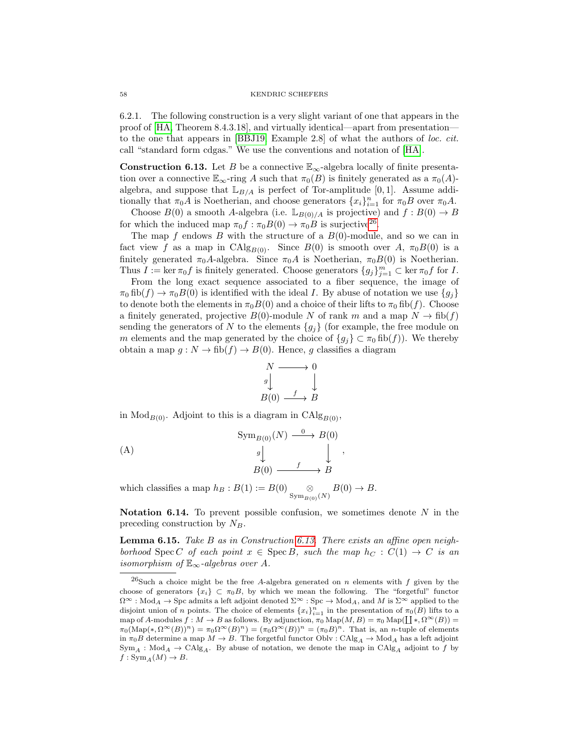6.2.1. The following construction is a very slight variant of one that appears in the proof of [\[HA,](#page-66-7) Theorem 8.4.3.18], and virtually identical—apart from presentation to the one that appears in [\[BBJ19,](#page-65-1) Example 2.8] of what the authors of loc. cit. call "standard form cdgas." We use the conventions and notation of [\[HA\]](#page-66-7).

<span id="page-57-1"></span>**Construction 6.13.** Let B be a connective  $\mathbb{E}_{\infty}$ -algebra locally of finite presentation over a connective  $\mathbb{E}_{\infty}$ -ring A such that  $\pi_0(B)$  is finitely generated as a  $\pi_0(A)$ algebra, and suppose that  $\mathbb{L}_{B/A}$  is perfect of Tor-amplitude [0, 1]. Assume additionally that  $\pi_0 A$  is Noetherian, and choose generators  $\{x_i\}_{i=1}^n$  for  $\pi_0 B$  over  $\pi_0 A$ .

Choose  $B(0)$  a smooth A-algebra (i.e.  $\mathbb{L}_{B(0)/A}$  is projective) and  $f : B(0) \to B$ for which the induced map  $\pi_0 f : \pi_0 B(0) \to \pi_0 B$  is surjective<sup>[26](#page-57-0)</sup>.

The map f endows B with the structure of a  $B(0)$ -module, and so we can in fact view f as a map in CAlg<sub>B(0)</sub>. Since  $B(0)$  is smooth over A,  $\pi_0 B(0)$  is a finitely generated  $\pi_0 A$ -algebra. Since  $\pi_0 A$  is Noetherian,  $\pi_0 B(0)$  is Noetherian. Thus  $I := \ker \pi_0 f$  is finitely generated. Choose generators  $\{g_j\}_{j=1}^m \subset \ker \pi_0 f$  for I.

From the long exact sequence associated to a fiber sequence, the image of  $\pi_0$  fib(f)  $\rightarrow \pi_0 B(0)$  is identified with the ideal I. By abuse of notation we use  $\{g_i\}$ to denote both the elements in  $\pi_0 B(0)$  and a choice of their lifts to  $\pi_0$  fib(f). Choose a finitely generated, projective  $B(0)$ -module N of rank m and a map  $N \to \text{fib}(f)$ sending the generators of N to the elements  ${g_j}$  (for example, the free module on m elements and the map generated by the choice of  ${g_j} \subset \pi_0$  fib $(f)$ ). We thereby obtain a map  $g: N \to \text{fib}(f) \to B(0)$ . Hence, g classifies a diagram

$$
N \longrightarrow 0
$$
  
\n
$$
g \downarrow \qquad \qquad \downarrow
$$
  
\n
$$
B(0) \xrightarrow{f} B
$$

in  $\text{Mod}_{B(0)}$ . Adjoint to this is a diagram in  $\text{CAlg}_{B(0)}$ ,

<span id="page-57-3"></span>(A)  
\n
$$
\begin{array}{ccc}\n\text{Sym}_{B(0)}(N) & \xrightarrow{0} & B(0) \\
\downarrow^{g} & & \downarrow \\
B(0) & \xrightarrow{f} & B\n\end{array},
$$

which classifies a map  $h_B : B(1) := B(0) \underset{\text{Sym}_{B(0)}(N)}{\otimes}$  $B(0) \rightarrow B$ .

**Notation 6.14.** To prevent possible confusion, we sometimes denote  $N$  in the preceding construction by  $N_B$ .

<span id="page-57-2"></span>**Lemma 6.15.** Take B as in Construction [6.13.](#page-57-1) There exists an affine open neighborhood Spec C of each point  $x \in \text{Spec } B$ , such the map  $h_C : C(1) \rightarrow C$  is an isomorphism of  $\mathbb{E}_{\infty}$ -algebras over A.

<span id="page-57-0"></span><sup>&</sup>lt;sup>26</sup>Such a choice might be the free A-algebra generated on n elements with f given by the choose of generators  $\{x_i\} \subset \pi_0 B$ , by which we mean the following. The "forgetful" functor  $\Omega^{\infty}$ : Mod $_A \to \text{Spc}$  admits a left adjoint denoted  $\Sigma^{\infty}$ : Spc  $\to \text{Mod}_A$ , and M is  $\Sigma^{\infty}$  applied to the disjoint union of n points. The choice of elements  ${x_i}_{i=1}^n$  in the presentation of  $\pi_0(B)$  lifts to a map of A-modules  $f : M \to B$  as follows. By adjunction,  $\pi_0 \text{Map}(M, B) = \pi_0 \text{Map}(\coprod *, \Omega^{\infty}(B)) =$  $\pi_0(\text{Map}(*, \Omega^{\infty}(B))^n) = \pi_0\Omega^{\infty}(B)^n = (\pi_0\Omega^{\infty}(B))^n = (\pi_0B)^n$ . That is, an *n*-tuple of elements in  $\pi_0B$  determine a map  $M \to B$ . The forgetful functor Oblv : CAlg<sub>A</sub>  $\to$  Mod<sub>A</sub> has a left adjoint  $Sym_A : Mod_A \to \text{CAlg}_A$ . By abuse of notation, we denote the map in  $\text{CAlg}_A$  adjoint to f by  $f: \text{Sym}_A(M) \to B.$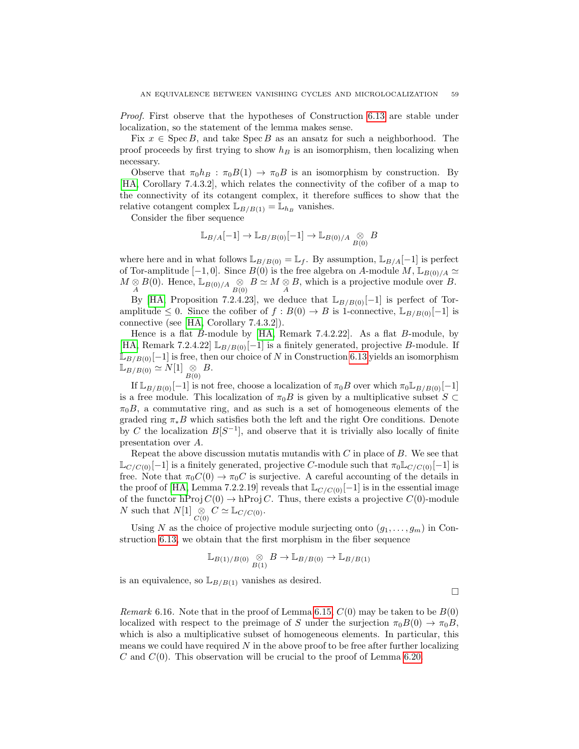Proof. First observe that the hypotheses of Construction [6.13](#page-57-1) are stable under localization, so the statement of the lemma makes sense.

Fix  $x \in \text{Spec } B$ , and take  $\text{Spec } B$  as an ansatz for such a neighborhood. The proof proceeds by first trying to show  $h_B$  is an isomorphism, then localizing when necessary.

Observe that  $\pi_0 h_B : \pi_0 B(1) \to \pi_0 B$  is an isomorphism by construction. By [\[HA,](#page-66-7) Corollary 7.4.3.2], which relates the connectivity of the cofiber of a map to the connectivity of its cotangent complex, it therefore suffices to show that the relative cotangent complex  $\mathbb{L}_{B/B(1)} = \mathbb{L}_{h_B}$  vanishes.

Consider the fiber sequence

$$
\mathbb{L}_{B/A}[-1] \to \mathbb{L}_{B/B(0)}[-1] \to \mathbb{L}_{B(0)/A} \underset{B(0)}{\otimes} B
$$

where here and in what follows  $\mathbb{L}_{B/B(0)} = \mathbb{L}_f$ . By assumption,  $\mathbb{L}_{B/A}[-1]$  is perfect of Tor-amplitude [-1, 0]. Since  $B(0)$  is the free algebra on A-module M,  $\mathbb{L}_{B(0)/A} \simeq$  $M \underset{A}{\otimes} B(0)$ . Hence,  $\mathbb{L}_{B(0)/A} \underset{B(0)}{\otimes} B \simeq M \underset{A}{\otimes} B$ , which is a projective module over B.

By [\[HA,](#page-66-7) Proposition 7.2.4.23], we deduce that  $\mathbb{L}_{B/B(0)}[-1]$  is perfect of Toramplitude ≤ 0. Since the cofiber of  $f : B(0) \to B$  is 1-connective,  $\mathbb{L}_{B/B(0)}[-1]$  is connective (see [\[HA,](#page-66-7) Corollary 7.4.3.2]).

Hence is a flat B-module by [\[HA,](#page-66-7) Remark 7.4.2.22]. As a flat B-module, by [\[HA,](#page-66-7) Remark 7.2.4.22]  $\mathbb{L}_{B/B(0)}[-1]$  is a finitely generated, projective B-module. If  $\mathbb{L}_{B/B(0)}[-1]$  is free, then our choice of N in Construction [6.13](#page-57-1) yields an isomorphism  $\mathbb{L}_{B/B(0)} \simeq N[1] \underset{B(0)}{\otimes} B.$ 

If  $\mathbb{L}_{B/B(0)}[-1]$  is not free, choose a localization of  $\pi_0 B$  over which  $\pi_0 \mathbb{L}_{B/B(0)}[-1]$ is a free module. This localization of  $\pi_0B$  is given by a multiplicative subset  $S \subset$  $\pi_0 B$ , a commutative ring, and as such is a set of homogeneous elements of the graded ring  $\pi_*B$  which satisfies both the left and the right Ore conditions. Denote by C the localization  $B[S^{-1}]$ , and observe that it is trivially also locally of finite presentation over A.

Repeat the above discussion mutatis mutandis with  $C$  in place of  $B$ . We see that  $\mathbb{L}_{C/C(0)}[-1]$  is a finitely generated, projective C-module such that  $\pi_0 \mathbb{L}_{C/C(0)}[-1]$  is free. Note that  $\pi_0 C(0) \to \pi_0 C$  is surjective. A careful accounting of the details in the proof of [\[HA,](#page-66-7) Lemma 7.2.2.19] reveals that  $\mathbb{L}_{C/C(0)}[-1]$  is in the essential image of the functor hProj  $C(0) \to hProj C$ . Thus, there exists a projective  $C(0)$ -module N such that  $N[1] \underset{C(0)}{\otimes} C \simeq \mathbb{L}_{C/C(0)}$ .

Using N as the choice of projective module surjecting onto  $(g_1, \ldots, g_m)$  in Construction [6.13,](#page-57-1) we obtain that the first morphism in the fiber sequence

$$
\mathbb{L}_{B(1)/B(0)} \underset{B(1)}{\otimes} B \to \mathbb{L}_{B/B(0)} \to \mathbb{L}_{B/B(1)}
$$

is an equivalence, so  $\mathbb{L}_{B/B(1)}$  vanishes as desired.

 $\Box$ 

<span id="page-58-0"></span>Remark 6.16. Note that in the proof of Lemma [6.15,](#page-57-2)  $C(0)$  may be taken to be  $B(0)$ localized with respect to the preimage of S under the surjection  $\pi_0B(0) \to \pi_0B$ , which is also a multiplicative subset of homogeneous elements. In particular, this means we could have required  $N$  in the above proof to be free after further localizing  $C$  and  $C(0)$ . This observation will be crucial to the proof of Lemma [6.20.](#page-60-0)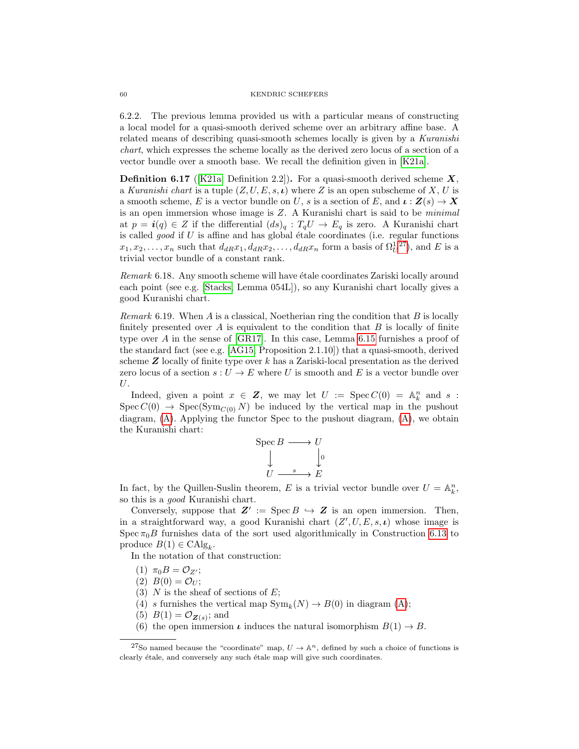#### 60 KENDRIC SCHEFERS

6.2.2. The previous lemma provided us with a particular means of constructing a local model for a quasi-smooth derived scheme over an arbitrary affine base. A related means of describing quasi-smooth schemes locally is given by a Kuranishi chart, which expresses the scheme locally as the derived zero locus of a section of a vector bundle over a smooth base. We recall the definition given in [\[K21a\]](#page-66-4).

**Definition 6.17** ([\[K21a,](#page-66-4) Definition 2.2]). For a quasi-smooth derived scheme  $X$ , a Kuranishi chart is a tuple  $(Z, U, E, s, \iota)$  where Z is an open subscheme of X, U is a smooth scheme, E is a vector bundle on U, s is a section of E, and  $\iota : \mathbf{Z}(s) \to \mathbf{X}$ is an open immersion whose image is Z. A Kuranishi chart is said to be minimal at  $p = \mathbf{i}(q) \in Z$  if the differential  $(ds)_q : T_qU \to E_q$  is zero. A Kuranishi chart is called  $good$  if  $U$  is affine and has global étale coordinates (i.e. regular functions  $x_1, x_2, \ldots, x_n$  such that  $d_{dR}x_1, d_{dR}x_2, \ldots, d_{dR}x_n$  form a basis of  $\Omega_U^{1, 27}$  $\Omega_U^{1, 27}$  $\Omega_U^{1, 27}$ , and E is a trivial vector bundle of a constant rank.

Remark 6.18. Any smooth scheme will have étale coordinates Zariski locally around each point (see e.g. [\[Stacks,](#page-66-13) Lemma 054L]), so any Kuranishi chart locally gives a good Kuranishi chart.

<span id="page-59-1"></span>Remark 6.19. When  $A$  is a classical, Noetherian ring the condition that  $B$  is locally finitely presented over  $A$  is equivalent to the condition that  $B$  is locally of finite type over  $A$  in the sense of  $[GR17]$ . In this case, Lemma [6.15](#page-57-2) furnishes a proof of the standard fact (see e.g. [\[AG15,](#page-65-9) Proposition 2.1.10]) that a quasi-smooth, derived scheme  $Z$  locally of finite type over k has a Zariski-local presentation as the derived zero locus of a section  $s: U \to E$  where U is smooth and E is a vector bundle over U.

Indeed, given a point  $x \in \mathbf{Z}$ , we may let  $U := \text{Spec } C(0) = \mathbb{A}^n_k$  and s:  $Spec C(0) \rightarrow Spec(Sym_{C(0)} N)$  be induced by the vertical map in the pushout diagram, [\(A\)](#page-57-3). Applying the functor Spec to the pushout diagram, [\(A\)](#page-57-3), we obtain the Kuranishi chart:

$$
\begin{array}{ccc}\n\text{Spec } B & \longrightarrow U \\
\downarrow & \downarrow \\
U & \xrightarrow{s} & E\n\end{array}
$$

In fact, by the Quillen-Suslin theorem, E is a trivial vector bundle over  $U = \mathbb{A}_k^n$ , so this is a good Kuranishi chart.

Conversely, suppose that  $\mathbf{Z}' := \operatorname{Spec} B \hookrightarrow \mathbf{Z}$  is an open immersion. Then, in a straightforward way, a good Kuranishi chart  $(Z', U, E, s, \iota)$  whose image is Spec  $\pi_0B$  furnishes data of the sort used algorithmically in Construction [6.13](#page-57-1) to produce  $B(1) \in \mathrm{CAlg}_k$ .

In the notation of that construction:

- (1)  $\pi_0 B = \mathcal{O}_{Z'};$
- (2)  $B(0) = \mathcal{O}_U;$
- (3)  $N$  is the sheaf of sections of  $E$ ;
- (4) s furnishes the vertical map  $\text{Sym}_k(N) \to B(0)$  in diagram [\(A\)](#page-57-3);
- (5)  $B(1) = \mathcal{O}_{\mathbf{Z}(s)}$ ; and
- <span id="page-59-0"></span>(6) the open immersion  $\iota$  induces the natural isomorphism  $B(1) \to B$ .

<sup>&</sup>lt;sup>27</sup>So named because the "coordinate" map,  $U \to \mathbb{A}^n$ , defined by such a choice of functions is clearly étale, and conversely any such étale map will give such coordinates.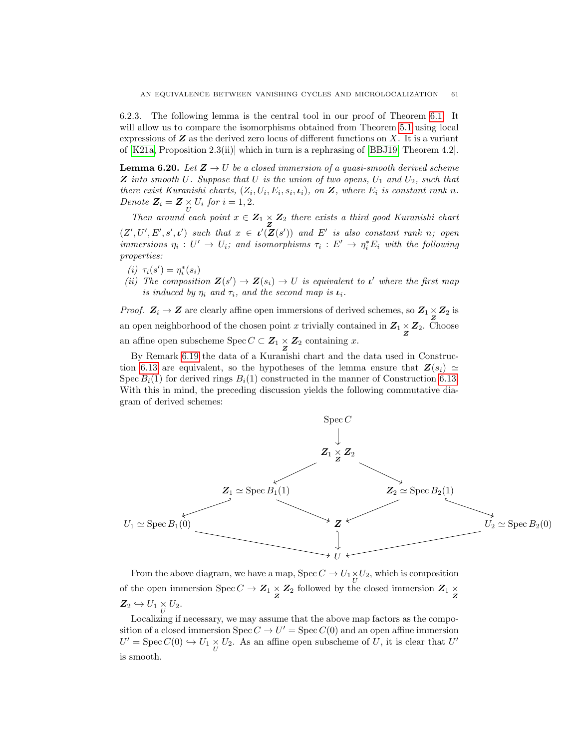6.2.3. The following lemma is the central tool in our proof of Theorem [6.1.](#page-53-1) It will allow us to compare the isomorphisms obtained from Theorem [5.1](#page-43-2) using local expressions of  $Z$  as the derived zero locus of different functions on  $X$ . It is a variant of [\[K21a,](#page-66-4) Proposition 2.3(ii)] which in turn is a rephrasing of [\[BBJ19,](#page-65-1) Theorem 4.2].

<span id="page-60-0"></span>**Lemma 6.20.** Let  $\mathbf{Z} \to U$  be a closed immersion of a quasi-smooth derived scheme **Z** into smooth U. Suppose that U is the union of two opens,  $U_1$  and  $U_2$ , such that there exist Kuranishi charts,  $(Z_i, U_i, E_i, s_i, \iota_i)$ , on Z, where  $E_i$  is constant rank n. Denote  $\mathbf{Z}_i = \mathbf{Z} \times \mathbf{U}_i$  for  $i = 1, 2$ .

Then around each point  $x \in \mathbb{Z}_1 \times \mathbb{Z}_2$  there exists a third good Kuranishi chart  $(Z', U', E', s', \iota')$  such that  $x \in \iota'(Z(s'))$  and E' is also constant rank n; open immersions  $\eta_i: U' \to U_i$ ; and isomorphisms  $\tau_i: E' \to \eta_i^* E_i$  with the following properties:

- $(\boldsymbol{i}) \hspace{0.2cm} \tau_{\boldsymbol{i}}(s') = \eta_{\boldsymbol{i}}^{*}(s_{\boldsymbol{i}})$
- <span id="page-60-1"></span>(ii) The composition  $\mathbf{Z}(s') \to \mathbf{Z}(s_i) \to U$  is equivalent to  $\iota'$  where the first map is induced by  $\eta_i$  and  $\tau_i$ , and the second map is  $\iota_i$ .

*Proof.*  $Z_i \rightarrow Z$  are clearly affine open immersions of derived schemes, so  $Z_1 \times Z_2$  is an open neighborhood of the chosen point x trivially contained in  $Z_1 \underset{Z}{\times} Z_2$ . Choose an affine open subscheme Spec  $C \subset \mathbb{Z}_1 \times \mathbb{Z}_2$  containing x.

By Remark [6.19](#page-59-1) the data of a Kuranishi chart and the data used in Construc-tion [6.13](#page-57-1) are equivalent, so the hypotheses of the lemma ensure that  $\mathbf{Z}(s_i) \simeq$ Spec  $B_i(1)$  for derived rings  $B_i(1)$  constructed in the manner of Construction [6.13.](#page-57-1) With this in mind, the preceding discussion yields the following commutative diagram of derived schemes:



From the above diagram, we have a map, Spec  $C \to U_1 \underset{U}{\times} U_2$ , which is composition % of the open immersion Spec  $C \to \mathbb{Z}_1 \times \mathbb{Z}_2$  followed by the closed immersion  $\mathbb{Z}_1 \times \mathbb{Z}_2$  $\mathbf{Z}_2 \hookrightarrow U_1 \underset{U}{\times} U_2.$ 

Localizing if necessary, we may assume that the above map factors as the composition of a closed immersion  $Spec C \to U' = Spec C(0)$  and an open affine immersion  $U' = \operatorname{Spec} C(0) \hookrightarrow U_1 \underset{U}{\times} U_2$ . As an affine open subscheme of U, it is clear that U' is smooth.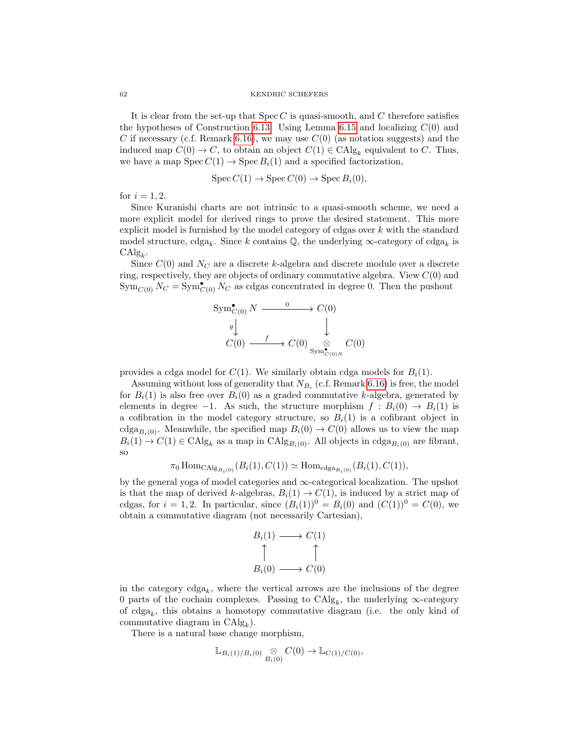#### 62 KENDRIC SCHEFERS

It is clear from the set-up that  $Spec C$  is quasi-smooth, and  $C$  therefore satisfies the hypotheses of Construction [6.13.](#page-57-1) Using Lemma [6.15](#page-57-2) and localizing  $C(0)$  and C if necessary (c.f. Remark [6.16\)](#page-58-0), we may use  $C(0)$  (as notation suggests) and the induced map  $C(0) \to C$ , to obtain an object  $C(1) \in CAlg_k$  equivalent to C. Thus, we have a map  $Spec C(1) \rightarrow Spec B_i(1)$  and a specified factorization,

$$
Spec C(1) \to Spec C(0) \to Spec B_i(0),
$$

for  $i = 1, 2$ .

Since Kuranishi charts are not intrinsic to a quasi-smooth scheme, we need a more explicit model for derived rings to prove the desired statement. This more explicit model is furnished by the model category of cdgas over  $k$  with the standard model structure,  $\text{cdga}_k$ . Since k contains  $\mathbb{Q}$ , the underlying  $\infty$ -category of  $\text{cdga}_k$  is  $\mathrm{CAlg}_k$ .

Since  $C(0)$  and  $N_C$  are a discrete k-algebra and discrete module over a discrete ring, respectively, they are objects of ordinary commutative algebra. View  $C(0)$  and  $\operatorname{Sym}_{C(0)} N_C = \operatorname{Sym}_{C(0)}^{\bullet} N_C$  as cdgas concentrated in degree 0. Then the pushout

$$
\text{Sym}_{C(0)}^{\bullet} N \xrightarrow{\qquad 0} C(0)
$$
\n
$$
g \downarrow^{\qquad} \downarrow^{\qquad} C(0)
$$
\n
$$
C(0) \xrightarrow{\qquad f} C(0) \underset{\text{Sym}_{C(0)N}^{\bullet}^{\bullet} C(0)}{\otimes} C(0)
$$

provides a cdga model for  $C(1)$ . We similarly obtain cdga models for  $B<sub>i</sub>(1)$ .

Assuming without loss of generality that  $N_{B_i}$  (c.f. Remark [6.16\)](#page-58-0) is free, the model for  $B_i(1)$  is also free over  $B_i(0)$  as a graded commutative k-algebra, generated by elements in degree  $-1$ . As such, the structure morphism  $f : B_i(0) \to B_i(1)$  is a cofibration in the model category structure, so  $B_i(1)$  is a cofibrant object in cdga<sub>Bi(0)</sub>. Meanwhile, the specified map  $B_i(0) \to C(0)$  allows us to view the map  $B_i(1) \to C(1) \in \text{CAlg}_k$  as a map in  $\text{CAlg}_{B_i(0)}$ . All objects in  $\text{cdga}_{B_i(0)}$  are fibrant, so

$$
\pi_0 \operatorname{Hom}_{\operatorname{CAlg}_{B_i(0)}}(B_i(1), C(1)) \simeq \operatorname{Hom}_{\operatorname{cdga}_{B_i(0)}}(B_i(1), C(1)),
$$

by the general yoga of model categories and  $\infty$ -categorical localization. The upshot is that the map of derived k-algebras,  $B_i(1) \rightarrow C(1)$ , is induced by a strict map of cdgas, for  $i = 1, 2$ . In particular, since  $(B_i(1))^0 = B_i(0)$  and  $(C(1))^0 = C(0)$ , we obtain a commutative diagram (not necessarily Cartesian),

$$
B_i(1) \longrightarrow C(1)
$$
  
\n
$$
\uparrow \qquad \qquad \uparrow
$$
  
\n
$$
B_i(0) \longrightarrow C(0)
$$

in the category  $\text{cdga}_k$ , where the vertical arrows are the inclusions of the degree 0 parts of the cochain complexes. Passing to  $\text{CAlg}_k$ , the underlying  $\infty$ -category of  $cdga_k$ , this obtains a homotopy commutative diagram (i.e. the only kind of commutative diagram in  $CAlg_k$ ).

There is a natural base change morphism,

$$
\mathbb{L}_{B_i(1)/B_i(0)} \underset{B_i(0)}{\otimes} C(0) \to \mathbb{L}_{C(1)/C(0)},
$$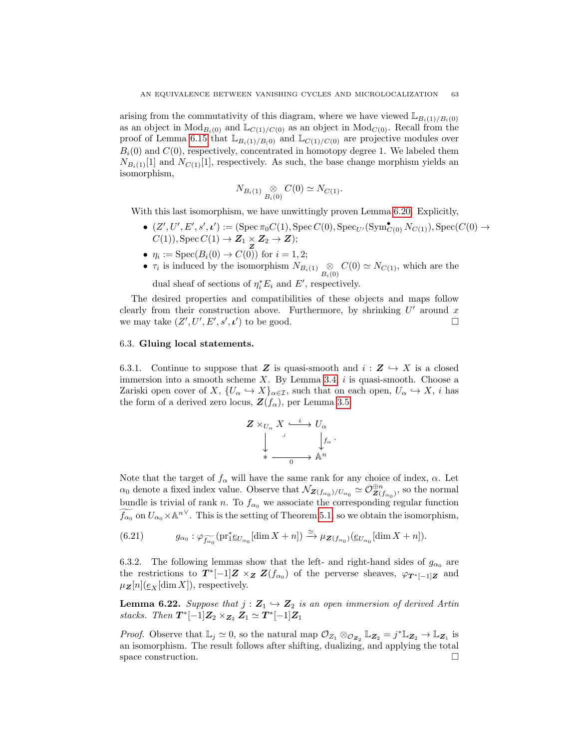arising from the commutativity of this diagram, where we have viewed  $\mathbb{L}_{B_i(1)/B_i(0)}$ as an object in  $Mod_{B_i(0)}$  and  $\mathbb{L}_{C(1)/C(0)}$  as an object in  $Mod_{C(0)}$ . Recall from the proof of Lemma [6.15](#page-57-2) that  $\mathbb{L}_{B_i(1)/B(0)}$  and  $\mathbb{L}_{C(1)/C(0)}$  are projective modules over  $B_i(0)$  and  $C(0)$ , respectively, concentrated in homotopy degree 1. We labeled them  $N_{B_i(1)}[1]$  and  $N_{C(1)}[1]$ , respectively. As such, the base change morphism yields an isomorphism,

$$
N_{B_i(1)} \underset{B_i(0)}{\otimes} C(0) \simeq N_{C(1)}.
$$

With this last isomorphism, we have unwittingly proven Lemma [6.20.](#page-60-0) Explicitly,

- $\bullet$   $(Z', U', E', s', \iota') := (\text{Spec } \pi_0 C(1), \text{Spec } C(0), \text{Spec}_{U'}(\text{Sym}_{C(0)}^{\bullet} N_{C(1)}), \text{Spec}(C(0) \rightarrow$  $C(1)$ , Spec  $C(1) \rightarrow Z_1 \times Z_2 \rightarrow Z$ ;
- $\eta_i := \operatorname{Spec}(B_i(0) \to C(0))$  for  $i = 1, 2;$
- $\tau_i$  is induced by the isomorphism  $N_{B_i(1)} \underset{B_i(0)}{\otimes} C(0) \simeq N_{C(1)}$ , which are the dual sheaf of sections of  $\eta_i^* E_i$  and E', respectively.

The desired properties and compatibilities of these objects and maps follow clearly from their construction above. Furthermore, by shrinking  $U'$  around x we may take  $(Z', U', E', s', \iota')$  to be good.

#### <span id="page-62-0"></span>6.3. Gluing local statements.

6.3.1. Continue to suppose that Z is quasi-smooth and  $i : \mathbf{Z} \hookrightarrow X$  is a closed immersion into a smooth scheme  $X$ . By Lemma [3.4,](#page-26-4) i is quasi-smooth. Choose a Zariski open cover of X,  $\{U_{\alpha} \hookrightarrow X\}_{\alpha \in \mathcal{I}}$ , such that on each open,  $U_{\alpha} \hookrightarrow X$ , i has the form of a derived zero locus,  $\mathbf{Z}(f_{\alpha})$ , per Lemma [3.5:](#page-26-3)

$$
Z \times_{U_{\alpha}} X \xrightarrow{i} U_{\alpha}
$$
  
\n
$$
\downarrow \qquad \qquad \downarrow f_{\alpha}
$$
  
\n
$$
\star \longrightarrow f_{\alpha}
$$

.

Note that the target of  $f_{\alpha}$  will have the same rank for any choice of index,  $\alpha$ . Let  $\alpha_0$  denote a fixed index value. Observe that  $\mathcal{N}_{\mathbf{Z}(f_{\alpha_0})/U_{\alpha_0}} \simeq \mathcal{O}_{\mathbf{Z}(f_{\alpha_0})}^{\oplus n}$ , so the normal bundle is trivial of rank n. To  $f_{\alpha_0}$  we associate the corresponding regular function  $\widetilde{f_{\alpha_0}}$  on  $U_{\alpha_0}\times \mathbb{A}^{n\vee}$ . This is the setting of Theorem [5.1,](#page-43-2) so we obtain the isomorphism,

(6.21) 
$$
g_{\alpha_0} : \varphi_{\widetilde{f_{\alpha_0}}}(\mathrm{pr}_1^* \underline{e}_{U_{\alpha_0}}[\dim X + n]) \xrightarrow{\simeq} \mu_{\mathbf{Z}(f_{\alpha_0})}(\underline{e}_{U_{\alpha_0}}[\dim X + n]).
$$

6.3.2. The following lemmas show that the left- and right-hand sides of  $g_{\alpha_0}$  are the restrictions to  $T^*[-1]Z \times_Z Z(f_{\alpha_0})$  of the perverse sheaves,  $\varphi_{T^*[-1]Z}$  and  $\mu_Z[n](\underline{e}_X[\dim X]),$  respectively.

<span id="page-62-1"></span>**Lemma 6.22.** Suppose that  $j : \mathbb{Z}_1 \hookrightarrow \mathbb{Z}_2$  is an open immersion of derived Artin stacks. Then  $T^*[-1]Z_2 \times_{Z_2} Z_1 \simeq T^*[-1]Z_1$ 

<span id="page-62-2"></span>*Proof.* Observe that  $\mathbb{L}_j \simeq 0$ , so the natural map  $\mathcal{O}_{Z_1} \otimes_{\mathcal{O}_{\mathbf{Z}_2}} \mathbb{L}_{\mathbf{Z}_2} = j^* \mathbb{L}_{\mathbf{Z}_2} \to \mathbb{L}_{\mathbf{Z}_1}$  is an isomorphism. The result follows after shifting, dualizing, and applying the total space construction.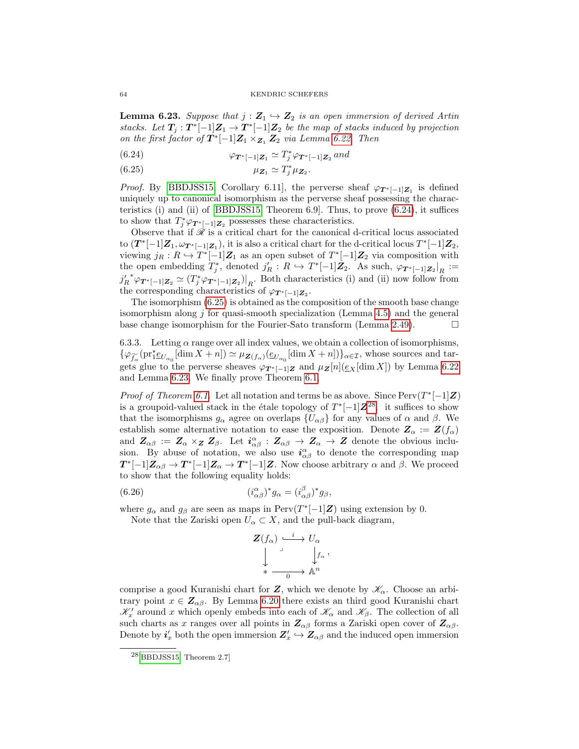**Lemma 6.23.** Suppose that  $j : \mathbb{Z}_1 \hookrightarrow \mathbb{Z}_2$  is an open immersion of derived Artin stacks. Let  $T_j: T^*[-1]Z_1 \to T^*[-1]Z_2$  be the map of stacks induced by projection on the first factor of  $T^*[-1]Z_1 \times_{Z_1} Z_2$  via Lemma [6.22.](#page-62-1) Then

<span id="page-63-0"></span>(6.24) 
$$
\varphi_{\mathbf{T}^*[-1]\mathbf{Z}_1} \simeq T_j^* \varphi_{\mathbf{T}^*[-1]\mathbf{Z}_2} \text{ and}
$$

<span id="page-63-1"></span>(6.25)  $\mu_{\mathbf{Z}_1} \simeq T_j^* \mu_{\mathbf{Z}_2}.$ 

*Proof.* By [\[BBDJSS15,](#page-65-2) Corollary 6.11], the perverse sheaf  $\varphi_{T^*[-1]Z_1}$  is defined uniquely up to canonical isomorphism as the perverse sheaf possessing the characteristics (i) and (ii) of [\[BBDJSS15,](#page-65-2) Theorem 6.9]. Thus, to prove [\(6.24\)](#page-63-0), it suffices to show that  $T_j^* \varphi_{\mathbf{T}^*[-1]\mathbf{Z}_2}$  possesses these characteristics.

Observe that if  $\mathscr R$  is a critical chart for the canonical d-critical locus associated to  $(T^*[-1]Z_1, \omega_{T^*[-1]Z_1})$ , it is also a critical chart for the d-critical locus  $T^*[-1]Z_2$ , viewing  $j_R: R \hookrightarrow T^*[-1]\mathbb{Z}_1$  as an open subset of  $T^*[-1]\mathbb{Z}_2$  via composition with the open embedding  $T_j^*$ , denoted  $j'_R: R \hookrightarrow T^*[-1]\mathbb{Z}_2$ . As such,  $\varphi_{T^*[-1]\mathbb{Z}_2}|_R :=$  $j_R'^* \varphi_{\bm{T}^*[-1]\bm{Z}_2} \simeq (T_j^* \varphi_{\bm{T}^*[-1]\bm{Z}_2})|_{R}$ . Both characteristics (i) and (ii) now follow from the corresponding characteristics of  $\varphi_{\bm{T}^*[-1]\bm{Z}_2}$ .

The isomorphism [\(6.25\)](#page-63-1) is obtained as the composition of the smooth base change isomorphism along  $j$  for quasi-smooth specialization (Lemma [4.5\)](#page-37-1) and the general base change isomorphism for the Fourier-Sato transform (Lemma [2.49\)](#page-25-2).  $\Box$ 

6.3.3. Letting  $\alpha$  range over all index values, we obtain a collection of isomorphisms,  $\{\varphi_{\widetilde{f}_{\alpha}}(\mathrm{pr}_1^*\underline{e}_{U_{\alpha_0}}[\dim X+n])\simeq \mu_{\mathbf{Z}(f_{\alpha})}(\underline{e}_{U_{\alpha_0}}[\dim X+n])\}_{\alpha\in\mathcal{I}},$  whose sources and targets glue to the perverse sheaves  $\varphi_{T^*[-1]Z}$  and  $\mu_Z[n](\underline{e}_X[\dim X])$  by Lemma [6.22](#page-62-1) and Lemma [6.23.](#page-62-2) We finally prove Theorem [6.1.](#page-53-1)

*Proof of Theorem [6.1.](#page-53-1)* Let all notation and terms be as above. Since  $Perv(T^*[-1]Z)$ is a groupoid-valued stack in the étale topology of  $T^*[-1]\mathbb{Z}^{28}$  $T^*[-1]\mathbb{Z}^{28}$  $T^*[-1]\mathbb{Z}^{28}$ , it suffices to show that the isomorphisms  $g_{\alpha}$  agree on overlaps  $\{U_{\alpha\beta}\}\$  for any values of  $\alpha$  and  $\beta$ . We establish some alternative notation to ease the exposition. Denote  $\mathbf{Z}_{\alpha} := \mathbf{Z}(f_{\alpha})$ and  $\mathbf{Z}_{\alpha\beta} := \mathbf{Z}_{\alpha} \times_{\mathbf{Z}} \mathbf{Z}_{\beta}$ . Let  $i^{\alpha}_{\alpha\beta} : \mathbf{Z}_{\alpha\beta} \to \mathbf{Z}_{\alpha} \to \mathbf{Z}$  denote the obvious inclusion. By abuse of notation, we also use  $i^{\alpha}_{\alpha\beta}$  to denote the corresponding map  $T^*[-1]Z_{\alpha\beta} \to T^*[-1]Z_{\alpha} \to T^*[-1]Z$ . Now choose arbitrary  $\alpha$  and  $\beta$ . We proceed to show that the following equality holds:

(6.26) 
$$
(i_{\alpha\beta}^{\alpha})^* g_{\alpha} = (i_{\alpha\beta}^{\beta})^* g_{\beta},
$$

where  $g_{\alpha}$  and  $g_{\beta}$  are seen as maps in Perv $(T^*[-1]\mathbf{Z})$  using extension by 0.

Note that the Zariski open  $U_{\alpha} \subset X$ , and the pull-back diagram,

<span id="page-63-3"></span>
$$
\begin{array}{ccc}\nZ(f_{\alpha}) & \xrightarrow{i} & U_{\alpha} \\
\downarrow & & \downarrow f_{\alpha} \\
\downarrow & & \downarrow f_{\alpha} \\
\downarrow & & \searrow f_{\alpha}\n\end{array}
$$

,

comprise a good Kuranishi chart for  $Z$ , which we denote by  $\mathscr{K}_{\alpha}$ . Choose an arbitrary point  $x \in \mathbb{Z}_{\alpha\beta}$ . By Lemma [6.20](#page-60-0) there exists an third good Kuranishi chart  $\mathcal{K}'_x$  around x which openly embeds into each of  $\mathcal{K}_\alpha$  and  $\mathcal{K}_\beta$ . The collection of all such charts as x ranges over all points in  $\mathbb{Z}_{\alpha\beta}$  forms a Zariski open cover of  $\mathbb{Z}_{\alpha\beta}$ . Denote by  $i'_x$  both the open immersion  $\mathbf{Z}'_x \hookrightarrow \mathbf{Z}_{\alpha\beta}$  and the induced open immersion

<span id="page-63-2"></span><sup>28</sup>[\[BBDJSS15,](#page-65-2) Theorem 2.7]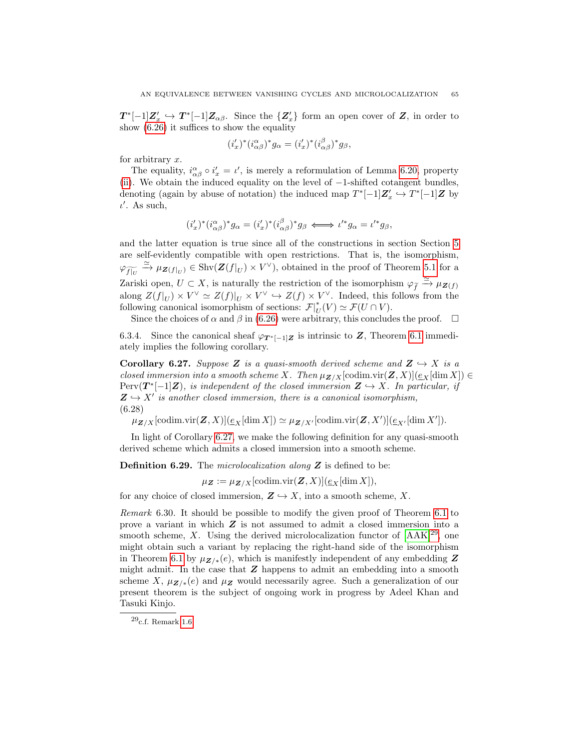$T^*[-1]Z'_x \hookrightarrow T^*[-1]Z_{\alpha\beta}$ . Since the  $\{Z'_x\}$  form an open cover of Z, in order to show [\(6.26\)](#page-63-3) it suffices to show the equality

$$
(i'_x)^*(i_{\alpha\beta}^{\alpha})^*g_{\alpha} = (i'_x)^*(i_{\alpha\beta}^{\beta})^*g_{\beta},
$$

for arbitrary x.

The equality,  $i^{\alpha}_{\alpha\beta} \circ i'_{x} = \iota'$ , is merely a reformulation of Lemma [6.20,](#page-60-0) property [\(ii\)](#page-60-1). We obtain the induced equality on the level of −1-shifted cotangent bundles, denoting (again by abuse of notation) the induced map  $T^*[-1]\mathbb{Z}_x' \hookrightarrow T^*[-1]\mathbb{Z}$  by  $\iota'$ . As such,

$$
(i'_x)^*(i_{\alpha\beta}^{\alpha})^*g_{\alpha} = (i'_x)^*(i_{\alpha\beta}^{\beta})^*g_{\beta} \iff \iota'^*g_{\alpha} = \iota'^*g_{\beta},
$$

and the latter equation is true since all of the constructions in section Section [5](#page-43-0) are self-evidently compatible with open restrictions. That is, the isomorphism,  $\varphi_{\widetilde{f|_U}} \xrightarrow{\simeq} \mu_{\mathbf{Z}(f|_U)} \in \text{Shv}(\mathbf{Z}(f|_U) \times V^{\vee}),$  obtained in the proof of Theorem [5.1](#page-43-2) for a Zariski open,  $U \subset X$ , is naturally the restriction of the isomorphism  $\varphi_{\tilde{f}} \xrightarrow{\simeq} \mu_{\mathbf{Z}(f)}$ along  $Z(f|_U) \times V^{\vee} \simeq Z(f)|_U \times V^{\vee} \hookrightarrow Z(f) \times V^{\vee}$ . Indeed, this follows from the following canonical isomorphism of sections:  $\mathcal{F}|_{U}^{*}(V) \simeq \mathcal{F}(U \cap V)$ .

Since the choices of  $\alpha$  and  $\beta$  in [\(6.26\)](#page-63-3) were arbitrary, this concludes the proof.  $\Box$ 

6.3.4. Since the canonical sheaf  $\varphi_{T^*[-1]Z}$  is intrinsic to Z, Theorem [6.1](#page-53-1) immediately implies the following corollary.

<span id="page-64-0"></span>**Corollary 6.27.** Suppose Z is a quasi-smooth derived scheme and  $Z \hookrightarrow X$  is a closed immersion into a smooth scheme X. Then  $\mu_{\mathbf{Z}/X}[\text{codim.vir}(\mathbf{Z}, X)](\underline{e}_X[\text{dim } X]) \in$  $Perv(T^*[-1]Z)$ , is independent of the closed immersion  $Z \hookrightarrow X$ . In particular, if  $\mathbf{Z} \hookrightarrow X'$  is another closed immersion, there is a canonical isomorphism, (6.28)

 $\mu_{\mathbf{Z}/X}[\text{codim.vir}(\mathbf{Z}, X)](\underline{e}_X[\dim X]) \simeq \mu_{\mathbf{Z}/X'}[\text{codim.vir}(\mathbf{Z}, X')](\underline{e}_{X'}[\dim X']).$ 

In light of Corollary [6.27,](#page-64-0) we make the following definition for any quasi-smooth derived scheme which admits a closed immersion into a smooth scheme.

**Definition 6.29.** The microlocalization along  $Z$  is defined to be:

 $\mu_Z := \mu_{\mathbf{Z}/X}[\text{codim.vir}(\mathbf{Z}, X)](\underline{e}_X[\dim X]),$ 

for any choice of closed immersion,  $\mathbf{Z} \hookrightarrow X$ , into a smooth scheme, X.

Remark 6.30. It should be possible to modify the given proof of Theorem [6.1](#page-53-1) to prove a variant in which Z is not assumed to admit a closed immersion into a smooth scheme,  $X$ . Using the derived microlocalization functor of  $[AAK]^{29}$  $[AAK]^{29}$  $[AAK]^{29}$ , one might obtain such a variant by replacing the right-hand side of the isomorphism in Theorem [6.1](#page-53-1) by  $\mu_{Z/\ast}(e)$ , which is manifestly independent of any embedding Z might admit. In the case that  $Z$  happens to admit an embedding into a smooth scheme X,  $\mu_{\mathbf{Z}/*}(e)$  and  $\mu_{\mathbf{Z}}$  would necessarily agree. Such a generalization of our present theorem is the subject of ongoing work in progress by Adeel Khan and Tasuki Kinjo.

<span id="page-64-1"></span> $^{29}\!$  c.f. Remark [1.6](#page-3-3)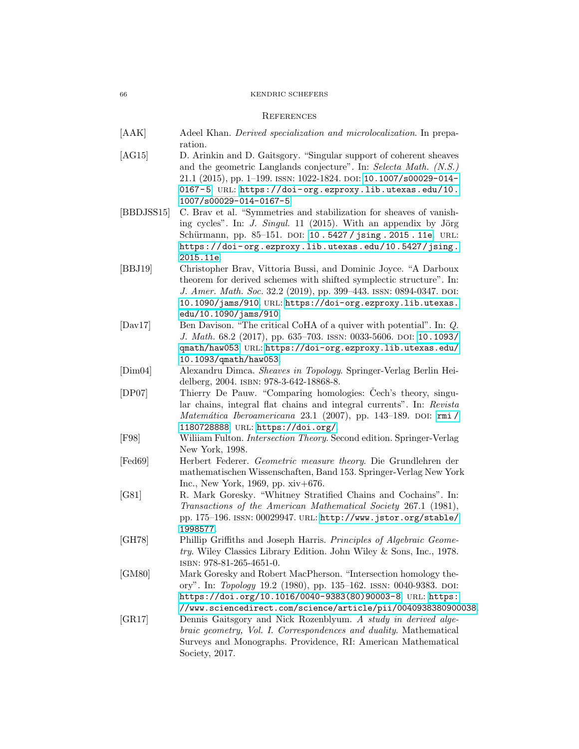#### 66 KENDRIC SCHEFERS

#### <span id="page-65-0"></span>**REFERENCES**

- <span id="page-65-3"></span>[AAK] Adeel Khan. *Derived specialization and microlocalization*. In preparation.
- <span id="page-65-9"></span>[AG15] D. Arinkin and D. Gaitsgory. "Singular support of coherent sheaves and the geometric Langlands conjecture". In: Selecta Math. (N.S.) 21.1 (2015), pp. 1–199. issn: 1022-1824. doi: [10.1007/s00029-014-](https://doi.org/10.1007/s00029-014-0167-5) 0167-5. URL: https://doi-org.ezproxy.lib.utexas.edu/10. [1007/s00029-014-0167-5](https://doi-org.ezproxy.lib.utexas.edu/10.1007/s00029-014-0167-5).
- <span id="page-65-2"></span>[BBDJSS15] C. Brav et al. "Symmetries and stabilization for sheaves of vanishing cycles". In: *J. Singul.* 11 (2015). With an appendix by Jörg Schürmann, pp. 85-151. DOI: 10.5427/jsing.2015.11e. URL: [https://doi- org.ezproxy.lib.utexas.edu/10.5427/jsing.](https://doi-org.ezproxy.lib.utexas.edu/10.5427/jsing.2015.11e) [2015.11e](https://doi-org.ezproxy.lib.utexas.edu/10.5427/jsing.2015.11e).
- <span id="page-65-1"></span>[BBJ19] Christopher Brav, Vittoria Bussi, and Dominic Joyce. "A Darboux theorem for derived schemes with shifted symplectic structure". In: J. Amer. Math. Soc. 32.2 (2019), pp. 399-443. ISSN: 0894-0347. DOI: [10.1090/jams/910](https://doi.org/10.1090/jams/910). url: [https://doi-org.ezproxy.lib.utexas.](https://doi-org.ezproxy.lib.utexas.edu/10.1090/jams/910) [edu/10.1090/jams/910](https://doi-org.ezproxy.lib.utexas.edu/10.1090/jams/910).
- <span id="page-65-12"></span>[Dav17] Ben Davison. "The critical CoHA of a quiver with potential". In: Q. J. Math. 68.2 (2017), pp. 635–703. ISSN: 0033-5606. DOI: [10.1093/](https://doi.org/10.1093/qmath/haw053) [qmath/haw053](https://doi.org/10.1093/qmath/haw053). url: [https://doi-org.ezproxy.lib.utexas.edu/](https://doi-org.ezproxy.lib.utexas.edu/10.1093/qmath/haw053) [10.1093/qmath/haw053](https://doi-org.ezproxy.lib.utexas.edu/10.1093/qmath/haw053).
- <span id="page-65-10"></span>[Dim04] Alexandru Dimca. Sheaves in Topology. Springer-Verlag Berlin Heidelberg, 2004. isbn: 978-3-642-18868-8.
- <span id="page-65-8"></span>[DP07] Thierry De Pauw. "Comparing homologies: Cech's theory, singular chains, integral flat chains and integral currents". In: Revista  $Matemática\ Deroamericana$  23.1 (2007), pp. 143-189. DOI: [rmi /](https://doi.org/rmi/1180728888) [1180728888](https://doi.org/rmi/1180728888). url: <https://doi.org/>.
- <span id="page-65-11"></span>[F98] Wiliiam Fulton. Intersection Theory. Second edition. Springer-Verlag New York, 1998.
- <span id="page-65-6"></span>[Fed69] Herbert Federer. Geometric measure theory. Die Grundlehren der mathematischen Wissenschaften, Band 153. Springer-Verlag New York Inc., New York, 1969, pp. xiv+676.
- <span id="page-65-4"></span>[G81] R. Mark Goresky. "Whitney Stratified Chains and Cochains". In: Transactions of the American Mathematical Society 267.1 (1981), pp. 175–196. issn: 00029947. url: [http://www.jstor.org/stable/](http://www.jstor.org/stable/1998577) [1998577](http://www.jstor.org/stable/1998577).
- <span id="page-65-7"></span>[GH78] Phillip Griffiths and Joseph Harris. Principles of Algebraic Geometry. Wiley Classics Library Edition. John Wiley & Sons, Inc., 1978. isbn: 978-81-265-4651-0.
- <span id="page-65-5"></span>[GM80] Mark Goresky and Robert MacPherson. "Intersection homology theory". In: Topology 19.2 (1980), pp. 135-162. ISSN: 0040-9383. DOI: [https://doi.org/10.1016/0040-9383\(80\)90003-8](https://doi.org/https://doi.org/10.1016/0040-9383(80)90003-8). url: [https:](https://www.sciencedirect.com/science/article/pii/0040938380900038)
- <span id="page-65-13"></span>[//www.sciencedirect.com/science/article/pii/0040938380900038](https://www.sciencedirect.com/science/article/pii/0040938380900038). [GR17] Dennis Gaitsgory and Nick Rozenblyum. A study in derived algebraic geometry, Vol. I. Correspondences and duality. Mathematical Surveys and Monographs. Providence, RI: American Mathematical Society, 2017.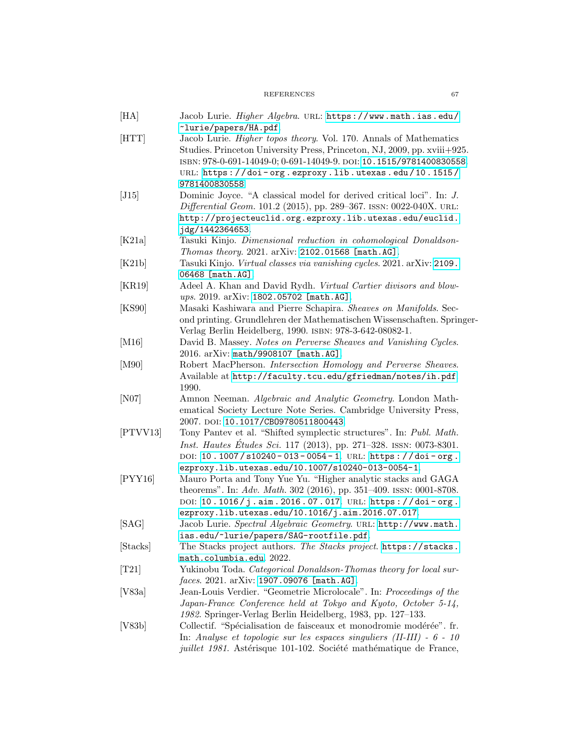# REFERENCES 67

<span id="page-66-16"></span><span id="page-66-15"></span><span id="page-66-14"></span><span id="page-66-13"></span><span id="page-66-12"></span><span id="page-66-11"></span><span id="page-66-10"></span><span id="page-66-9"></span><span id="page-66-8"></span><span id="page-66-7"></span><span id="page-66-6"></span><span id="page-66-5"></span><span id="page-66-4"></span><span id="page-66-3"></span><span id="page-66-2"></span><span id="page-66-1"></span><span id="page-66-0"></span>

| [HA]     | Jacob Lurie. Higher Algebra. URL: https://www.math.ias.edu/                |
|----------|----------------------------------------------------------------------------|
|          | ~lurie/papers/HA.pdf.                                                      |
| [HTT]    | Jacob Lurie. <i>Higher topos theory</i> . Vol. 170. Annals of Mathematics  |
|          | Studies. Princeton University Press, Princeton, NJ, 2009, pp. xviii+925.   |
|          | ISBN: 978-0-691-14049-0; 0-691-14049-9. DOI: 10.1515/9781400830558.        |
|          | URL: https://doi-org.ezproxy.lib.utexas.edu/10.1515/                       |
|          | 9781400830558.                                                             |
| [J15]    | Dominic Joyce. "A classical model for derived critical loci". In: J.       |
|          | <i>Differential Geom.</i> 101.2 (2015), pp. 289–367. ISSN: 0022-040X. URL: |
|          | http://projecteuclid.org.ezproxy.lib.utexas.edu/euclid.                    |
|          | jdg/1442364653.                                                            |
| [K21a]   | Tasuki Kinjo. Dimensional reduction in cohomological Donaldson-            |
|          | Thomas theory. 2021. arXiv: 2102.01568 [math.AG].                          |
| [K21b]   | Tasuki Kinjo. Virtual classes via vanishing cycles. 2021. arXiv: 2109.     |
|          | 06468 [math.AG].                                                           |
| [KR19]   | Adeel A. Khan and David Rydh. Virtual Cartier divisors and blow-           |
|          | ups. 2019. arXiv: 1802.05702 [math.AG].                                    |
| [KS90]   | Masaki Kashiwara and Pierre Schapira. Sheaves on Manifolds. Sec-           |
|          | ond printing. Grundlehren der Mathematischen Wissenschaften. Springer-     |
|          | Verlag Berlin Heidelberg, 1990. ISBN: 978-3-642-08082-1.                   |
| [M16]    | David B. Massey. Notes on Perverse Sheaves and Vanishing Cycles.           |
|          | 2016. arXiv: math/9908107 [math.AG].                                       |
| [M90]    | Robert MacPherson. Intersection Homology and Perverse Sheaves.             |
|          | Available at http://faculty.tcu.edu/gfriedman/notes/ih.pdf.                |
|          | 1990.                                                                      |
| [N07]    | Amnon Neeman. Algebraic and Analytic Geometry. London Math-                |
|          | ematical Society Lecture Note Series. Cambridge University Press,          |
|          | 2007. DOI: 10.1017/CB09780511800443.                                       |
| [PTVV13] | Tony Pantev et al. "Shifted symplectic structures". In: Publ. Math.        |
|          | <i>Inst. Hautes Études Sci.</i> 117 (2013), pp. 271–328. ISSN: 0073-8301.  |
|          | DOI: 10.1007/s10240-013-0054-1. URL: https://doi-org.                      |
|          | ezproxy.lib.utexas.edu/10.1007/s10240-013-0054-1.                          |
| [PYY16]  | Mauro Porta and Tony Yue Yu. "Higher analytic stacks and GAGA              |
|          | theorems". In: Adv. Math. 302 (2016), pp. 351-409. ISSN: 0001-8708.        |
|          | DOI: 10.1016/j.aim.2016.07.017. URL: https://doi-org.                      |
|          | ezproxy.lib.utexas.edu/10.1016/j.aim.2016.07.017.                          |
| [SAG]    | Jacob Lurie. Spectral Algebraic Geometry. URL: http://www.math.            |
|          | ias.edu/~lurie/papers/SAG-rootfile.pdf.                                    |
| [Stacks] | The Stacks project authors. The Stacks project. https://stacks.            |
|          | math.columbia.edu. 2022.                                                   |
| [T21]    | Yukinobu Toda. Categorical Donaldson-Thomas theory for local sur-          |
|          | $faces. 2021. arXiv: 1907.09076$ [math.AG].                                |
| [V83a]   | Jean-Louis Verdier. "Geometrie Microlocale". In: Proceedings of the        |
|          | Japan-France Conference held at Tokyo and Kyoto, October 5-14,             |
|          | 1982. Springer-Verlag Berlin Heidelberg, 1983, pp. 127–133.                |
| [V83b]   | Collectif. "Spécialisation de faisceaux et monodromie modérée". fr.        |
|          | In: Analyse et topologie sur les espaces singuliers (II-III) - $6$ - 10    |
|          | <i>juillet 1981</i> . Astérisque 101-102. Société mathématique de France,  |